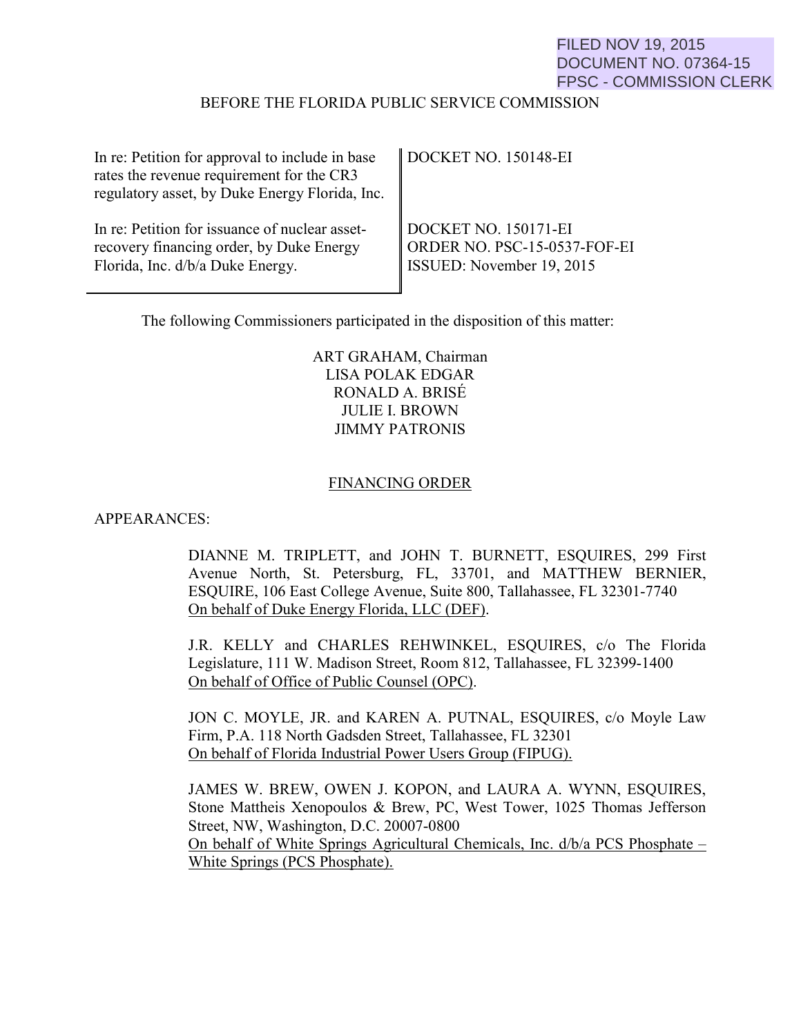# FILED NOV 19, 2015 DOCUMENT NO. 07364-15 FPSC - COMMISSION CLERK

#### BEFORE THE FLORIDA PUBLIC SERVICE COMMISSION

| In re: Petition for approval to include in base<br>rates the revenue requirement for the CR3<br>regulatory asset, by Duke Energy Florida, Inc. | DOCKET NO. 150148-EI         |
|------------------------------------------------------------------------------------------------------------------------------------------------|------------------------------|
| In re: Petition for issuance of nuclear asset-                                                                                                 | DOCKET NO. 150171-EI         |
| recovery financing order, by Duke Energy                                                                                                       | ORDER NO. PSC-15-0537-FOF-EI |
| Florida, Inc. d/b/a Duke Energy.                                                                                                               | ISSUED: November 19, 2015    |

The following Commissioners participated in the disposition of this matter:

## ART GRAHAM, Chairman LISA POLAK EDGAR RONALD A. BRISÉ JULIE I. BROWN JIMMY PATRONIS

#### FINANCING ORDER

#### APPEARANCES:

DIANNE M. TRIPLETT, and JOHN T. BURNETT, ESQUIRES, 299 First Avenue North, St. Petersburg, FL, 33701, and MATTHEW BERNIER, ESQUIRE, 106 East College Avenue, Suite 800, Tallahassee, FL 32301-7740 On behalf of Duke Energy Florida, LLC (DEF).

J.R. KELLY and CHARLES REHWINKEL, ESQUIRES, c/o The Florida Legislature, 111 W. Madison Street, Room 812, Tallahassee, FL 32399-1400 On behalf of Office of Public Counsel (OPC).

JON C. MOYLE, JR. and KAREN A. PUTNAL, ESQUIRES, c/o Moyle Law Firm, P.A. 118 North Gadsden Street, Tallahassee, FL 32301 On behalf of Florida Industrial Power Users Group (FIPUG).

JAMES W. BREW, OWEN J. KOPON, and LAURA A. WYNN, ESQUIRES, Stone Mattheis Xenopoulos & Brew, PC, West Tower, 1025 Thomas Jefferson Street, NW, Washington, D.C. 20007-0800 On behalf of White Springs Agricultural Chemicals, Inc. d/b/a PCS Phosphate – White Springs (PCS Phosphate).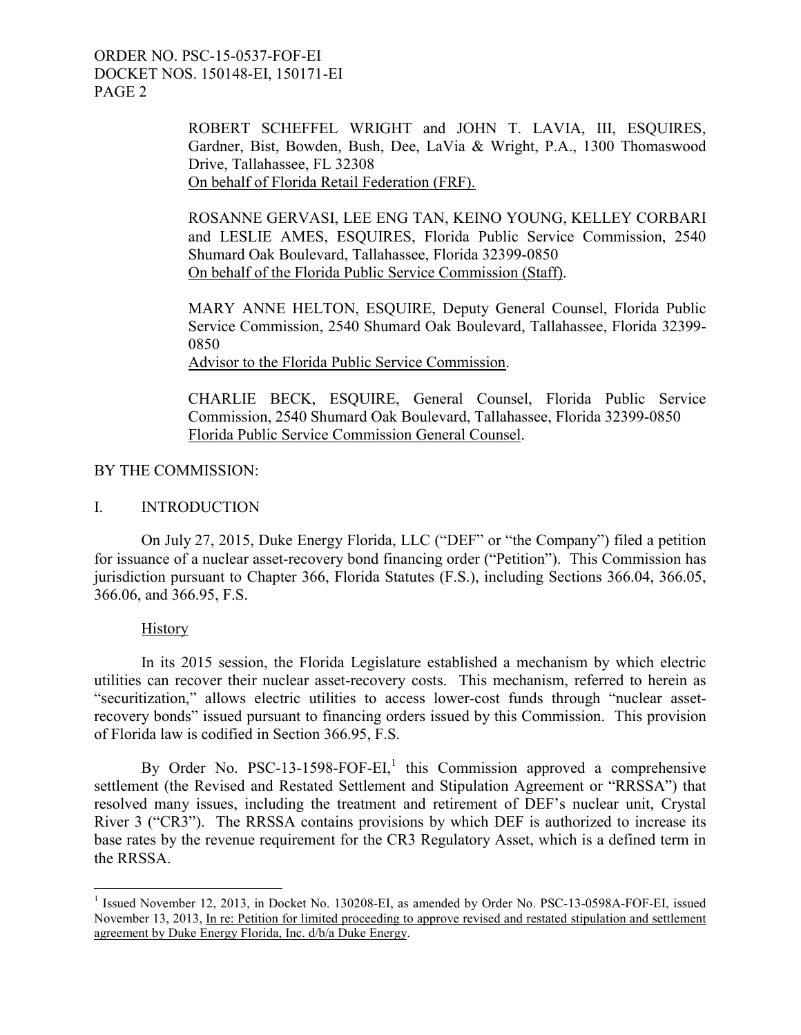> ROBERT SCHEFFEL WRIGHT and JOHN T. LAVIA, III, ESQUIRES, Gardner, Bist, Bowden, Bush, Dee, LaVia & Wright, P.A., 1300 Thomaswood Drive, Tallahassee, FL 32308 On behalf of Florida Retail Federation (FRF).

> ROSANNE GERVASI, LEE ENG TAN, KEINO YOUNG, KELLEY CORBARI and LESLIE AMES, ESQUIRES, Florida Public Service Commission, 2540 Shumard Oak Boulevard, Tallahassee, Florida 32399-0850 On behalf of the Florida Public Service Commission (Staff).

> MARY ANNE HELTON, ESQUIRE, Deputy General Counsel, Florida Public Service Commission, 2540 Shumard Oak Boulevard, Tallahassee, Florida 32399- 0850

Advisor to the Florida Public Service Commission.

CHARLIE BECK, ESQUIRE, General Counsel, Florida Public Service Commission, 2540 Shumard Oak Boulevard, Tallahassee, Florida 32399-0850 Florida Public Service Commission General Counsel.

### BY THE COMMISSION:

# I. INTRODUCTION

On July 27, 2015, Duke Energy Florida, LLC ("DEF" or "the Company") filed a petition for issuance of a nuclear asset-recovery bond financing order ("Petition"). This Commission has jurisdiction pursuant to Chapter 366, Florida Statutes (F.S.), including Sections 366.04, 366.05, 366.06, and 366.95, F.S.

### **History**

 $\overline{a}$ 

In its 2015 session, the Florida Legislature established a mechanism by which electric utilities can recover their nuclear asset-recovery costs. This mechanism, referred to herein as "securitization," allows electric utilities to access lower-cost funds through "nuclear assetrecovery bonds" issued pursuant to financing orders issued by this Commission. This provision of Florida law is codified in Section 366.95, F.S.

By Order No. PSC-13-1598-FOF-EI,<sup>1</sup> this Commission approved a comprehensive settlement (the Revised and Restated Settlement and Stipulation Agreement or "RRSSA") that resolved many issues, including the treatment and retirement of DEF's nuclear unit, Crystal River 3 ("CR3"). The RRSSA contains provisions by which DEF is authorized to increase its base rates by the revenue requirement for the CR3 Regulatory Asset, which is a defined term in the RRSSA.

<sup>&</sup>lt;sup>1</sup> Issued November 12, 2013, in Docket No. 130208-EI, as amended by Order No. PSC-13-0598A-FOF-EI, issued November 13, 2013, In re: Petition for limited proceeding to approve revised and restated stipulation and settlement agreement by Duke Energy Florida, Inc. d/b/a Duke Energy.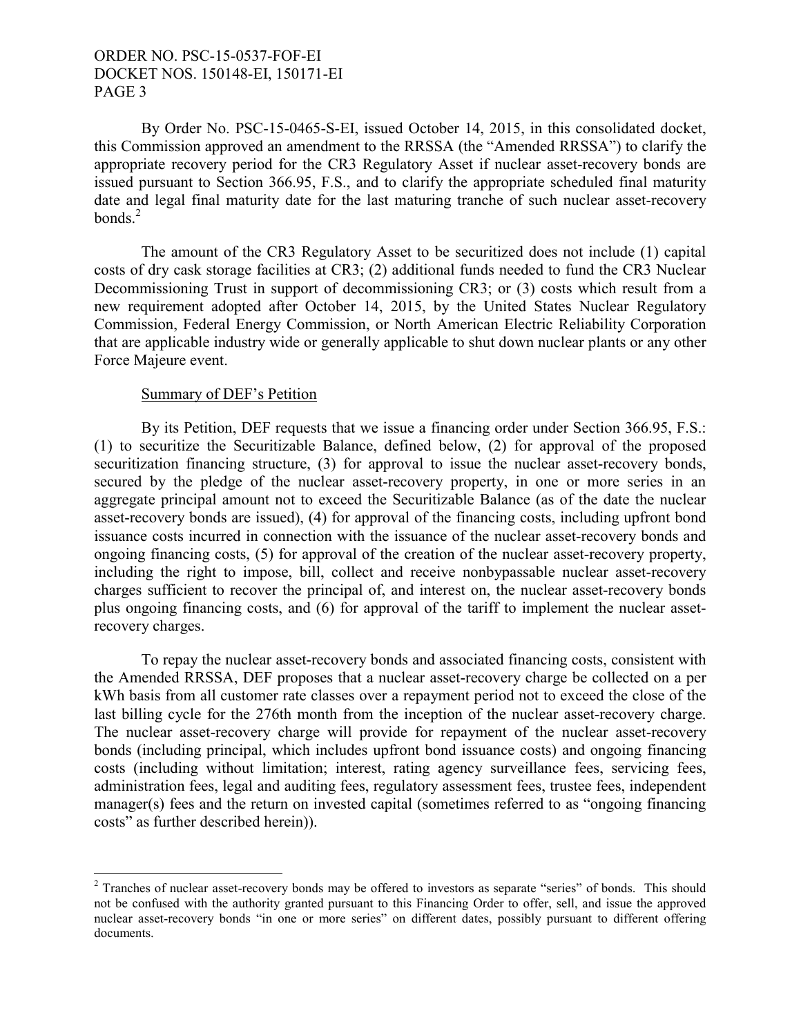By Order No. PSC-15-0465-S-EI, issued October 14, 2015, in this consolidated docket, this Commission approved an amendment to the RRSSA (the "Amended RRSSA") to clarify the appropriate recovery period for the CR3 Regulatory Asset if nuclear asset-recovery bonds are issued pursuant to Section 366.95, F.S., and to clarify the appropriate scheduled final maturity date and legal final maturity date for the last maturing tranche of such nuclear asset-recovery bonds $^2$ 

The amount of the CR3 Regulatory Asset to be securitized does not include (1) capital costs of dry cask storage facilities at CR3; (2) additional funds needed to fund the CR3 Nuclear Decommissioning Trust in support of decommissioning CR3; or (3) costs which result from a new requirement adopted after October 14, 2015, by the United States Nuclear Regulatory Commission, Federal Energy Commission, or North American Electric Reliability Corporation that are applicable industry wide or generally applicable to shut down nuclear plants or any other Force Majeure event.

#### Summary of DEF's Petition

 $\overline{a}$ 

By its Petition, DEF requests that we issue a financing order under Section 366.95, F.S.: (1) to securitize the Securitizable Balance, defined below, (2) for approval of the proposed securitization financing structure, (3) for approval to issue the nuclear asset-recovery bonds, secured by the pledge of the nuclear asset-recovery property, in one or more series in an aggregate principal amount not to exceed the Securitizable Balance (as of the date the nuclear asset-recovery bonds are issued), (4) for approval of the financing costs, including upfront bond issuance costs incurred in connection with the issuance of the nuclear asset-recovery bonds and ongoing financing costs, (5) for approval of the creation of the nuclear asset-recovery property, including the right to impose, bill, collect and receive nonbypassable nuclear asset-recovery charges sufficient to recover the principal of, and interest on, the nuclear asset-recovery bonds plus ongoing financing costs, and (6) for approval of the tariff to implement the nuclear assetrecovery charges.

To repay the nuclear asset-recovery bonds and associated financing costs, consistent with the Amended RRSSA, DEF proposes that a nuclear asset-recovery charge be collected on a per kWh basis from all customer rate classes over a repayment period not to exceed the close of the last billing cycle for the 276th month from the inception of the nuclear asset-recovery charge. The nuclear asset-recovery charge will provide for repayment of the nuclear asset-recovery bonds (including principal, which includes upfront bond issuance costs) and ongoing financing costs (including without limitation; interest, rating agency surveillance fees, servicing fees, administration fees, legal and auditing fees, regulatory assessment fees, trustee fees, independent manager(s) fees and the return on invested capital (sometimes referred to as "ongoing financing costs" as further described herein)).

 $2$  Tranches of nuclear asset-recovery bonds may be offered to investors as separate "series" of bonds. This should not be confused with the authority granted pursuant to this Financing Order to offer, sell, and issue the approved nuclear asset-recovery bonds "in one or more series" on different dates, possibly pursuant to different offering documents.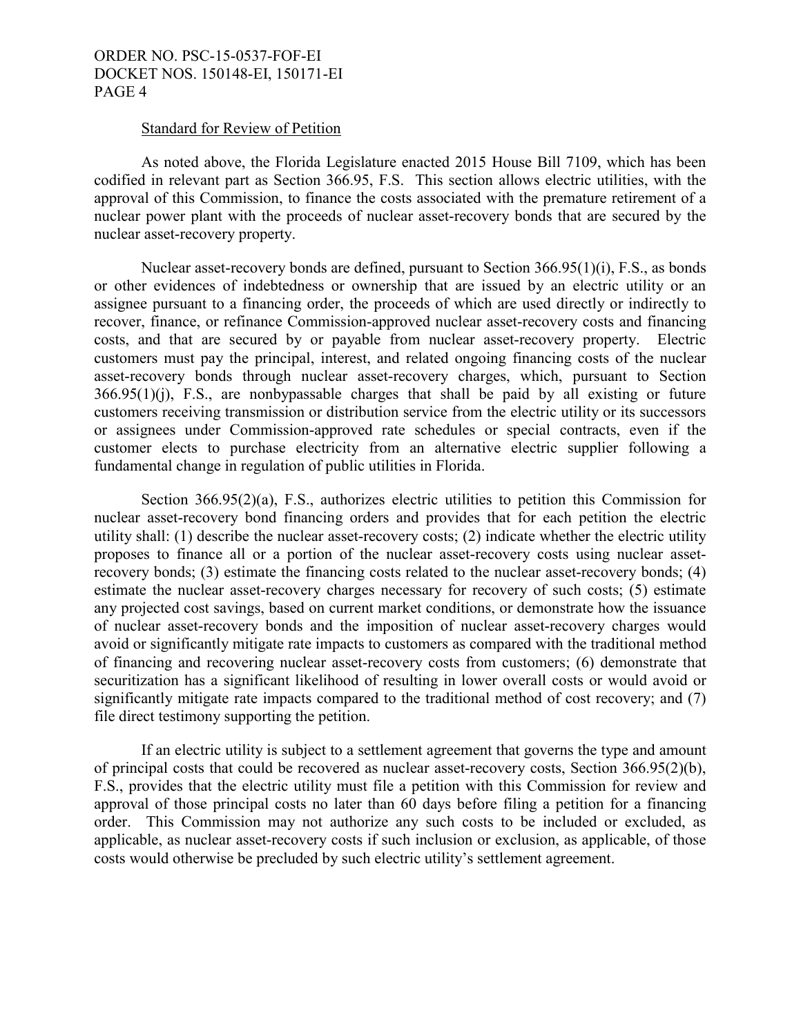#### Standard for Review of Petition

As noted above, the Florida Legislature enacted 2015 House Bill 7109, which has been codified in relevant part as Section 366.95, F.S. This section allows electric utilities, with the approval of this Commission, to finance the costs associated with the premature retirement of a nuclear power plant with the proceeds of nuclear asset-recovery bonds that are secured by the nuclear asset-recovery property.

Nuclear asset-recovery bonds are defined, pursuant to Section 366.95(1)(i), F.S., as bonds or other evidences of indebtedness or ownership that are issued by an electric utility or an assignee pursuant to a financing order, the proceeds of which are used directly or indirectly to recover, finance, or refinance Commission-approved nuclear asset-recovery costs and financing costs, and that are secured by or payable from nuclear asset-recovery property. Electric customers must pay the principal, interest, and related ongoing financing costs of the nuclear asset-recovery bonds through nuclear asset-recovery charges, which, pursuant to Section 366.95(1)(j), F.S., are nonbypassable charges that shall be paid by all existing or future customers receiving transmission or distribution service from the electric utility or its successors or assignees under Commission-approved rate schedules or special contracts, even if the customer elects to purchase electricity from an alternative electric supplier following a fundamental change in regulation of public utilities in Florida.

Section 366.95(2)(a), F.S., authorizes electric utilities to petition this Commission for nuclear asset-recovery bond financing orders and provides that for each petition the electric utility shall: (1) describe the nuclear asset-recovery costs; (2) indicate whether the electric utility proposes to finance all or a portion of the nuclear asset-recovery costs using nuclear assetrecovery bonds; (3) estimate the financing costs related to the nuclear asset-recovery bonds; (4) estimate the nuclear asset-recovery charges necessary for recovery of such costs; (5) estimate any projected cost savings, based on current market conditions, or demonstrate how the issuance of nuclear asset-recovery bonds and the imposition of nuclear asset-recovery charges would avoid or significantly mitigate rate impacts to customers as compared with the traditional method of financing and recovering nuclear asset-recovery costs from customers; (6) demonstrate that securitization has a significant likelihood of resulting in lower overall costs or would avoid or significantly mitigate rate impacts compared to the traditional method of cost recovery; and (7) file direct testimony supporting the petition.

If an electric utility is subject to a settlement agreement that governs the type and amount of principal costs that could be recovered as nuclear asset-recovery costs, Section 366.95(2)(b), F.S., provides that the electric utility must file a petition with this Commission for review and approval of those principal costs no later than 60 days before filing a petition for a financing order. This Commission may not authorize any such costs to be included or excluded, as applicable, as nuclear asset-recovery costs if such inclusion or exclusion, as applicable, of those costs would otherwise be precluded by such electric utility's settlement agreement.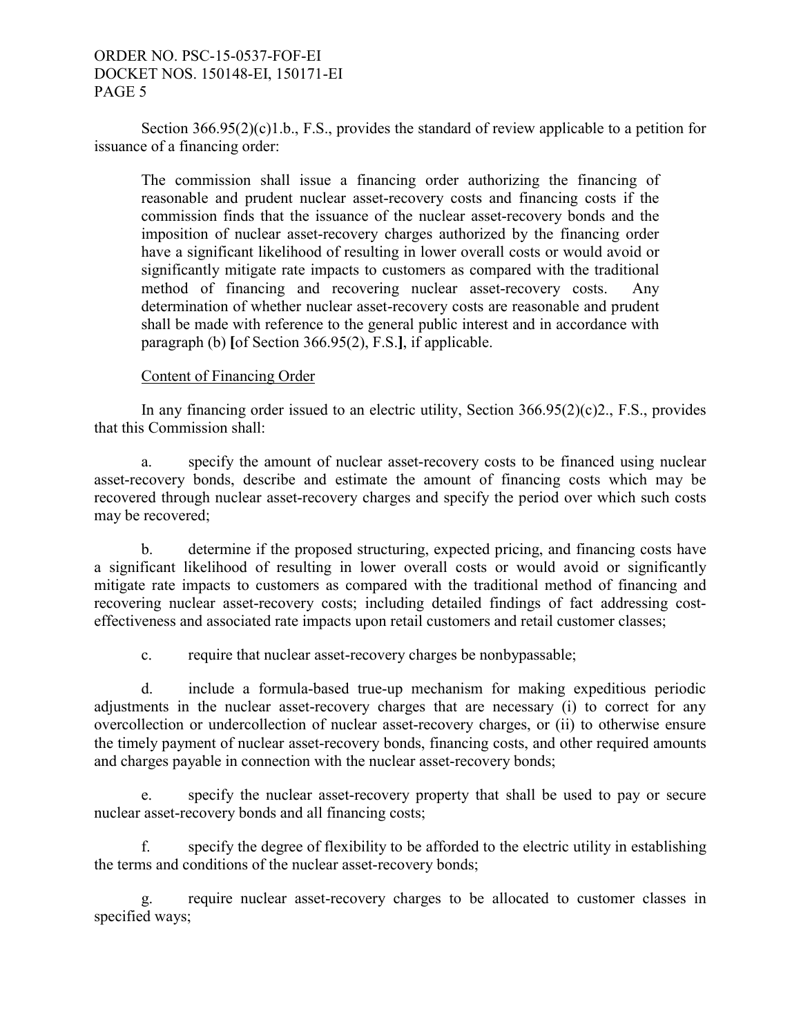Section 366.95(2)(c)1.b., F.S., provides the standard of review applicable to a petition for issuance of a financing order:

The commission shall issue a financing order authorizing the financing of reasonable and prudent nuclear asset-recovery costs and financing costs if the commission finds that the issuance of the nuclear asset-recovery bonds and the imposition of nuclear asset-recovery charges authorized by the financing order have a significant likelihood of resulting in lower overall costs or would avoid or significantly mitigate rate impacts to customers as compared with the traditional method of financing and recovering nuclear asset-recovery costs. Any determination of whether nuclear asset-recovery costs are reasonable and prudent shall be made with reference to the general public interest and in accordance with paragraph (b) **[**of Section 366.95(2), F.S.**]**, if applicable.

#### Content of Financing Order

In any financing order issued to an electric utility, Section 366.95(2)(c)2., F.S., provides that this Commission shall:

a. specify the amount of nuclear asset-recovery costs to be financed using nuclear asset-recovery bonds, describe and estimate the amount of financing costs which may be recovered through nuclear asset-recovery charges and specify the period over which such costs may be recovered;

b. determine if the proposed structuring, expected pricing, and financing costs have a significant likelihood of resulting in lower overall costs or would avoid or significantly mitigate rate impacts to customers as compared with the traditional method of financing and recovering nuclear asset-recovery costs; including detailed findings of fact addressing costeffectiveness and associated rate impacts upon retail customers and retail customer classes;

c. require that nuclear asset-recovery charges be nonbypassable;

d. include a formula-based true-up mechanism for making expeditious periodic adjustments in the nuclear asset-recovery charges that are necessary (i) to correct for any overcollection or undercollection of nuclear asset-recovery charges, or (ii) to otherwise ensure the timely payment of nuclear asset-recovery bonds, financing costs, and other required amounts and charges payable in connection with the nuclear asset-recovery bonds;

e. specify the nuclear asset-recovery property that shall be used to pay or secure nuclear asset-recovery bonds and all financing costs;

f. specify the degree of flexibility to be afforded to the electric utility in establishing the terms and conditions of the nuclear asset-recovery bonds;

g. require nuclear asset-recovery charges to be allocated to customer classes in specified ways;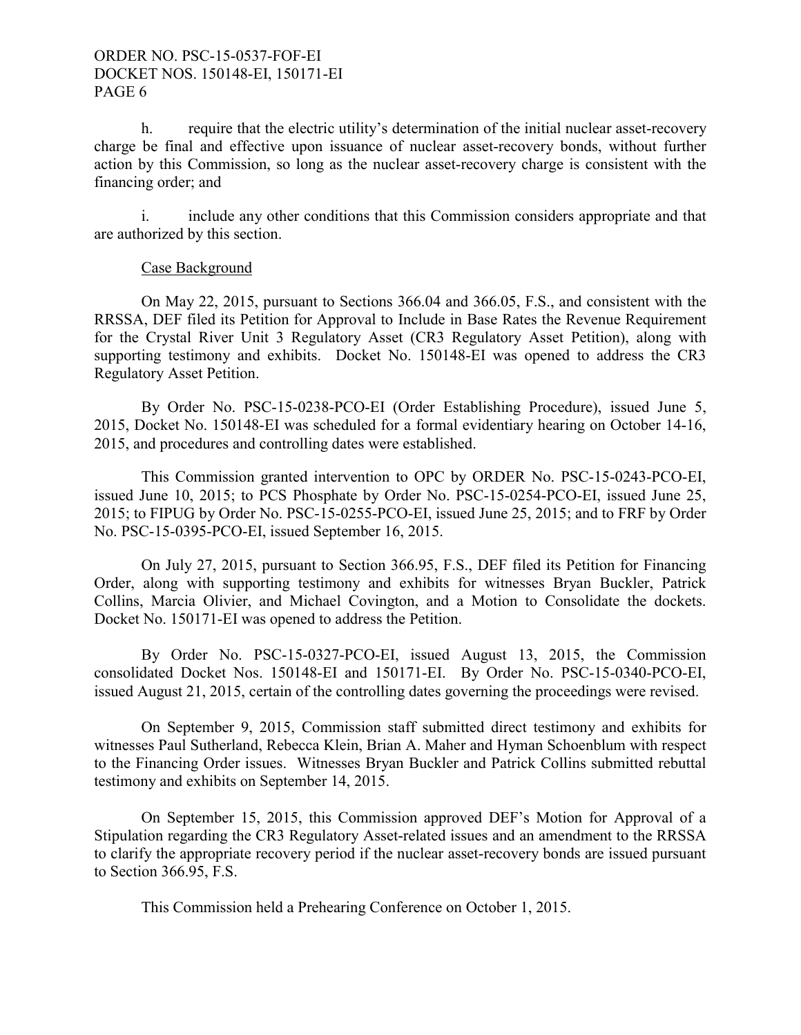h. require that the electric utility's determination of the initial nuclear asset-recovery charge be final and effective upon issuance of nuclear asset-recovery bonds, without further action by this Commission, so long as the nuclear asset-recovery charge is consistent with the financing order; and

i. include any other conditions that this Commission considers appropriate and that are authorized by this section.

#### Case Background

On May 22, 2015, pursuant to Sections 366.04 and 366.05, F.S., and consistent with the RRSSA, DEF filed its Petition for Approval to Include in Base Rates the Revenue Requirement for the Crystal River Unit 3 Regulatory Asset (CR3 Regulatory Asset Petition), along with supporting testimony and exhibits. Docket No. 150148-EI was opened to address the CR3 Regulatory Asset Petition.

By Order No. PSC-15-0238-PCO-EI (Order Establishing Procedure), issued June 5, 2015, Docket No. 150148-EI was scheduled for a formal evidentiary hearing on October 14-16, 2015, and procedures and controlling dates were established.

This Commission granted intervention to OPC by ORDER No. PSC-15-0243-PCO-EI, issued June 10, 2015; to PCS Phosphate by Order No. PSC-15-0254-PCO-EI, issued June 25, 2015; to FIPUG by Order No. PSC-15-0255-PCO-EI, issued June 25, 2015; and to FRF by Order No. PSC-15-0395-PCO-EI, issued September 16, 2015.

 On July 27, 2015, pursuant to Section 366.95, F.S., DEF filed its Petition for Financing Order, along with supporting testimony and exhibits for witnesses Bryan Buckler, Patrick Collins, Marcia Olivier, and Michael Covington, and a Motion to Consolidate the dockets. Docket No. 150171-EI was opened to address the Petition.

 By Order No. PSC-15-0327-PCO-EI, issued August 13, 2015, the Commission consolidated Docket Nos. 150148-EI and 150171-EI. By Order No. PSC-15-0340-PCO-EI, issued August 21, 2015, certain of the controlling dates governing the proceedings were revised.

 On September 9, 2015, Commission staff submitted direct testimony and exhibits for witnesses Paul Sutherland, Rebecca Klein, Brian A. Maher and Hyman Schoenblum with respect to the Financing Order issues. Witnesses Bryan Buckler and Patrick Collins submitted rebuttal testimony and exhibits on September 14, 2015.

 On September 15, 2015, this Commission approved DEF's Motion for Approval of a Stipulation regarding the CR3 Regulatory Asset-related issues and an amendment to the RRSSA to clarify the appropriate recovery period if the nuclear asset-recovery bonds are issued pursuant to Section 366.95, F.S.

This Commission held a Prehearing Conference on October 1, 2015.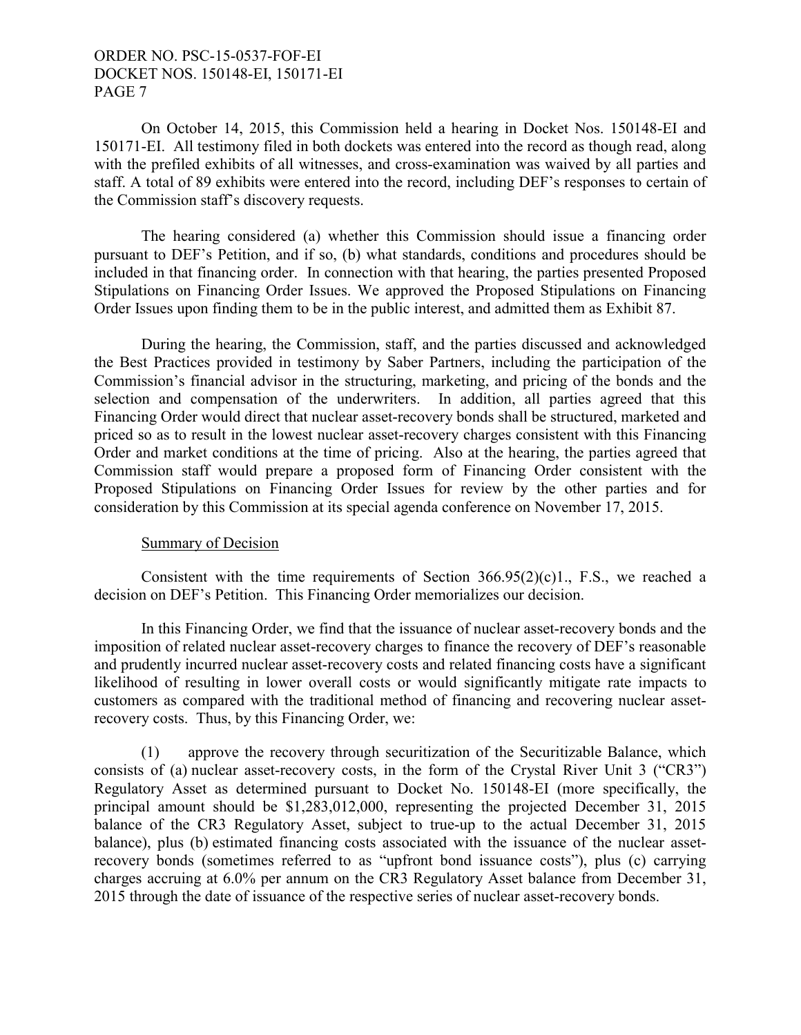On October 14, 2015, this Commission held a hearing in Docket Nos. 150148-EI and 150171-EI. All testimony filed in both dockets was entered into the record as though read, along with the prefiled exhibits of all witnesses, and cross-examination was waived by all parties and staff. A total of 89 exhibits were entered into the record, including DEF's responses to certain of the Commission staff's discovery requests.

 The hearing considered (a) whether this Commission should issue a financing order pursuant to DEF's Petition, and if so, (b) what standards, conditions and procedures should be included in that financing order. In connection with that hearing, the parties presented Proposed Stipulations on Financing Order Issues. We approved the Proposed Stipulations on Financing Order Issues upon finding them to be in the public interest, and admitted them as Exhibit 87.

 During the hearing, the Commission, staff, and the parties discussed and acknowledged the Best Practices provided in testimony by Saber Partners, including the participation of the Commission's financial advisor in the structuring, marketing, and pricing of the bonds and the selection and compensation of the underwriters. In addition, all parties agreed that this Financing Order would direct that nuclear asset-recovery bonds shall be structured, marketed and priced so as to result in the lowest nuclear asset-recovery charges consistent with this Financing Order and market conditions at the time of pricing. Also at the hearing, the parties agreed that Commission staff would prepare a proposed form of Financing Order consistent with the Proposed Stipulations on Financing Order Issues for review by the other parties and for consideration by this Commission at its special agenda conference on November 17, 2015.

#### Summary of Decision

Consistent with the time requirements of Section  $366.95(2)(c)1$ ., F.S., we reached a decision on DEF's Petition. This Financing Order memorializes our decision.

In this Financing Order, we find that the issuance of nuclear asset-recovery bonds and the imposition of related nuclear asset-recovery charges to finance the recovery of DEF's reasonable and prudently incurred nuclear asset-recovery costs and related financing costs have a significant likelihood of resulting in lower overall costs or would significantly mitigate rate impacts to customers as compared with the traditional method of financing and recovering nuclear assetrecovery costs. Thus, by this Financing Order, we:

(1) approve the recovery through securitization of the Securitizable Balance, which consists of (a) nuclear asset-recovery costs, in the form of the Crystal River Unit 3 ("CR3") Regulatory Asset as determined pursuant to Docket No. 150148-EI (more specifically, the principal amount should be \$1,283,012,000, representing the projected December 31, 2015 balance of the CR3 Regulatory Asset, subject to true-up to the actual December 31, 2015 balance), plus (b) estimated financing costs associated with the issuance of the nuclear assetrecovery bonds (sometimes referred to as "upfront bond issuance costs"), plus (c) carrying charges accruing at 6.0% per annum on the CR3 Regulatory Asset balance from December 31, 2015 through the date of issuance of the respective series of nuclear asset-recovery bonds.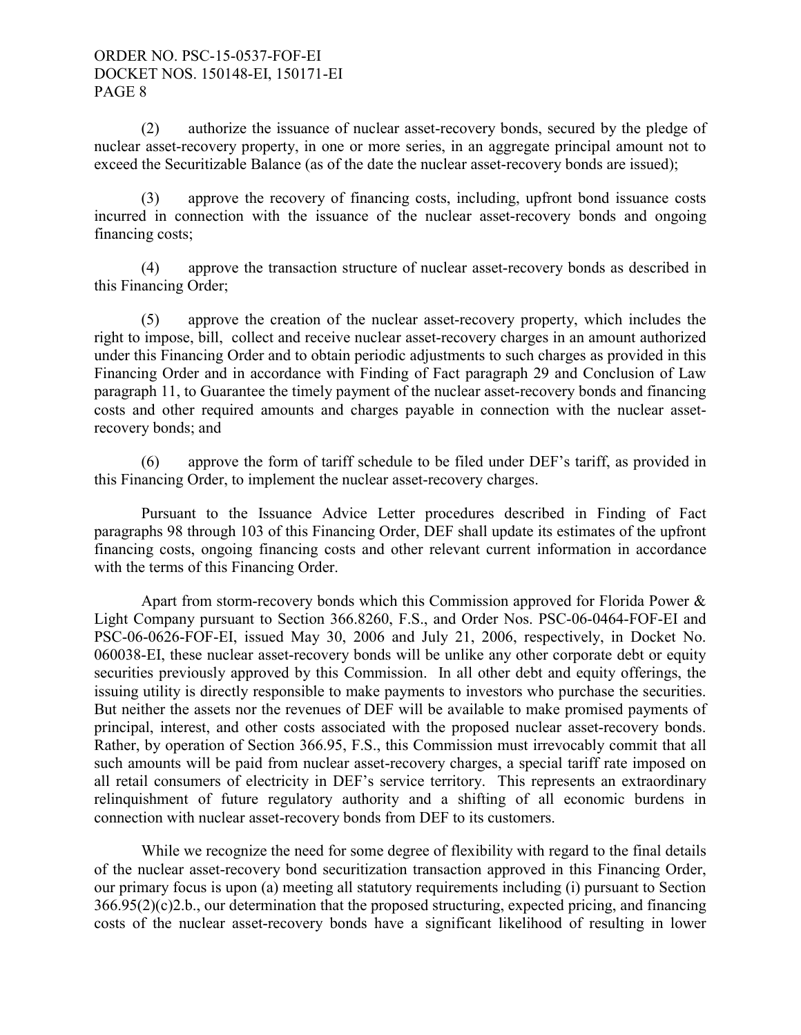(2) authorize the issuance of nuclear asset-recovery bonds, secured by the pledge of nuclear asset-recovery property, in one or more series, in an aggregate principal amount not to exceed the Securitizable Balance (as of the date the nuclear asset-recovery bonds are issued);

(3) approve the recovery of financing costs, including, upfront bond issuance costs incurred in connection with the issuance of the nuclear asset-recovery bonds and ongoing financing costs;

(4) approve the transaction structure of nuclear asset-recovery bonds as described in this Financing Order;

(5) approve the creation of the nuclear asset-recovery property, which includes the right to impose, bill, collect and receive nuclear asset-recovery charges in an amount authorized under this Financing Order and to obtain periodic adjustments to such charges as provided in this Financing Order and in accordance with Finding of Fact paragraph 29 and Conclusion of Law paragraph 11, to Guarantee the timely payment of the nuclear asset-recovery bonds and financing costs and other required amounts and charges payable in connection with the nuclear assetrecovery bonds; and

(6) approve the form of tariff schedule to be filed under DEF's tariff, as provided in this Financing Order, to implement the nuclear asset-recovery charges.

Pursuant to the Issuance Advice Letter procedures described in Finding of Fact paragraphs 98 through 103 of this Financing Order, DEF shall update its estimates of the upfront financing costs, ongoing financing costs and other relevant current information in accordance with the terms of this Financing Order.

Apart from storm-recovery bonds which this Commission approved for Florida Power & Light Company pursuant to Section 366.8260, F.S., and Order Nos. PSC-06-0464-FOF-EI and PSC-06-0626-FOF-EI, issued May 30, 2006 and July 21, 2006, respectively, in Docket No. 060038-EI, these nuclear asset-recovery bonds will be unlike any other corporate debt or equity securities previously approved by this Commission. In all other debt and equity offerings, the issuing utility is directly responsible to make payments to investors who purchase the securities. But neither the assets nor the revenues of DEF will be available to make promised payments of principal, interest, and other costs associated with the proposed nuclear asset-recovery bonds. Rather, by operation of Section 366.95, F.S., this Commission must irrevocably commit that all such amounts will be paid from nuclear asset-recovery charges, a special tariff rate imposed on all retail consumers of electricity in DEF's service territory. This represents an extraordinary relinquishment of future regulatory authority and a shifting of all economic burdens in connection with nuclear asset-recovery bonds from DEF to its customers.

While we recognize the need for some degree of flexibility with regard to the final details of the nuclear asset-recovery bond securitization transaction approved in this Financing Order, our primary focus is upon (a) meeting all statutory requirements including (i) pursuant to Section 366.95(2)(c)2.b., our determination that the proposed structuring, expected pricing, and financing costs of the nuclear asset-recovery bonds have a significant likelihood of resulting in lower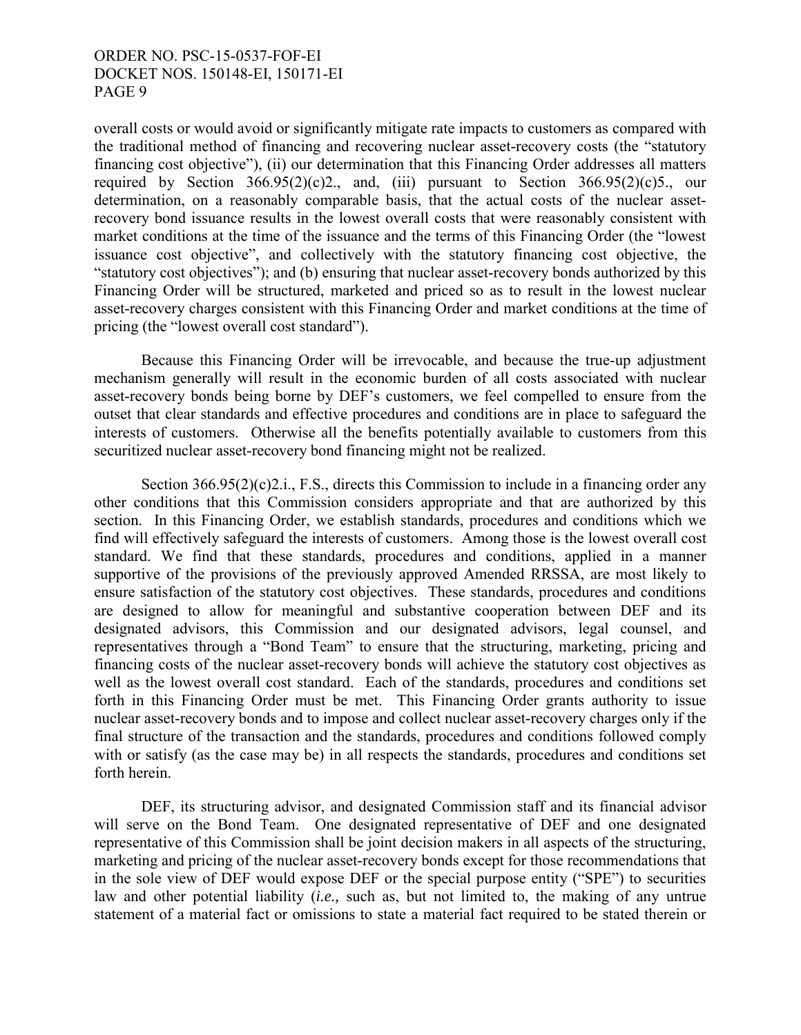overall costs or would avoid or significantly mitigate rate impacts to customers as compared with the traditional method of financing and recovering nuclear asset-recovery costs (the "statutory financing cost objective"), (ii) our determination that this Financing Order addresses all matters required by Section  $366.95(2)(c)2$ , and, (iii) pursuant to Section  $366.95(2)(c)5$ , our determination, on a reasonably comparable basis, that the actual costs of the nuclear assetrecovery bond issuance results in the lowest overall costs that were reasonably consistent with market conditions at the time of the issuance and the terms of this Financing Order (the "lowest issuance cost objective", and collectively with the statutory financing cost objective, the "statutory cost objectives"); and (b) ensuring that nuclear asset-recovery bonds authorized by this Financing Order will be structured, marketed and priced so as to result in the lowest nuclear asset-recovery charges consistent with this Financing Order and market conditions at the time of pricing (the "lowest overall cost standard").

Because this Financing Order will be irrevocable, and because the true-up adjustment mechanism generally will result in the economic burden of all costs associated with nuclear asset-recovery bonds being borne by DEF's customers, we feel compelled to ensure from the outset that clear standards and effective procedures and conditions are in place to safeguard the interests of customers. Otherwise all the benefits potentially available to customers from this securitized nuclear asset-recovery bond financing might not be realized.

Section 366.95(2)(c)2.i., F.S., directs this Commission to include in a financing order any other conditions that this Commission considers appropriate and that are authorized by this section. In this Financing Order, we establish standards, procedures and conditions which we find will effectively safeguard the interests of customers. Among those is the lowest overall cost standard. We find that these standards, procedures and conditions, applied in a manner supportive of the provisions of the previously approved Amended RRSSA, are most likely to ensure satisfaction of the statutory cost objectives. These standards, procedures and conditions are designed to allow for meaningful and substantive cooperation between DEF and its designated advisors, this Commission and our designated advisors, legal counsel, and representatives through a "Bond Team" to ensure that the structuring, marketing, pricing and financing costs of the nuclear asset-recovery bonds will achieve the statutory cost objectives as well as the lowest overall cost standard. Each of the standards, procedures and conditions set forth in this Financing Order must be met. This Financing Order grants authority to issue nuclear asset-recovery bonds and to impose and collect nuclear asset-recovery charges only if the final structure of the transaction and the standards, procedures and conditions followed comply with or satisfy (as the case may be) in all respects the standards, procedures and conditions set forth herein.

DEF, its structuring advisor, and designated Commission staff and its financial advisor will serve on the Bond Team. One designated representative of DEF and one designated representative of this Commission shall be joint decision makers in all aspects of the structuring, marketing and pricing of the nuclear asset-recovery bonds except for those recommendations that in the sole view of DEF would expose DEF or the special purpose entity ("SPE") to securities law and other potential liability (*i.e.,* such as, but not limited to, the making of any untrue statement of a material fact or omissions to state a material fact required to be stated therein or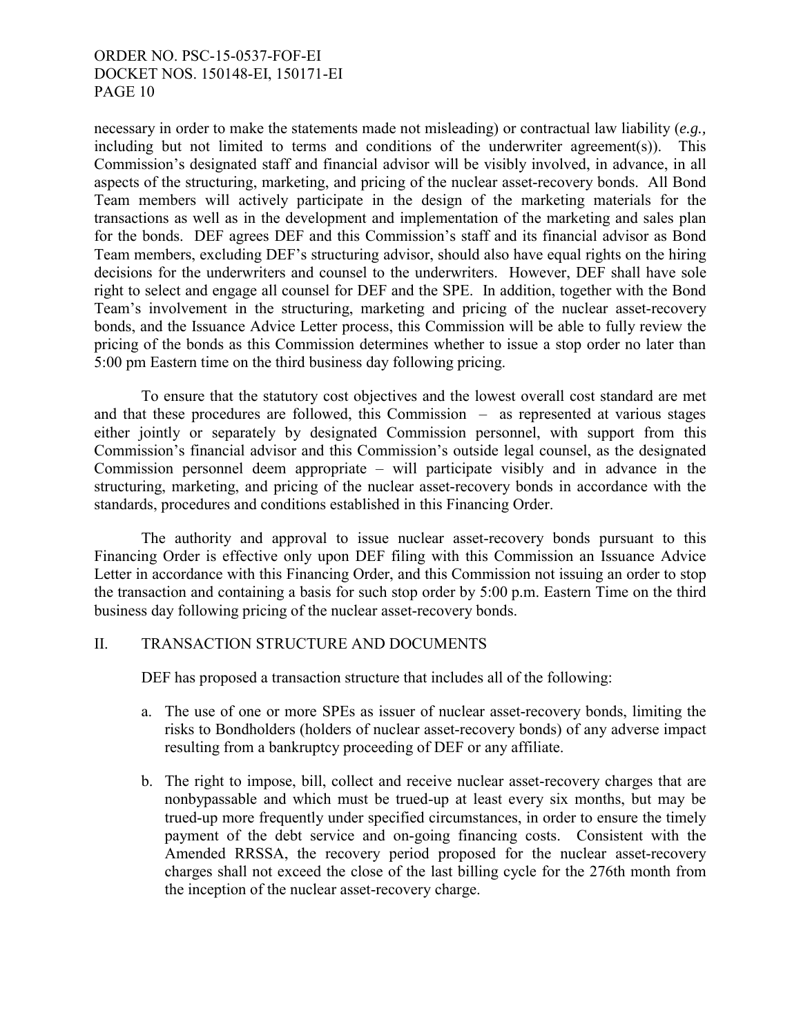necessary in order to make the statements made not misleading) or contractual law liability (*e.g.,* including but not limited to terms and conditions of the underwriter agreement(s)). This Commission's designated staff and financial advisor will be visibly involved, in advance, in all aspects of the structuring, marketing, and pricing of the nuclear asset-recovery bonds. All Bond Team members will actively participate in the design of the marketing materials for the transactions as well as in the development and implementation of the marketing and sales plan for the bonds. DEF agrees DEF and this Commission's staff and its financial advisor as Bond Team members, excluding DEF's structuring advisor, should also have equal rights on the hiring decisions for the underwriters and counsel to the underwriters. However, DEF shall have sole right to select and engage all counsel for DEF and the SPE. In addition, together with the Bond Team's involvement in the structuring, marketing and pricing of the nuclear asset-recovery bonds, and the Issuance Advice Letter process, this Commission will be able to fully review the pricing of the bonds as this Commission determines whether to issue a stop order no later than 5:00 pm Eastern time on the third business day following pricing.

To ensure that the statutory cost objectives and the lowest overall cost standard are met and that these procedures are followed, this Commission – as represented at various stages either jointly or separately by designated Commission personnel, with support from this Commission's financial advisor and this Commission's outside legal counsel, as the designated Commission personnel deem appropriate – will participate visibly and in advance in the structuring, marketing, and pricing of the nuclear asset-recovery bonds in accordance with the standards, procedures and conditions established in this Financing Order.

The authority and approval to issue nuclear asset-recovery bonds pursuant to this Financing Order is effective only upon DEF filing with this Commission an Issuance Advice Letter in accordance with this Financing Order, and this Commission not issuing an order to stop the transaction and containing a basis for such stop order by 5:00 p.m. Eastern Time on the third business day following pricing of the nuclear asset-recovery bonds.

## II. TRANSACTION STRUCTURE AND DOCUMENTS

DEF has proposed a transaction structure that includes all of the following:

- a. The use of one or more SPEs as issuer of nuclear asset-recovery bonds, limiting the risks to Bondholders (holders of nuclear asset-recovery bonds) of any adverse impact resulting from a bankruptcy proceeding of DEF or any affiliate.
- b. The right to impose, bill, collect and receive nuclear asset-recovery charges that are nonbypassable and which must be trued-up at least every six months, but may be trued-up more frequently under specified circumstances, in order to ensure the timely payment of the debt service and on-going financing costs. Consistent with the Amended RRSSA, the recovery period proposed for the nuclear asset-recovery charges shall not exceed the close of the last billing cycle for the 276th month from the inception of the nuclear asset-recovery charge.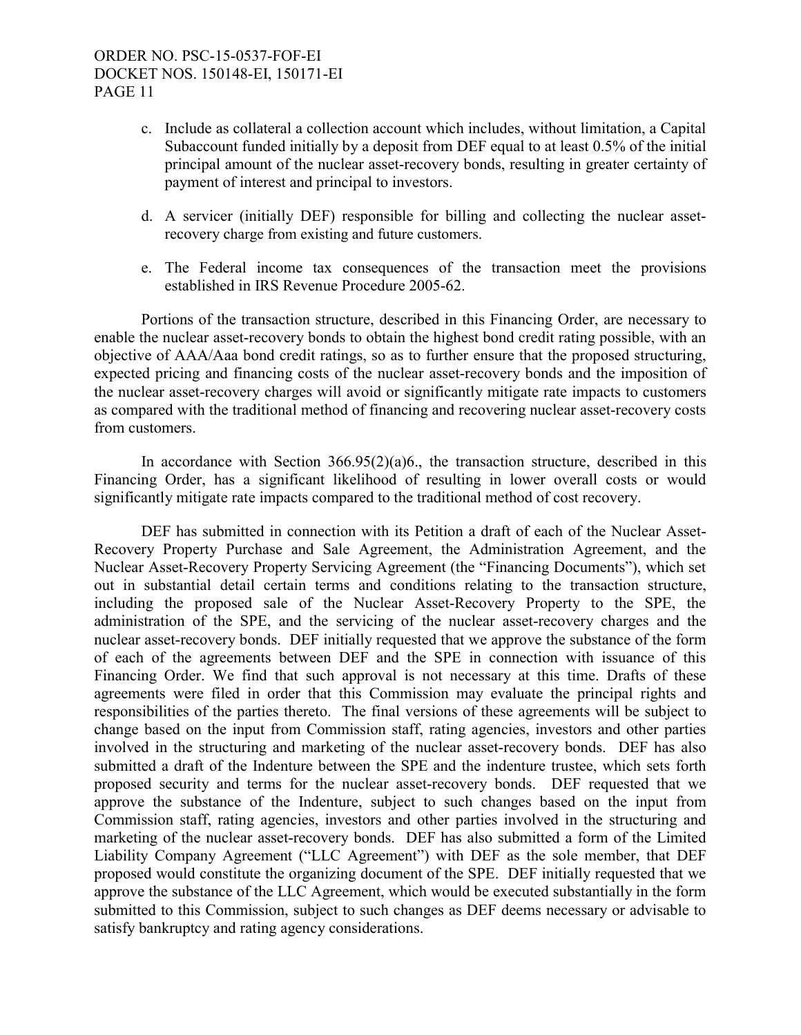- c. Include as collateral a collection account which includes, without limitation, a Capital Subaccount funded initially by a deposit from DEF equal to at least 0.5% of the initial principal amount of the nuclear asset-recovery bonds, resulting in greater certainty of payment of interest and principal to investors.
- d. A servicer (initially DEF) responsible for billing and collecting the nuclear assetrecovery charge from existing and future customers.
- e. The Federal income tax consequences of the transaction meet the provisions established in IRS Revenue Procedure 2005-62.

Portions of the transaction structure, described in this Financing Order, are necessary to enable the nuclear asset-recovery bonds to obtain the highest bond credit rating possible, with an objective of AAA/Aaa bond credit ratings, so as to further ensure that the proposed structuring, expected pricing and financing costs of the nuclear asset-recovery bonds and the imposition of the nuclear asset-recovery charges will avoid or significantly mitigate rate impacts to customers as compared with the traditional method of financing and recovering nuclear asset-recovery costs from customers.

In accordance with Section  $366.95(2)(a)6$ , the transaction structure, described in this Financing Order, has a significant likelihood of resulting in lower overall costs or would significantly mitigate rate impacts compared to the traditional method of cost recovery.

DEF has submitted in connection with its Petition a draft of each of the Nuclear Asset-Recovery Property Purchase and Sale Agreement, the Administration Agreement, and the Nuclear Asset-Recovery Property Servicing Agreement (the "Financing Documents"), which set out in substantial detail certain terms and conditions relating to the transaction structure, including the proposed sale of the Nuclear Asset-Recovery Property to the SPE, the administration of the SPE, and the servicing of the nuclear asset-recovery charges and the nuclear asset-recovery bonds. DEF initially requested that we approve the substance of the form of each of the agreements between DEF and the SPE in connection with issuance of this Financing Order. We find that such approval is not necessary at this time. Drafts of these agreements were filed in order that this Commission may evaluate the principal rights and responsibilities of the parties thereto. The final versions of these agreements will be subject to change based on the input from Commission staff, rating agencies, investors and other parties involved in the structuring and marketing of the nuclear asset-recovery bonds. DEF has also submitted a draft of the Indenture between the SPE and the indenture trustee, which sets forth proposed security and terms for the nuclear asset-recovery bonds. DEF requested that we approve the substance of the Indenture, subject to such changes based on the input from Commission staff, rating agencies, investors and other parties involved in the structuring and marketing of the nuclear asset-recovery bonds. DEF has also submitted a form of the Limited Liability Company Agreement ("LLC Agreement") with DEF as the sole member, that DEF proposed would constitute the organizing document of the SPE. DEF initially requested that we approve the substance of the LLC Agreement, which would be executed substantially in the form submitted to this Commission, subject to such changes as DEF deems necessary or advisable to satisfy bankruptcy and rating agency considerations.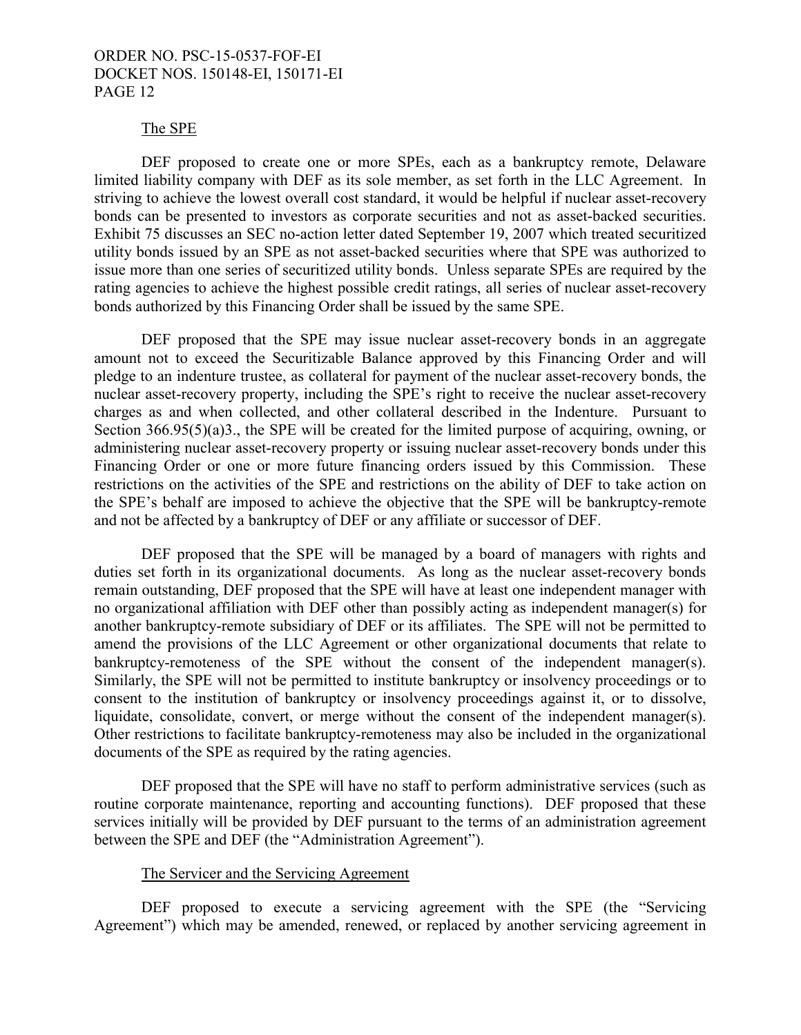#### The SPE

DEF proposed to create one or more SPEs, each as a bankruptcy remote, Delaware limited liability company with DEF as its sole member, as set forth in the LLC Agreement. In striving to achieve the lowest overall cost standard, it would be helpful if nuclear asset-recovery bonds can be presented to investors as corporate securities and not as asset-backed securities. Exhibit 75 discusses an SEC no-action letter dated September 19, 2007 which treated securitized utility bonds issued by an SPE as not asset-backed securities where that SPE was authorized to issue more than one series of securitized utility bonds. Unless separate SPEs are required by the rating agencies to achieve the highest possible credit ratings, all series of nuclear asset-recovery bonds authorized by this Financing Order shall be issued by the same SPE.

DEF proposed that the SPE may issue nuclear asset-recovery bonds in an aggregate amount not to exceed the Securitizable Balance approved by this Financing Order and will pledge to an indenture trustee, as collateral for payment of the nuclear asset-recovery bonds, the nuclear asset-recovery property, including the SPE's right to receive the nuclear asset-recovery charges as and when collected, and other collateral described in the Indenture. Pursuant to Section 366.95(5)(a)3., the SPE will be created for the limited purpose of acquiring, owning, or administering nuclear asset-recovery property or issuing nuclear asset-recovery bonds under this Financing Order or one or more future financing orders issued by this Commission. These restrictions on the activities of the SPE and restrictions on the ability of DEF to take action on the SPE's behalf are imposed to achieve the objective that the SPE will be bankruptcy-remote and not be affected by a bankruptcy of DEF or any affiliate or successor of DEF.

DEF proposed that the SPE will be managed by a board of managers with rights and duties set forth in its organizational documents. As long as the nuclear asset-recovery bonds remain outstanding, DEF proposed that the SPE will have at least one independent manager with no organizational affiliation with DEF other than possibly acting as independent manager(s) for another bankruptcy-remote subsidiary of DEF or its affiliates.The SPE will not be permitted to amend the provisions of the LLC Agreement or other organizational documents that relate to bankruptcy-remoteness of the SPE without the consent of the independent manager(s). Similarly, the SPE will not be permitted to institute bankruptcy or insolvency proceedings or to consent to the institution of bankruptcy or insolvency proceedings against it, or to dissolve, liquidate, consolidate, convert, or merge without the consent of the independent manager(s). Other restrictions to facilitate bankruptcy-remoteness may also be included in the organizational documents of the SPE as required by the rating agencies.

DEF proposed that the SPE will have no staff to perform administrative services (such as routine corporate maintenance, reporting and accounting functions). DEF proposed that these services initially will be provided by DEF pursuant to the terms of an administration agreement between the SPE and DEF (the "Administration Agreement").

#### The Servicer and the Servicing Agreement

DEF proposed to execute a servicing agreement with the SPE (the "Servicing Agreement") which may be amended, renewed, or replaced by another servicing agreement in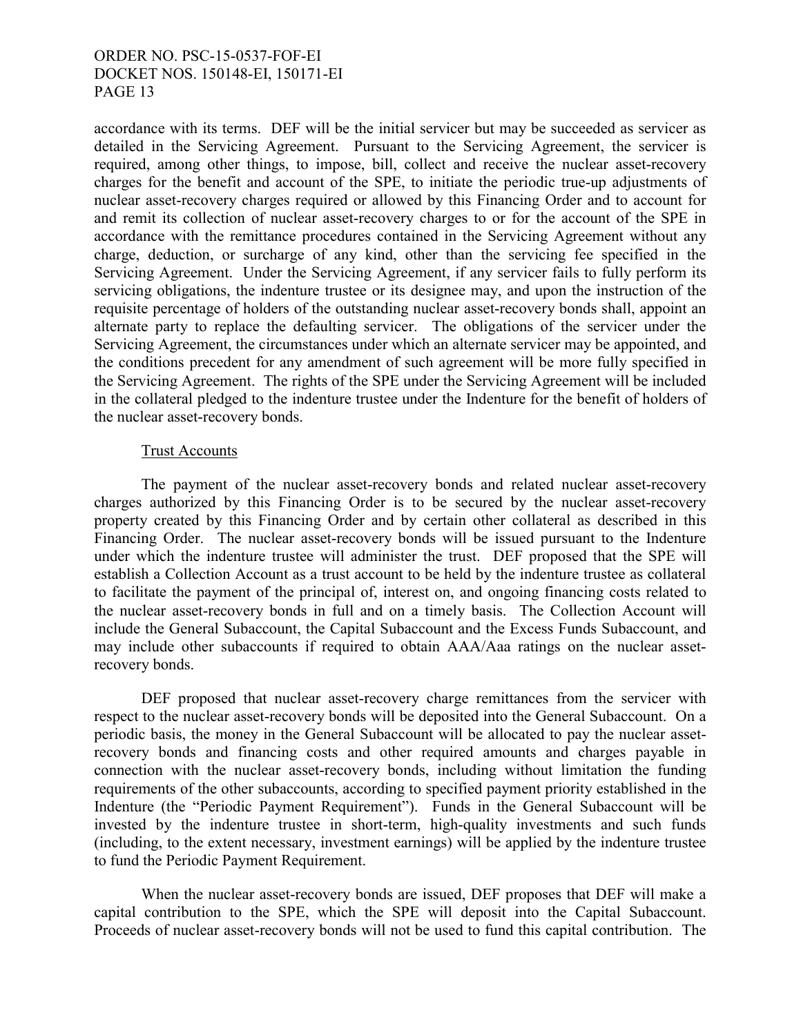accordance with its terms. DEF will be the initial servicer but may be succeeded as servicer as detailed in the Servicing Agreement. Pursuant to the Servicing Agreement, the servicer is required, among other things, to impose, bill, collect and receive the nuclear asset-recovery charges for the benefit and account of the SPE, to initiate the periodic true-up adjustments of nuclear asset-recovery charges required or allowed by this Financing Order and to account for and remit its collection of nuclear asset-recovery charges to or for the account of the SPE in accordance with the remittance procedures contained in the Servicing Agreement without any charge, deduction, or surcharge of any kind, other than the servicing fee specified in the Servicing Agreement. Under the Servicing Agreement, if any servicer fails to fully perform its servicing obligations, the indenture trustee or its designee may, and upon the instruction of the requisite percentage of holders of the outstanding nuclear asset-recovery bonds shall, appoint an alternate party to replace the defaulting servicer. The obligations of the servicer under the Servicing Agreement, the circumstances under which an alternate servicer may be appointed, and the conditions precedent for any amendment of such agreement will be more fully specified in the Servicing Agreement. The rights of the SPE under the Servicing Agreement will be included in the collateral pledged to the indenture trustee under the Indenture for the benefit of holders of the nuclear asset-recovery bonds.

### Trust Accounts

The payment of the nuclear asset-recovery bonds and related nuclear asset-recovery charges authorized by this Financing Order is to be secured by the nuclear asset-recovery property created by this Financing Order and by certain other collateral as described in this Financing Order. The nuclear asset-recovery bonds will be issued pursuant to the Indenture under which the indenture trustee will administer the trust. DEF proposed that the SPE will establish a Collection Account as a trust account to be held by the indenture trustee as collateral to facilitate the payment of the principal of, interest on, and ongoing financing costs related to the nuclear asset-recovery bonds in full and on a timely basis. The Collection Account will include the General Subaccount, the Capital Subaccount and the Excess Funds Subaccount, and may include other subaccounts if required to obtain AAA/Aaa ratings on the nuclear assetrecovery bonds.

DEF proposed that nuclear asset-recovery charge remittances from the servicer with respect to the nuclear asset-recovery bonds will be deposited into the General Subaccount. On a periodic basis, the money in the General Subaccount will be allocated to pay the nuclear assetrecovery bonds and financing costs and other required amounts and charges payable in connection with the nuclear asset-recovery bonds, including without limitation the funding requirements of the other subaccounts, according to specified payment priority established in the Indenture (the "Periodic Payment Requirement"). Funds in the General Subaccount will be invested by the indenture trustee in short-term, high-quality investments and such funds (including, to the extent necessary, investment earnings) will be applied by the indenture trustee to fund the Periodic Payment Requirement.

When the nuclear asset-recovery bonds are issued, DEF proposes that DEF will make a capital contribution to the SPE, which the SPE will deposit into the Capital Subaccount. Proceeds of nuclear asset-recovery bonds will not be used to fund this capital contribution. The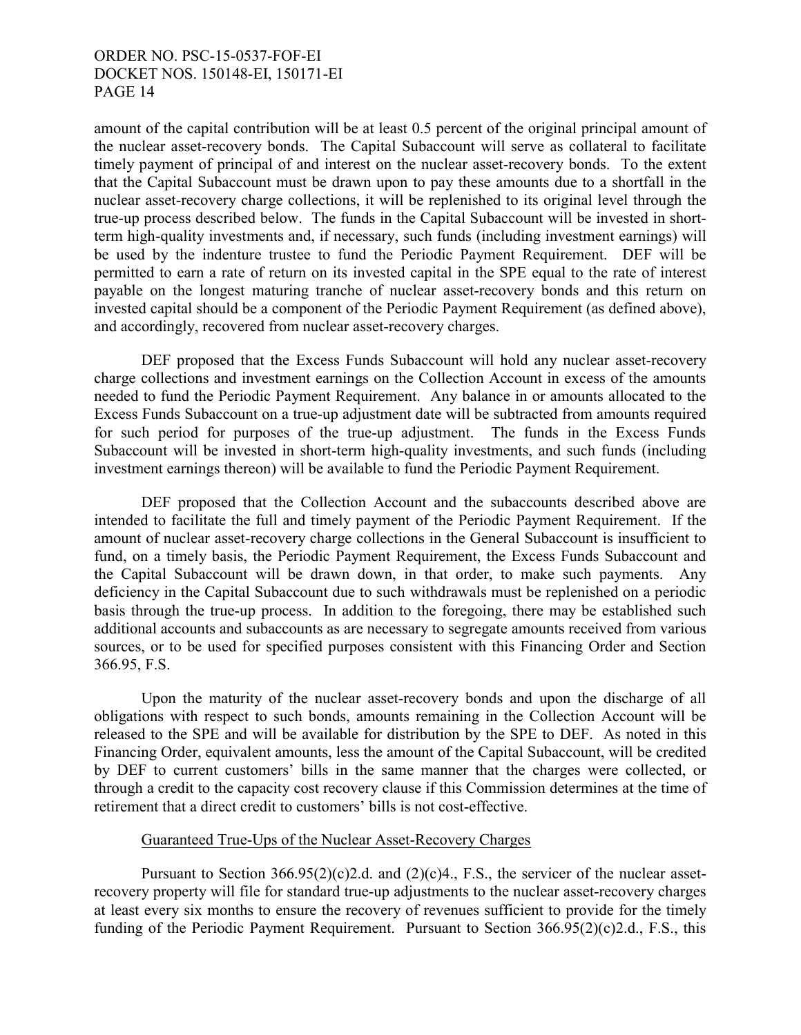amount of the capital contribution will be at least 0.5 percent of the original principal amount of the nuclear asset-recovery bonds. The Capital Subaccount will serve as collateral to facilitate timely payment of principal of and interest on the nuclear asset-recovery bonds. To the extent that the Capital Subaccount must be drawn upon to pay these amounts due to a shortfall in the nuclear asset-recovery charge collections, it will be replenished to its original level through the true-up process described below. The funds in the Capital Subaccount will be invested in shortterm high-quality investments and, if necessary, such funds (including investment earnings) will be used by the indenture trustee to fund the Periodic Payment Requirement. DEF will be permitted to earn a rate of return on its invested capital in the SPE equal to the rate of interest payable on the longest maturing tranche of nuclear asset-recovery bonds and this return on invested capital should be a component of the Periodic Payment Requirement (as defined above), and accordingly, recovered from nuclear asset-recovery charges.

DEF proposed that the Excess Funds Subaccount will hold any nuclear asset-recovery charge collections and investment earnings on the Collection Account in excess of the amounts needed to fund the Periodic Payment Requirement. Any balance in or amounts allocated to the Excess Funds Subaccount on a true-up adjustment date will be subtracted from amounts required for such period for purposes of the true-up adjustment. The funds in the Excess Funds Subaccount will be invested in short-term high-quality investments, and such funds (including investment earnings thereon) will be available to fund the Periodic Payment Requirement.

DEF proposed that the Collection Account and the subaccounts described above are intended to facilitate the full and timely payment of the Periodic Payment Requirement. If the amount of nuclear asset-recovery charge collections in the General Subaccount is insufficient to fund, on a timely basis, the Periodic Payment Requirement, the Excess Funds Subaccount and the Capital Subaccount will be drawn down, in that order, to make such payments. Any deficiency in the Capital Subaccount due to such withdrawals must be replenished on a periodic basis through the true-up process. In addition to the foregoing, there may be established such additional accounts and subaccounts as are necessary to segregate amounts received from various sources, or to be used for specified purposes consistent with this Financing Order and Section 366.95, F.S.

Upon the maturity of the nuclear asset-recovery bonds and upon the discharge of all obligations with respect to such bonds, amounts remaining in the Collection Account will be released to the SPE and will be available for distribution by the SPE to DEF. As noted in this Financing Order, equivalent amounts, less the amount of the Capital Subaccount, will be credited by DEF to current customers' bills in the same manner that the charges were collected, or through a credit to the capacity cost recovery clause if this Commission determines at the time of retirement that a direct credit to customers' bills is not cost-effective.

### Guaranteed True-Ups of the Nuclear Asset-Recovery Charges

Pursuant to Section 366.95(2)(c)2.d. and (2)(c)4., F.S., the servicer of the nuclear assetrecovery property will file for standard true-up adjustments to the nuclear asset-recovery charges at least every six months to ensure the recovery of revenues sufficient to provide for the timely funding of the Periodic Payment Requirement. Pursuant to Section 366.95(2)(c)2.d., F.S., this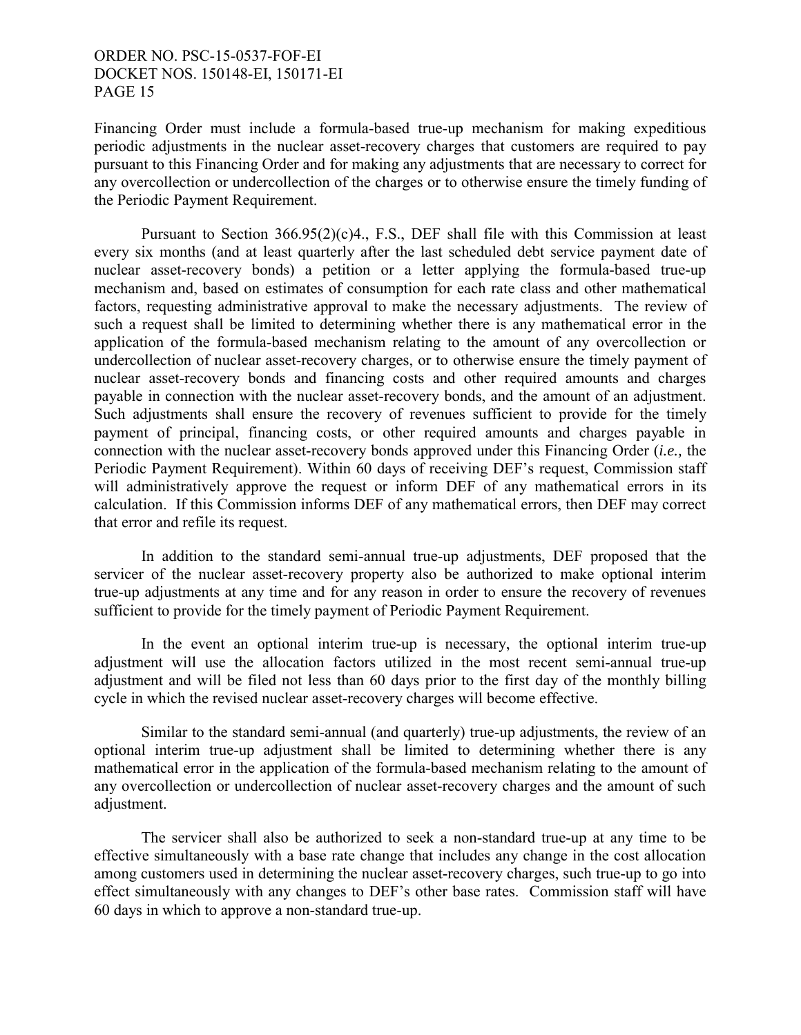Financing Order must include a formula-based true-up mechanism for making expeditious periodic adjustments in the nuclear asset-recovery charges that customers are required to pay pursuant to this Financing Order and for making any adjustments that are necessary to correct for any overcollection or undercollection of the charges or to otherwise ensure the timely funding of the Periodic Payment Requirement.

Pursuant to Section 366.95(2)(c)4., F.S., DEF shall file with this Commission at least every six months (and at least quarterly after the last scheduled debt service payment date of nuclear asset-recovery bonds) a petition or a letter applying the formula-based true-up mechanism and, based on estimates of consumption for each rate class and other mathematical factors, requesting administrative approval to make the necessary adjustments. The review of such a request shall be limited to determining whether there is any mathematical error in the application of the formula-based mechanism relating to the amount of any overcollection or undercollection of nuclear asset-recovery charges, or to otherwise ensure the timely payment of nuclear asset-recovery bonds and financing costs and other required amounts and charges payable in connection with the nuclear asset-recovery bonds, and the amount of an adjustment. Such adjustments shall ensure the recovery of revenues sufficient to provide for the timely payment of principal, financing costs, or other required amounts and charges payable in connection with the nuclear asset-recovery bonds approved under this Financing Order (*i.e.,* the Periodic Payment Requirement). Within 60 days of receiving DEF's request, Commission staff will administratively approve the request or inform DEF of any mathematical errors in its calculation. If this Commission informs DEF of any mathematical errors, then DEF may correct that error and refile its request.

In addition to the standard semi-annual true-up adjustments, DEF proposed that the servicer of the nuclear asset-recovery property also be authorized to make optional interim true-up adjustments at any time and for any reason in order to ensure the recovery of revenues sufficient to provide for the timely payment of Periodic Payment Requirement.

In the event an optional interim true-up is necessary, the optional interim true-up adjustment will use the allocation factors utilized in the most recent semi-annual true-up adjustment and will be filed not less than 60 days prior to the first day of the monthly billing cycle in which the revised nuclear asset-recovery charges will become effective.

Similar to the standard semi-annual (and quarterly) true-up adjustments, the review of an optional interim true-up adjustment shall be limited to determining whether there is any mathematical error in the application of the formula-based mechanism relating to the amount of any overcollection or undercollection of nuclear asset-recovery charges and the amount of such adjustment.

The servicer shall also be authorized to seek a non-standard true-up at any time to be effective simultaneously with a base rate change that includes any change in the cost allocation among customers used in determining the nuclear asset-recovery charges, such true-up to go into effect simultaneously with any changes to DEF's other base rates. Commission staff will have 60 days in which to approve a non-standard true-up.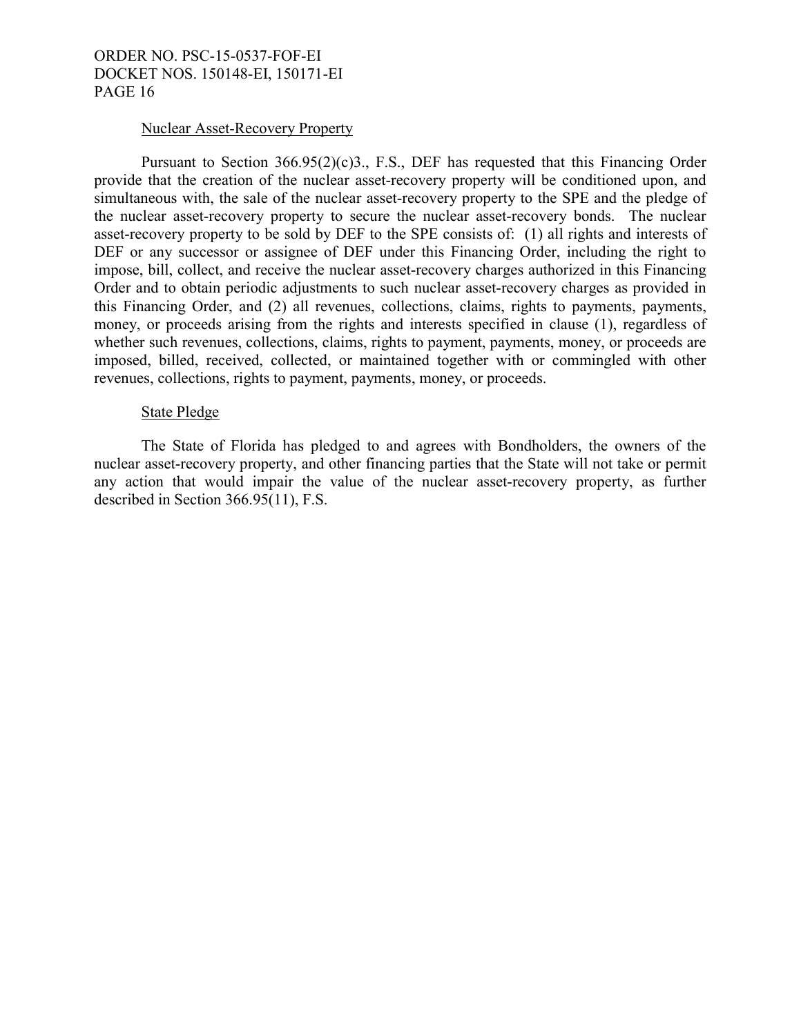#### Nuclear Asset-Recovery Property

Pursuant to Section 366.95(2)(c)3., F.S., DEF has requested that this Financing Order provide that the creation of the nuclear asset-recovery property will be conditioned upon, and simultaneous with, the sale of the nuclear asset-recovery property to the SPE and the pledge of the nuclear asset-recovery property to secure the nuclear asset-recovery bonds. The nuclear asset-recovery property to be sold by DEF to the SPE consists of: (1) all rights and interests of DEF or any successor or assignee of DEF under this Financing Order, including the right to impose, bill, collect, and receive the nuclear asset-recovery charges authorized in this Financing Order and to obtain periodic adjustments to such nuclear asset-recovery charges as provided in this Financing Order, and (2) all revenues, collections, claims, rights to payments, payments, money, or proceeds arising from the rights and interests specified in clause (1), regardless of whether such revenues, collections, claims, rights to payment, payments, money, or proceeds are imposed, billed, received, collected, or maintained together with or commingled with other revenues, collections, rights to payment, payments, money, or proceeds.

## State Pledge

The State of Florida has pledged to and agrees with Bondholders, the owners of the nuclear asset-recovery property, and other financing parties that the State will not take or permit any action that would impair the value of the nuclear asset-recovery property, as further described in Section 366.95(11), F.S.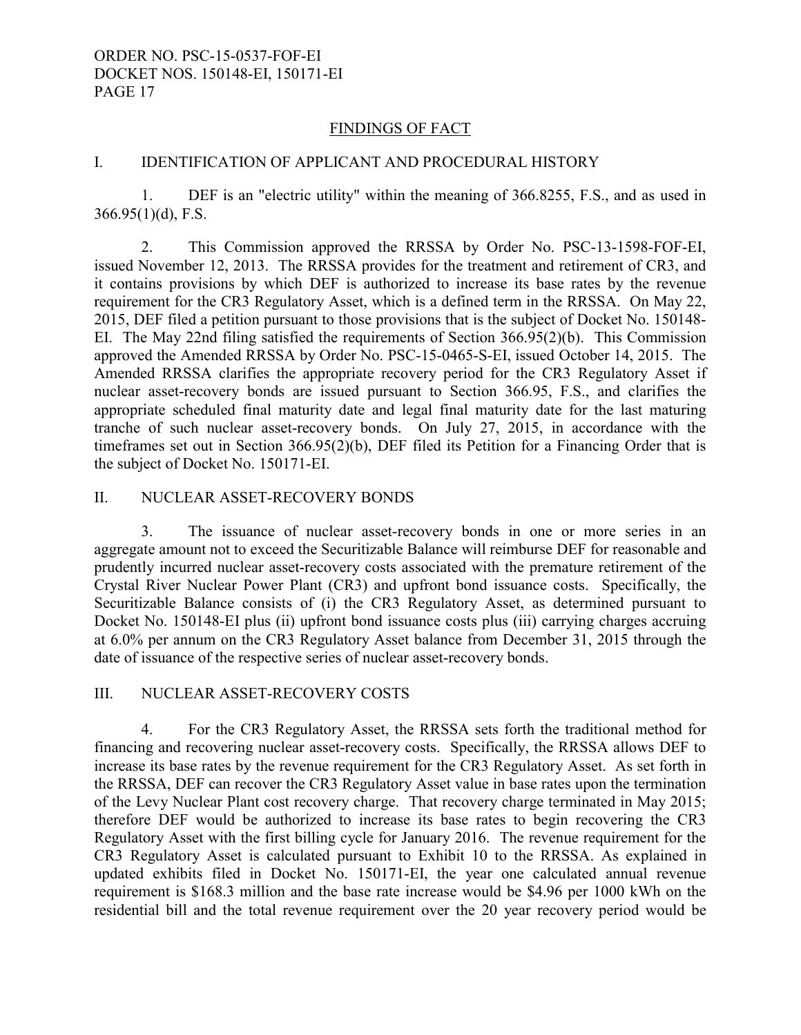## FINDINGS OF FACT

# I. IDENTIFICATION OF APPLICANT AND PROCEDURAL HISTORY

 1. DEF is an "electric utility" within the meaning of 366.8255, F.S., and as used in  $366.95(1)(d)$ , F.S.

 2. This Commission approved the RRSSA by Order No. PSC-13-1598-FOF-EI, issued November 12, 2013. The RRSSA provides for the treatment and retirement of CR3, and it contains provisions by which DEF is authorized to increase its base rates by the revenue requirement for the CR3 Regulatory Asset, which is a defined term in the RRSSA. On May 22, 2015, DEF filed a petition pursuant to those provisions that is the subject of Docket No. 150148- EI. The May 22nd filing satisfied the requirements of Section 366.95(2)(b). This Commission approved the Amended RRSSA by Order No. PSC-15-0465-S-EI, issued October 14, 2015. The Amended RRSSA clarifies the appropriate recovery period for the CR3 Regulatory Asset if nuclear asset-recovery bonds are issued pursuant to Section 366.95, F.S., and clarifies the appropriate scheduled final maturity date and legal final maturity date for the last maturing tranche of such nuclear asset-recovery bonds. On July 27, 2015, in accordance with the timeframes set out in Section 366.95(2)(b), DEF filed its Petition for a Financing Order that is the subject of Docket No. 150171-EI.

### II. NUCLEAR ASSET-RECOVERY BONDS

 3. The issuance of nuclear asset-recovery bonds in one or more series in an aggregate amount not to exceed the Securitizable Balance will reimburse DEF for reasonable and prudently incurred nuclear asset-recovery costs associated with the premature retirement of the Crystal River Nuclear Power Plant (CR3) and upfront bond issuance costs. Specifically, the Securitizable Balance consists of (i) the CR3 Regulatory Asset, as determined pursuant to Docket No. 150148-EI plus (ii) upfront bond issuance costs plus (iii) carrying charges accruing at 6.0% per annum on the CR3 Regulatory Asset balance from December 31, 2015 through the date of issuance of the respective series of nuclear asset-recovery bonds.

### III. NUCLEAR ASSET-RECOVERY COSTS

 4. For the CR3 Regulatory Asset, the RRSSA sets forth the traditional method for financing and recovering nuclear asset-recovery costs. Specifically, the RRSSA allows DEF to increase its base rates by the revenue requirement for the CR3 Regulatory Asset. As set forth in the RRSSA, DEF can recover the CR3 Regulatory Asset value in base rates upon the termination of the Levy Nuclear Plant cost recovery charge. That recovery charge terminated in May 2015; therefore DEF would be authorized to increase its base rates to begin recovering the CR3 Regulatory Asset with the first billing cycle for January 2016. The revenue requirement for the CR3 Regulatory Asset is calculated pursuant to Exhibit 10 to the RRSSA. As explained in updated exhibits filed in Docket No. 150171-EI, the year one calculated annual revenue requirement is \$168.3 million and the base rate increase would be \$4.96 per 1000 kWh on the residential bill and the total revenue requirement over the 20 year recovery period would be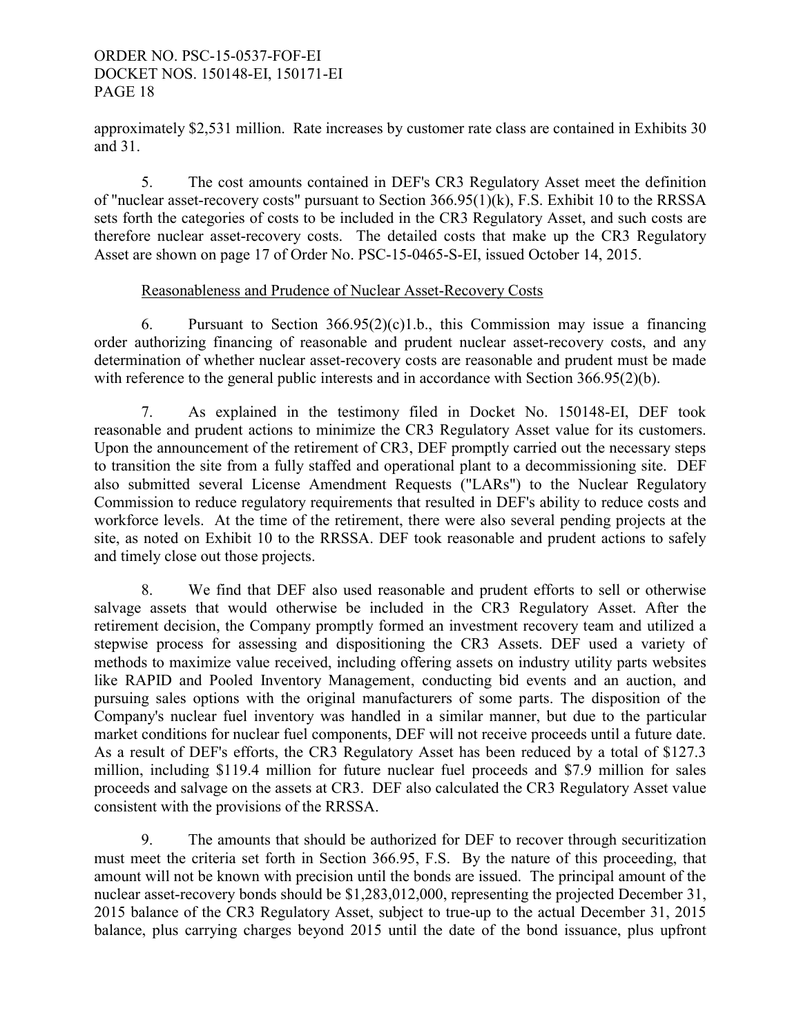approximately \$2,531 million. Rate increases by customer rate class are contained in Exhibits 30 and 31.

 5. The cost amounts contained in DEF's CR3 Regulatory Asset meet the definition of "nuclear asset-recovery costs" pursuant to Section 366.95(1)(k), F.S. Exhibit 10 to the RRSSA sets forth the categories of costs to be included in the CR3 Regulatory Asset, and such costs are therefore nuclear asset-recovery costs. The detailed costs that make up the CR3 Regulatory Asset are shown on page 17 of Order No. PSC-15-0465-S-EI, issued October 14, 2015.

### Reasonableness and Prudence of Nuclear Asset-Recovery Costs

6. Pursuant to Section  $366.95(2)(c)1.b.,$  this Commission may issue a financing order authorizing financing of reasonable and prudent nuclear asset-recovery costs, and any determination of whether nuclear asset-recovery costs are reasonable and prudent must be made with reference to the general public interests and in accordance with Section 366.95(2)(b).

 7. As explained in the testimony filed in Docket No. 150148-EI, DEF took reasonable and prudent actions to minimize the CR3 Regulatory Asset value for its customers. Upon the announcement of the retirement of CR3, DEF promptly carried out the necessary steps to transition the site from a fully staffed and operational plant to a decommissioning site. DEF also submitted several License Amendment Requests ("LARs") to the Nuclear Regulatory Commission to reduce regulatory requirements that resulted in DEF's ability to reduce costs and workforce levels. At the time of the retirement, there were also several pending projects at the site, as noted on Exhibit 10 to the RRSSA. DEF took reasonable and prudent actions to safely and timely close out those projects.

 8. We find that DEF also used reasonable and prudent efforts to sell or otherwise salvage assets that would otherwise be included in the CR3 Regulatory Asset. After the retirement decision, the Company promptly formed an investment recovery team and utilized a stepwise process for assessing and dispositioning the CR3 Assets. DEF used a variety of methods to maximize value received, including offering assets on industry utility parts websites like RAPID and Pooled Inventory Management, conducting bid events and an auction, and pursuing sales options with the original manufacturers of some parts. The disposition of the Company's nuclear fuel inventory was handled in a similar manner, but due to the particular market conditions for nuclear fuel components, DEF will not receive proceeds until a future date. As a result of DEF's efforts, the CR3 Regulatory Asset has been reduced by a total of \$127.3 million, including \$119.4 million for future nuclear fuel proceeds and \$7.9 million for sales proceeds and salvage on the assets at CR3. DEF also calculated the CR3 Regulatory Asset value consistent with the provisions of the RRSSA.

 9. The amounts that should be authorized for DEF to recover through securitization must meet the criteria set forth in Section 366.95, F.S. By the nature of this proceeding, that amount will not be known with precision until the bonds are issued. The principal amount of the nuclear asset-recovery bonds should be \$1,283,012,000, representing the projected December 31, 2015 balance of the CR3 Regulatory Asset, subject to true-up to the actual December 31, 2015 balance, plus carrying charges beyond 2015 until the date of the bond issuance, plus upfront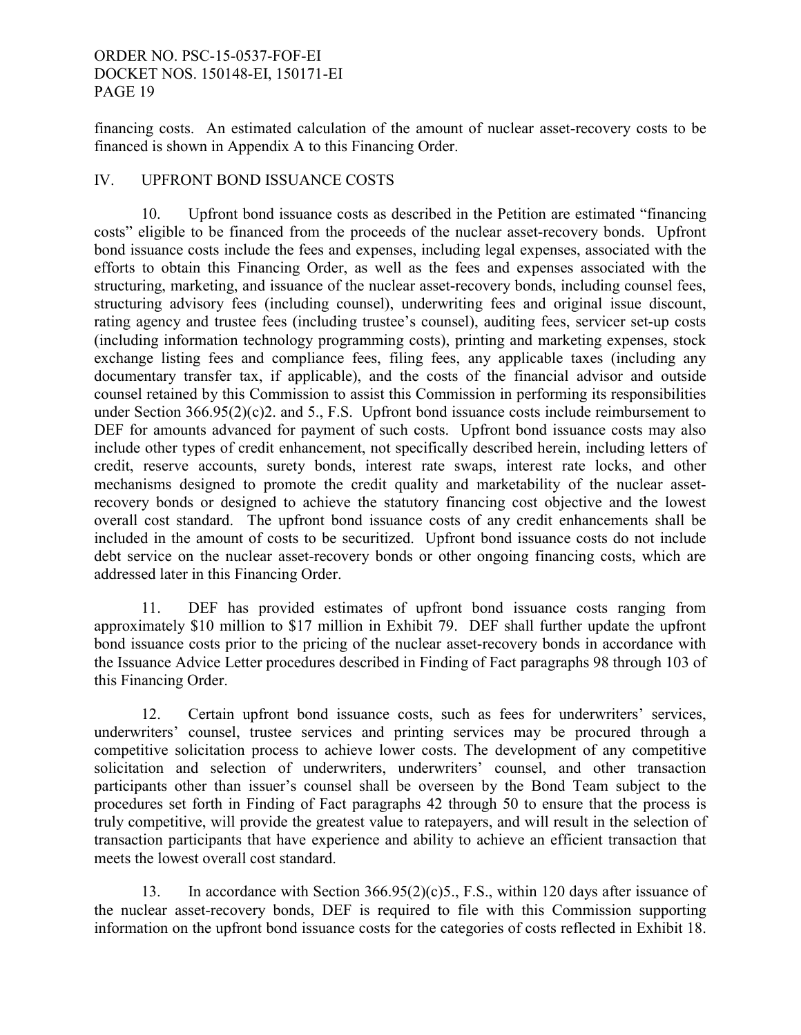financing costs. An estimated calculation of the amount of nuclear asset-recovery costs to be financed is shown in Appendix A to this Financing Order.

# IV. UPFRONT BOND ISSUANCE COSTS

 10. Upfront bond issuance costs as described in the Petition are estimated "financing costs" eligible to be financed from the proceeds of the nuclear asset-recovery bonds. Upfront bond issuance costs include the fees and expenses, including legal expenses, associated with the efforts to obtain this Financing Order, as well as the fees and expenses associated with the structuring, marketing, and issuance of the nuclear asset-recovery bonds, including counsel fees, structuring advisory fees (including counsel), underwriting fees and original issue discount, rating agency and trustee fees (including trustee's counsel), auditing fees, servicer set-up costs (including information technology programming costs), printing and marketing expenses, stock exchange listing fees and compliance fees, filing fees, any applicable taxes (including any documentary transfer tax, if applicable), and the costs of the financial advisor and outside counsel retained by this Commission to assist this Commission in performing its responsibilities under Section 366.95(2)(c)2. and 5., F.S. Upfront bond issuance costs include reimbursement to DEF for amounts advanced for payment of such costs. Upfront bond issuance costs may also include other types of credit enhancement, not specifically described herein, including letters of credit, reserve accounts, surety bonds, interest rate swaps, interest rate locks, and other mechanisms designed to promote the credit quality and marketability of the nuclear assetrecovery bonds or designed to achieve the statutory financing cost objective and the lowest overall cost standard. The upfront bond issuance costs of any credit enhancements shall be included in the amount of costs to be securitized. Upfront bond issuance costs do not include debt service on the nuclear asset-recovery bonds or other ongoing financing costs, which are addressed later in this Financing Order.

 11. DEF has provided estimates of upfront bond issuance costs ranging from approximately \$10 million to \$17 million in Exhibit 79. DEF shall further update the upfront bond issuance costs prior to the pricing of the nuclear asset-recovery bonds in accordance with the Issuance Advice Letter procedures described in Finding of Fact paragraphs 98 through 103 of this Financing Order.

 12. Certain upfront bond issuance costs, such as fees for underwriters' services, underwriters' counsel, trustee services and printing services may be procured through a competitive solicitation process to achieve lower costs. The development of any competitive solicitation and selection of underwriters, underwriters' counsel, and other transaction participants other than issuer's counsel shall be overseen by the Bond Team subject to the procedures set forth in Finding of Fact paragraphs 42 through 50 to ensure that the process is truly competitive, will provide the greatest value to ratepayers, and will result in the selection of transaction participants that have experience and ability to achieve an efficient transaction that meets the lowest overall cost standard.

 13. In accordance with Section 366.95(2)(c)5., F.S., within 120 days after issuance of the nuclear asset-recovery bonds, DEF is required to file with this Commission supporting information on the upfront bond issuance costs for the categories of costs reflected in Exhibit 18.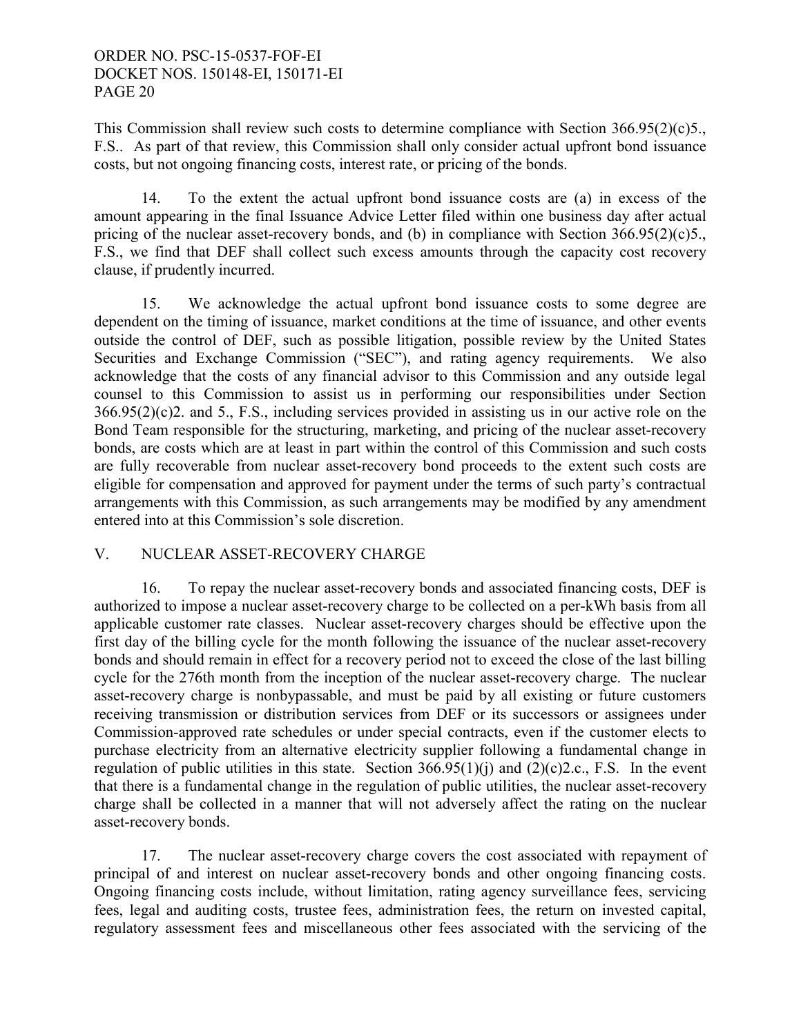This Commission shall review such costs to determine compliance with Section 366.95(2)(c)5., F.S.. As part of that review, this Commission shall only consider actual upfront bond issuance costs, but not ongoing financing costs, interest rate, or pricing of the bonds.

 14. To the extent the actual upfront bond issuance costs are (a) in excess of the amount appearing in the final Issuance Advice Letter filed within one business day after actual pricing of the nuclear asset-recovery bonds, and (b) in compliance with Section 366.95(2)(c)5., F.S., we find that DEF shall collect such excess amounts through the capacity cost recovery clause, if prudently incurred.

 15. We acknowledge the actual upfront bond issuance costs to some degree are dependent on the timing of issuance, market conditions at the time of issuance, and other events outside the control of DEF, such as possible litigation, possible review by the United States Securities and Exchange Commission ("SEC"), and rating agency requirements. We also acknowledge that the costs of any financial advisor to this Commission and any outside legal counsel to this Commission to assist us in performing our responsibilities under Section 366.95(2)(c)2. and 5., F.S., including services provided in assisting us in our active role on the Bond Team responsible for the structuring, marketing, and pricing of the nuclear asset-recovery bonds, are costs which are at least in part within the control of this Commission and such costs are fully recoverable from nuclear asset-recovery bond proceeds to the extent such costs are eligible for compensation and approved for payment under the terms of such party's contractual arrangements with this Commission, as such arrangements may be modified by any amendment entered into at this Commission's sole discretion.

# V. NUCLEAR ASSET-RECOVERY CHARGE

 16. To repay the nuclear asset-recovery bonds and associated financing costs, DEF is authorized to impose a nuclear asset-recovery charge to be collected on a per-kWh basis from all applicable customer rate classes. Nuclear asset-recovery charges should be effective upon the first day of the billing cycle for the month following the issuance of the nuclear asset-recovery bonds and should remain in effect for a recovery period not to exceed the close of the last billing cycle for the 276th month from the inception of the nuclear asset-recovery charge. The nuclear asset-recovery charge is nonbypassable, and must be paid by all existing or future customers receiving transmission or distribution services from DEF or its successors or assignees under Commission-approved rate schedules or under special contracts, even if the customer elects to purchase electricity from an alternative electricity supplier following a fundamental change in regulation of public utilities in this state. Section  $366.95(1)(i)$  and  $(2)(c)2.c., F.S.$  In the event that there is a fundamental change in the regulation of public utilities, the nuclear asset-recovery charge shall be collected in a manner that will not adversely affect the rating on the nuclear asset-recovery bonds.

 17. The nuclear asset-recovery charge covers the cost associated with repayment of principal of and interest on nuclear asset-recovery bonds and other ongoing financing costs. Ongoing financing costs include, without limitation, rating agency surveillance fees, servicing fees, legal and auditing costs, trustee fees, administration fees, the return on invested capital, regulatory assessment fees and miscellaneous other fees associated with the servicing of the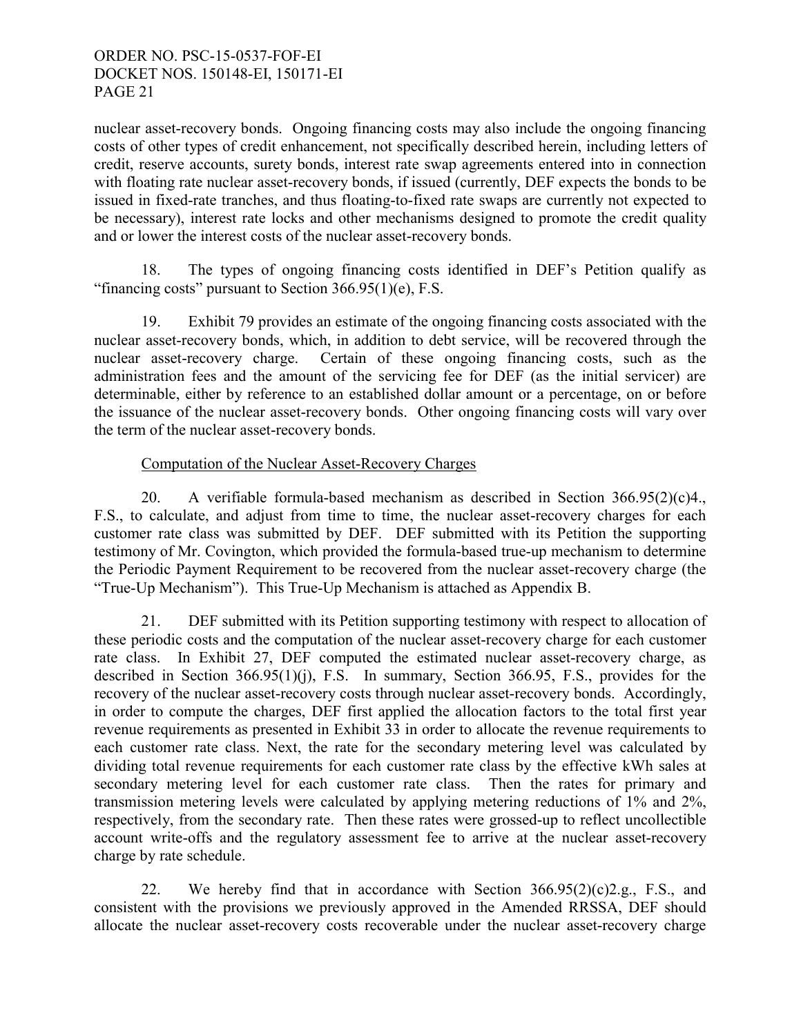nuclear asset-recovery bonds. Ongoing financing costs may also include the ongoing financing costs of other types of credit enhancement, not specifically described herein, including letters of credit, reserve accounts, surety bonds, interest rate swap agreements entered into in connection with floating rate nuclear asset-recovery bonds, if issued (currently, DEF expects the bonds to be issued in fixed-rate tranches, and thus floating-to-fixed rate swaps are currently not expected to be necessary), interest rate locks and other mechanisms designed to promote the credit quality and or lower the interest costs of the nuclear asset-recovery bonds.

 18. The types of ongoing financing costs identified in DEF's Petition qualify as "financing costs" pursuant to Section  $366.95(1)(e)$ , F.S.

 19. Exhibit 79 provides an estimate of the ongoing financing costs associated with the nuclear asset-recovery bonds, which, in addition to debt service, will be recovered through the nuclear asset-recovery charge. Certain of these ongoing financing costs, such as the administration fees and the amount of the servicing fee for DEF (as the initial servicer) are determinable, either by reference to an established dollar amount or a percentage, on or before the issuance of the nuclear asset-recovery bonds. Other ongoing financing costs will vary over the term of the nuclear asset-recovery bonds.

# Computation of the Nuclear Asset-Recovery Charges

 20. A verifiable formula-based mechanism as described in Section 366.95(2)(c)4., F.S., to calculate, and adjust from time to time, the nuclear asset-recovery charges for each customer rate class was submitted by DEF. DEF submitted with its Petition the supporting testimony of Mr. Covington, which provided the formula-based true-up mechanism to determine the Periodic Payment Requirement to be recovered from the nuclear asset-recovery charge (the "True-Up Mechanism"). This True-Up Mechanism is attached as Appendix B.

 21. DEF submitted with its Petition supporting testimony with respect to allocation of these periodic costs and the computation of the nuclear asset-recovery charge for each customer rate class. In Exhibit 27, DEF computed the estimated nuclear asset-recovery charge, as described in Section 366.95(1)(j), F.S. In summary, Section 366.95, F.S., provides for the recovery of the nuclear asset-recovery costs through nuclear asset-recovery bonds. Accordingly, in order to compute the charges, DEF first applied the allocation factors to the total first year revenue requirements as presented in Exhibit 33 in order to allocate the revenue requirements to each customer rate class. Next, the rate for the secondary metering level was calculated by dividing total revenue requirements for each customer rate class by the effective kWh sales at secondary metering level for each customer rate class. Then the rates for primary and transmission metering levels were calculated by applying metering reductions of 1% and 2%, respectively, from the secondary rate. Then these rates were grossed-up to reflect uncollectible account write-offs and the regulatory assessment fee to arrive at the nuclear asset-recovery charge by rate schedule.

22. We hereby find that in accordance with Section  $366.95(2)(c)2.g., F.S.,$  and consistent with the provisions we previously approved in the Amended RRSSA, DEF should allocate the nuclear asset-recovery costs recoverable under the nuclear asset-recovery charge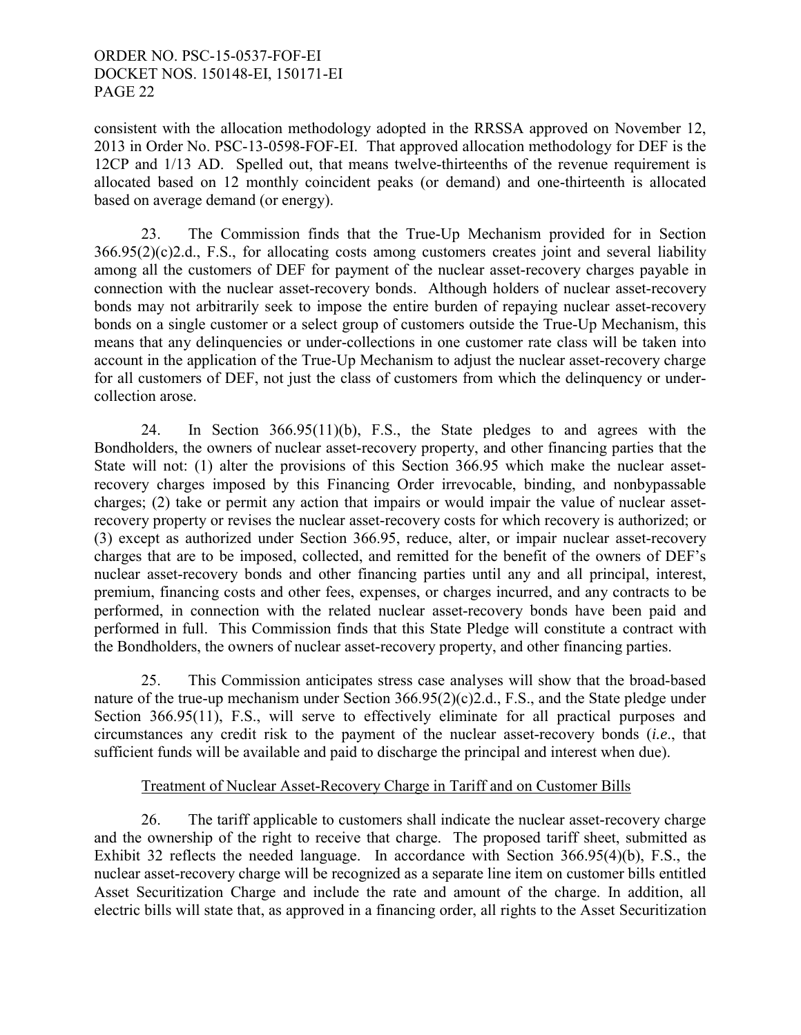consistent with the allocation methodology adopted in the RRSSA approved on November 12, 2013 in Order No. PSC-13-0598-FOF-EI. That approved allocation methodology for DEF is the 12CP and 1/13 AD. Spelled out, that means twelve-thirteenths of the revenue requirement is allocated based on 12 monthly coincident peaks (or demand) and one-thirteenth is allocated based on average demand (or energy).

 23. The Commission finds that the True-Up Mechanism provided for in Section 366.95(2)(c)2.d., F.S., for allocating costs among customers creates joint and several liability among all the customers of DEF for payment of the nuclear asset-recovery charges payable in connection with the nuclear asset-recovery bonds. Although holders of nuclear asset-recovery bonds may not arbitrarily seek to impose the entire burden of repaying nuclear asset-recovery bonds on a single customer or a select group of customers outside the True-Up Mechanism, this means that any delinquencies or under-collections in one customer rate class will be taken into account in the application of the True-Up Mechanism to adjust the nuclear asset-recovery charge for all customers of DEF, not just the class of customers from which the delinquency or undercollection arose.

 24. In Section 366.95(11)(b), F.S., the State pledges to and agrees with the Bondholders, the owners of nuclear asset-recovery property, and other financing parties that the State will not: (1) alter the provisions of this Section 366.95 which make the nuclear assetrecovery charges imposed by this Financing Order irrevocable, binding, and nonbypassable charges; (2) take or permit any action that impairs or would impair the value of nuclear assetrecovery property or revises the nuclear asset-recovery costs for which recovery is authorized; or (3) except as authorized under Section 366.95, reduce, alter, or impair nuclear asset-recovery charges that are to be imposed, collected, and remitted for the benefit of the owners of DEF's nuclear asset-recovery bonds and other financing parties until any and all principal, interest, premium, financing costs and other fees, expenses, or charges incurred, and any contracts to be performed, in connection with the related nuclear asset-recovery bonds have been paid and performed in full. This Commission finds that this State Pledge will constitute a contract with the Bondholders, the owners of nuclear asset-recovery property, and other financing parties.

 25. This Commission anticipates stress case analyses will show that the broad-based nature of the true-up mechanism under Section 366.95(2)(c)2.d., F.S., and the State pledge under Section 366.95(11), F.S., will serve to effectively eliminate for all practical purposes and circumstances any credit risk to the payment of the nuclear asset-recovery bonds (*i.e*., that sufficient funds will be available and paid to discharge the principal and interest when due).

### Treatment of Nuclear Asset-Recovery Charge in Tariff and on Customer Bills

 26. The tariff applicable to customers shall indicate the nuclear asset-recovery charge and the ownership of the right to receive that charge. The proposed tariff sheet, submitted as Exhibit 32 reflects the needed language. In accordance with Section 366.95(4)(b), F.S., the nuclear asset-recovery charge will be recognized as a separate line item on customer bills entitled Asset Securitization Charge and include the rate and amount of the charge. In addition, all electric bills will state that, as approved in a financing order, all rights to the Asset Securitization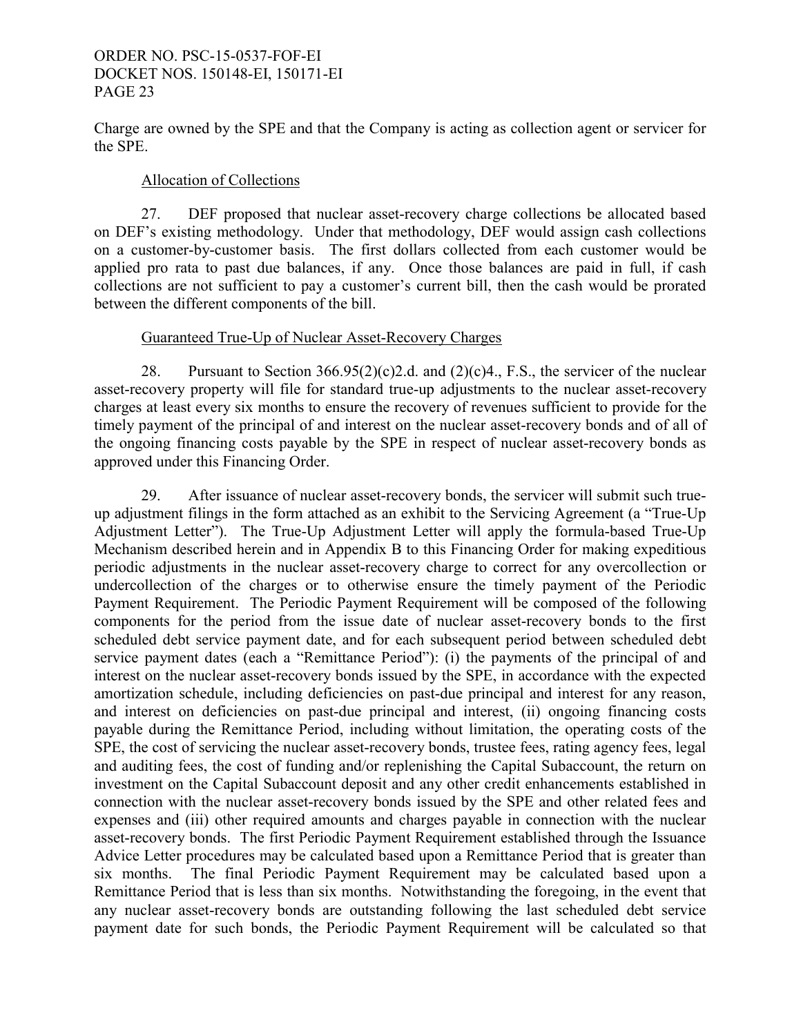Charge are owned by the SPE and that the Company is acting as collection agent or servicer for the SPE.

# Allocation of Collections

 27. DEF proposed that nuclear asset-recovery charge collections be allocated based on DEF's existing methodology. Under that methodology, DEF would assign cash collections on a customer-by-customer basis. The first dollars collected from each customer would be applied pro rata to past due balances, if any. Once those balances are paid in full, if cash collections are not sufficient to pay a customer's current bill, then the cash would be prorated between the different components of the bill.

# Guaranteed True-Up of Nuclear Asset-Recovery Charges

28. Pursuant to Section  $366.95(2)(c)2.d.$  and  $(2)(c)4.$ , F.S., the servicer of the nuclear asset-recovery property will file for standard true-up adjustments to the nuclear asset-recovery charges at least every six months to ensure the recovery of revenues sufficient to provide for the timely payment of the principal of and interest on the nuclear asset-recovery bonds and of all of the ongoing financing costs payable by the SPE in respect of nuclear asset-recovery bonds as approved under this Financing Order.

 29. After issuance of nuclear asset-recovery bonds, the servicer will submit such trueup adjustment filings in the form attached as an exhibit to the Servicing Agreement (a "True-Up Adjustment Letter"). The True-Up Adjustment Letter will apply the formula-based True-Up Mechanism described herein and in Appendix B to this Financing Order for making expeditious periodic adjustments in the nuclear asset-recovery charge to correct for any overcollection or undercollection of the charges or to otherwise ensure the timely payment of the Periodic Payment Requirement. The Periodic Payment Requirement will be composed of the following components for the period from the issue date of nuclear asset-recovery bonds to the first scheduled debt service payment date, and for each subsequent period between scheduled debt service payment dates (each a "Remittance Period"): (i) the payments of the principal of and interest on the nuclear asset-recovery bonds issued by the SPE, in accordance with the expected amortization schedule, including deficiencies on past-due principal and interest for any reason, and interest on deficiencies on past-due principal and interest, (ii) ongoing financing costs payable during the Remittance Period, including without limitation, the operating costs of the SPE, the cost of servicing the nuclear asset-recovery bonds, trustee fees, rating agency fees, legal and auditing fees, the cost of funding and/or replenishing the Capital Subaccount, the return on investment on the Capital Subaccount deposit and any other credit enhancements established in connection with the nuclear asset-recovery bonds issued by the SPE and other related fees and expenses and (iii) other required amounts and charges payable in connection with the nuclear asset-recovery bonds. The first Periodic Payment Requirement established through the Issuance Advice Letter procedures may be calculated based upon a Remittance Period that is greater than six months. The final Periodic Payment Requirement may be calculated based upon a Remittance Period that is less than six months. Notwithstanding the foregoing, in the event that any nuclear asset-recovery bonds are outstanding following the last scheduled debt service payment date for such bonds, the Periodic Payment Requirement will be calculated so that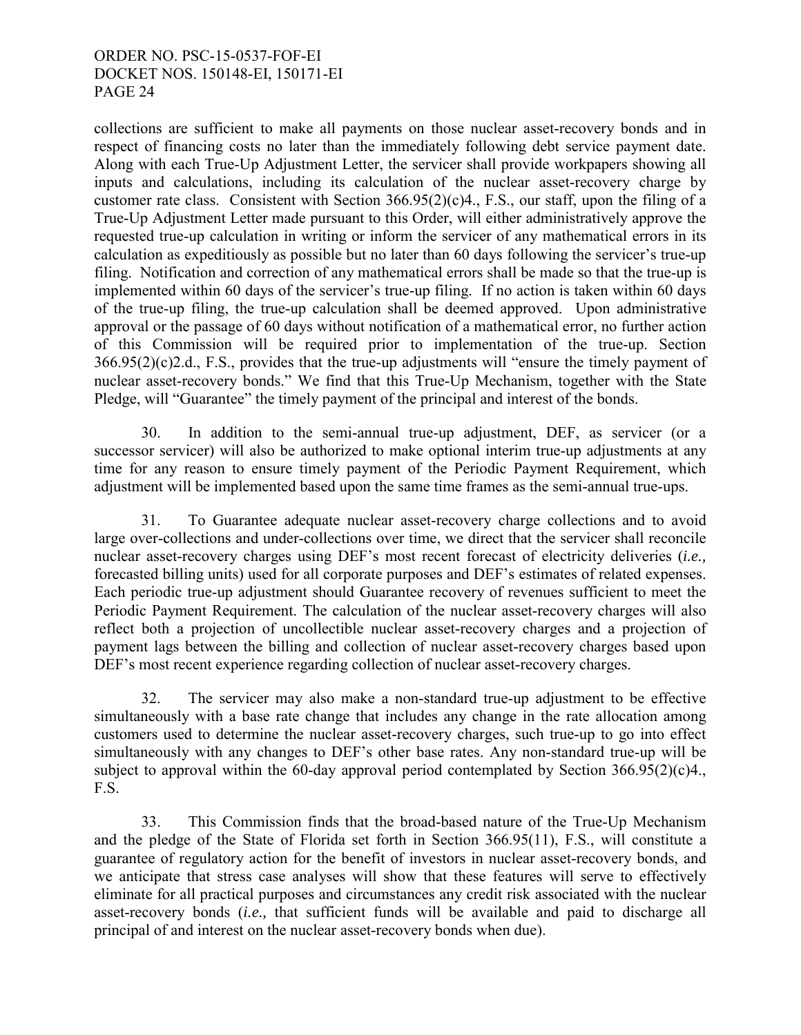collections are sufficient to make all payments on those nuclear asset-recovery bonds and in respect of financing costs no later than the immediately following debt service payment date. Along with each True-Up Adjustment Letter, the servicer shall provide workpapers showing all inputs and calculations, including its calculation of the nuclear asset-recovery charge by customer rate class. Consistent with Section 366.95(2)(c)4., F.S., our staff, upon the filing of a True-Up Adjustment Letter made pursuant to this Order, will either administratively approve the requested true-up calculation in writing or inform the servicer of any mathematical errors in its calculation as expeditiously as possible but no later than 60 days following the servicer's true-up filing. Notification and correction of any mathematical errors shall be made so that the true-up is implemented within 60 days of the servicer's true-up filing. If no action is taken within 60 days of the true-up filing, the true-up calculation shall be deemed approved. Upon administrative approval or the passage of 60 days without notification of a mathematical error, no further action of this Commission will be required prior to implementation of the true-up. Section 366.95(2)(c)2.d., F.S., provides that the true-up adjustments will "ensure the timely payment of nuclear asset-recovery bonds." We find that this True-Up Mechanism, together with the State Pledge, will "Guarantee" the timely payment of the principal and interest of the bonds.

 30. In addition to the semi-annual true-up adjustment, DEF, as servicer (or a successor servicer) will also be authorized to make optional interim true-up adjustments at any time for any reason to ensure timely payment of the Periodic Payment Requirement, which adjustment will be implemented based upon the same time frames as the semi-annual true-ups.

 31. To Guarantee adequate nuclear asset-recovery charge collections and to avoid large over-collections and under-collections over time, we direct that the servicer shall reconcile nuclear asset-recovery charges using DEF's most recent forecast of electricity deliveries (*i.e.,*  forecasted billing units) used for all corporate purposes and DEF's estimates of related expenses. Each periodic true-up adjustment should Guarantee recovery of revenues sufficient to meet the Periodic Payment Requirement. The calculation of the nuclear asset-recovery charges will also reflect both a projection of uncollectible nuclear asset-recovery charges and a projection of payment lags between the billing and collection of nuclear asset-recovery charges based upon DEF's most recent experience regarding collection of nuclear asset-recovery charges.

 32. The servicer may also make a non-standard true-up adjustment to be effective simultaneously with a base rate change that includes any change in the rate allocation among customers used to determine the nuclear asset-recovery charges, such true-up to go into effect simultaneously with any changes to DEF's other base rates. Any non-standard true-up will be subject to approval within the 60-day approval period contemplated by Section  $366.95(2)(c)4$ . F.S.

 33. This Commission finds that the broad-based nature of the True-Up Mechanism and the pledge of the State of Florida set forth in Section 366.95(11), F.S., will constitute a guarantee of regulatory action for the benefit of investors in nuclear asset-recovery bonds, and we anticipate that stress case analyses will show that these features will serve to effectively eliminate for all practical purposes and circumstances any credit risk associated with the nuclear asset-recovery bonds (*i.e.,* that sufficient funds will be available and paid to discharge all principal of and interest on the nuclear asset-recovery bonds when due).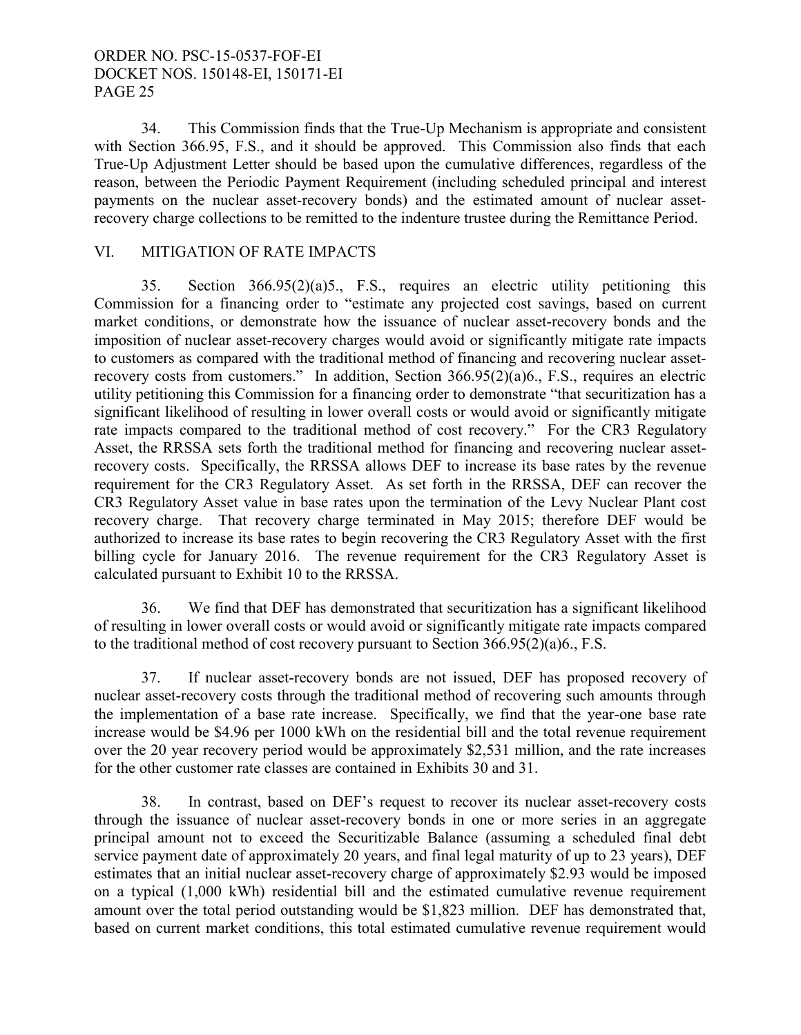34. This Commission finds that the True-Up Mechanism is appropriate and consistent with Section 366.95, F.S., and it should be approved. This Commission also finds that each True-Up Adjustment Letter should be based upon the cumulative differences, regardless of the reason, between the Periodic Payment Requirement (including scheduled principal and interest payments on the nuclear asset-recovery bonds) and the estimated amount of nuclear assetrecovery charge collections to be remitted to the indenture trustee during the Remittance Period.

# VI. MITIGATION OF RATE IMPACTS

 35. Section 366.95(2)(a)5., F.S., requires an electric utility petitioning this Commission for a financing order to "estimate any projected cost savings, based on current market conditions, or demonstrate how the issuance of nuclear asset-recovery bonds and the imposition of nuclear asset-recovery charges would avoid or significantly mitigate rate impacts to customers as compared with the traditional method of financing and recovering nuclear assetrecovery costs from customers." In addition, Section 366.95(2)(a)6., F.S., requires an electric utility petitioning this Commission for a financing order to demonstrate "that securitization has a significant likelihood of resulting in lower overall costs or would avoid or significantly mitigate rate impacts compared to the traditional method of cost recovery." For the CR3 Regulatory Asset, the RRSSA sets forth the traditional method for financing and recovering nuclear assetrecovery costs. Specifically, the RRSSA allows DEF to increase its base rates by the revenue requirement for the CR3 Regulatory Asset. As set forth in the RRSSA, DEF can recover the CR3 Regulatory Asset value in base rates upon the termination of the Levy Nuclear Plant cost recovery charge. That recovery charge terminated in May 2015; therefore DEF would be authorized to increase its base rates to begin recovering the CR3 Regulatory Asset with the first billing cycle for January 2016. The revenue requirement for the CR3 Regulatory Asset is calculated pursuant to Exhibit 10 to the RRSSA.

36. We find that DEF has demonstrated that securitization has a significant likelihood of resulting in lower overall costs or would avoid or significantly mitigate rate impacts compared to the traditional method of cost recovery pursuant to Section 366.95(2)(a)6., F.S.

 37. If nuclear asset-recovery bonds are not issued, DEF has proposed recovery of nuclear asset-recovery costs through the traditional method of recovering such amounts through the implementation of a base rate increase. Specifically, we find that the year-one base rate increase would be \$4.96 per 1000 kWh on the residential bill and the total revenue requirement over the 20 year recovery period would be approximately \$2,531 million, and the rate increases for the other customer rate classes are contained in Exhibits 30 and 31.

 38. In contrast, based on DEF's request to recover its nuclear asset-recovery costs through the issuance of nuclear asset-recovery bonds in one or more series in an aggregate principal amount not to exceed the Securitizable Balance (assuming a scheduled final debt service payment date of approximately 20 years, and final legal maturity of up to 23 years), DEF estimates that an initial nuclear asset-recovery charge of approximately \$2.93 would be imposed on a typical (1,000 kWh) residential bill and the estimated cumulative revenue requirement amount over the total period outstanding would be \$1,823 million. DEF has demonstrated that, based on current market conditions, this total estimated cumulative revenue requirement would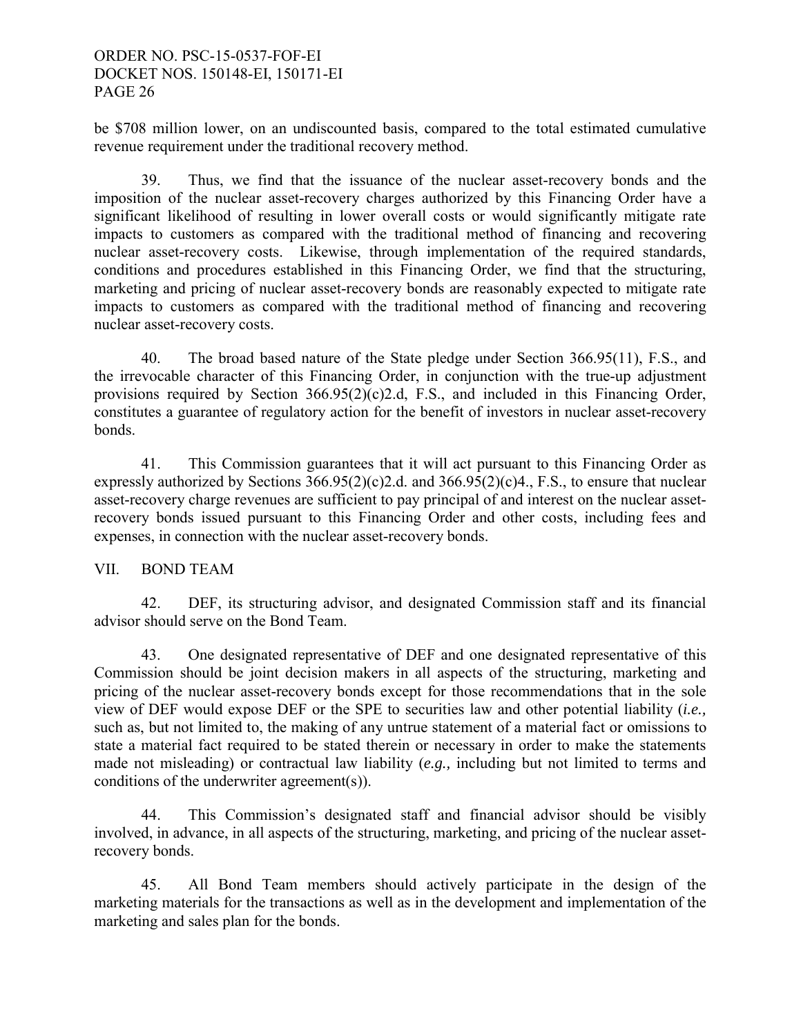be \$708 million lower, on an undiscounted basis, compared to the total estimated cumulative revenue requirement under the traditional recovery method.

 39. Thus, we find that the issuance of the nuclear asset-recovery bonds and the imposition of the nuclear asset-recovery charges authorized by this Financing Order have a significant likelihood of resulting in lower overall costs or would significantly mitigate rate impacts to customers as compared with the traditional method of financing and recovering nuclear asset-recovery costs. Likewise, through implementation of the required standards, conditions and procedures established in this Financing Order, we find that the structuring, marketing and pricing of nuclear asset-recovery bonds are reasonably expected to mitigate rate impacts to customers as compared with the traditional method of financing and recovering nuclear asset-recovery costs.

40. The broad based nature of the State pledge under Section 366.95(11), F.S., and the irrevocable character of this Financing Order, in conjunction with the true-up adjustment provisions required by Section 366.95(2)(c)2.d, F.S., and included in this Financing Order, constitutes a guarantee of regulatory action for the benefit of investors in nuclear asset-recovery bonds.

41. This Commission guarantees that it will act pursuant to this Financing Order as expressly authorized by Sections  $366.95(2)(c)2.d.$  and  $366.95(2)(c)4.$ , F.S., to ensure that nuclear asset-recovery charge revenues are sufficient to pay principal of and interest on the nuclear assetrecovery bonds issued pursuant to this Financing Order and other costs, including fees and expenses, in connection with the nuclear asset-recovery bonds.

# VII. BOND TEAM

42. DEF, its structuring advisor, and designated Commission staff and its financial advisor should serve on the Bond Team.

43. One designated representative of DEF and one designated representative of this Commission should be joint decision makers in all aspects of the structuring, marketing and pricing of the nuclear asset-recovery bonds except for those recommendations that in the sole view of DEF would expose DEF or the SPE to securities law and other potential liability (*i.e.,*  such as, but not limited to, the making of any untrue statement of a material fact or omissions to state a material fact required to be stated therein or necessary in order to make the statements made not misleading) or contractual law liability (*e.g.,* including but not limited to terms and conditions of the underwriter agreement(s)).

44. This Commission's designated staff and financial advisor should be visibly involved, in advance, in all aspects of the structuring, marketing, and pricing of the nuclear assetrecovery bonds.

45. All Bond Team members should actively participate in the design of the marketing materials for the transactions as well as in the development and implementation of the marketing and sales plan for the bonds.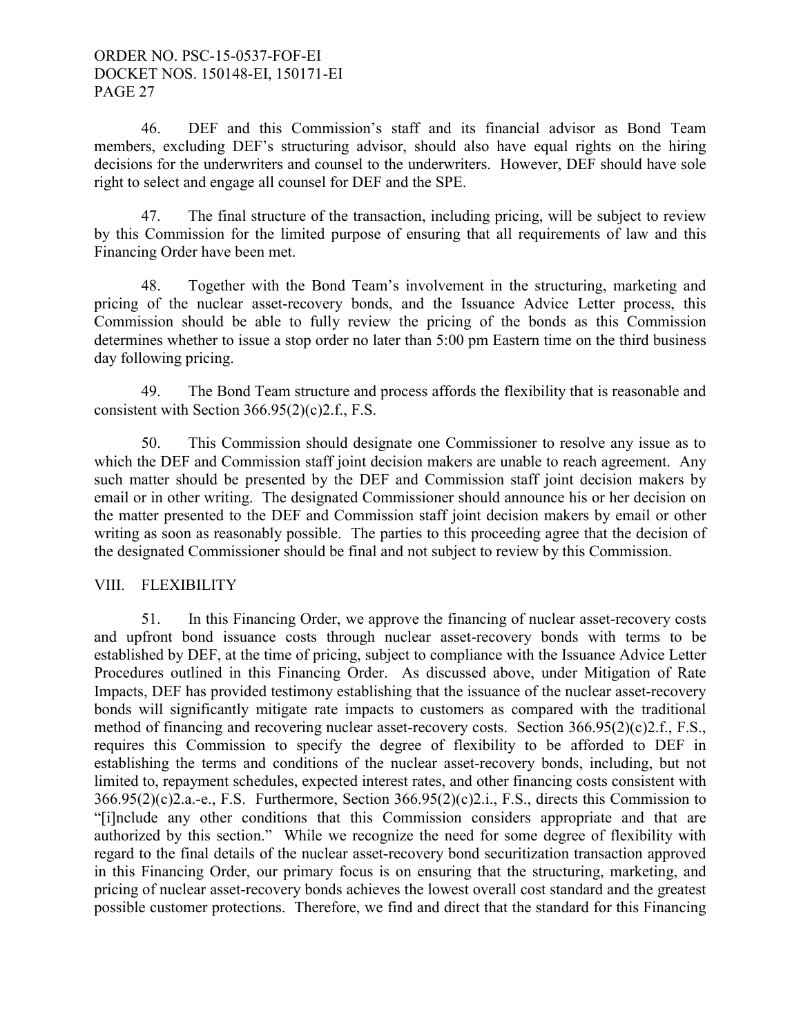46. DEF and this Commission's staff and its financial advisor as Bond Team members, excluding DEF's structuring advisor, should also have equal rights on the hiring decisions for the underwriters and counsel to the underwriters. However, DEF should have sole right to select and engage all counsel for DEF and the SPE.

47. The final structure of the transaction, including pricing, will be subject to review by this Commission for the limited purpose of ensuring that all requirements of law and this Financing Order have been met.

48. Together with the Bond Team's involvement in the structuring, marketing and pricing of the nuclear asset-recovery bonds, and the Issuance Advice Letter process, this Commission should be able to fully review the pricing of the bonds as this Commission determines whether to issue a stop order no later than 5:00 pm Eastern time on the third business day following pricing.

49. The Bond Team structure and process affords the flexibility that is reasonable and consistent with Section 366.95(2)(c)2.f., F.S.

50. This Commission should designate one Commissioner to resolve any issue as to which the DEF and Commission staff joint decision makers are unable to reach agreement. Any such matter should be presented by the DEF and Commission staff joint decision makers by email or in other writing. The designated Commissioner should announce his or her decision on the matter presented to the DEF and Commission staff joint decision makers by email or other writing as soon as reasonably possible. The parties to this proceeding agree that the decision of the designated Commissioner should be final and not subject to review by this Commission.

# VIII. FLEXIBILITY

 51. In this Financing Order, we approve the financing of nuclear asset-recovery costs and upfront bond issuance costs through nuclear asset-recovery bonds with terms to be established by DEF, at the time of pricing, subject to compliance with the Issuance Advice Letter Procedures outlined in this Financing Order. As discussed above, under Mitigation of Rate Impacts, DEF has provided testimony establishing that the issuance of the nuclear asset-recovery bonds will significantly mitigate rate impacts to customers as compared with the traditional method of financing and recovering nuclear asset-recovery costs. Section 366.95(2)(c)2.f., F.S., requires this Commission to specify the degree of flexibility to be afforded to DEF in establishing the terms and conditions of the nuclear asset-recovery bonds, including, but not limited to, repayment schedules, expected interest rates, and other financing costs consistent with 366.95(2)(c)2.a.-e., F.S. Furthermore, Section 366.95(2)(c)2.i., F.S., directs this Commission to "[i]nclude any other conditions that this Commission considers appropriate and that are authorized by this section." While we recognize the need for some degree of flexibility with regard to the final details of the nuclear asset-recovery bond securitization transaction approved in this Financing Order, our primary focus is on ensuring that the structuring, marketing, and pricing of nuclear asset-recovery bonds achieves the lowest overall cost standard and the greatest possible customer protections. Therefore, we find and direct that the standard for this Financing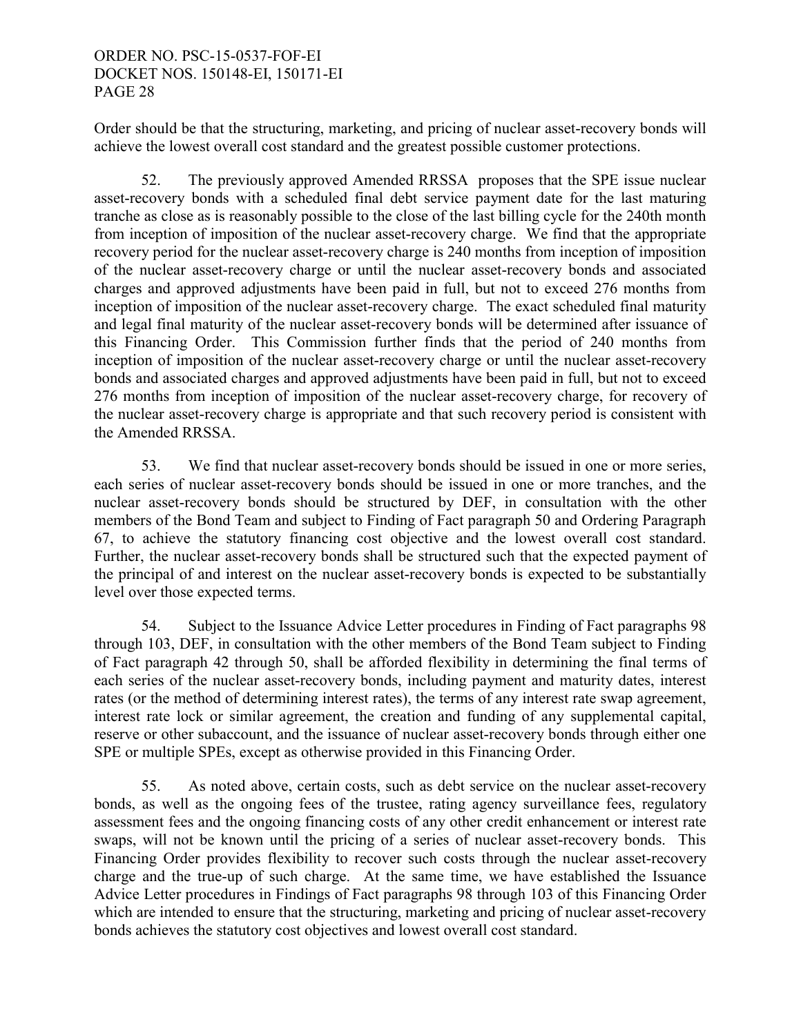Order should be that the structuring, marketing, and pricing of nuclear asset-recovery bonds will achieve the lowest overall cost standard and the greatest possible customer protections.

 52. The previously approved Amended RRSSA proposes that the SPE issue nuclear asset-recovery bonds with a scheduled final debt service payment date for the last maturing tranche as close as is reasonably possible to the close of the last billing cycle for the 240th month from inception of imposition of the nuclear asset-recovery charge. We find that the appropriate recovery period for the nuclear asset-recovery charge is 240 months from inception of imposition of the nuclear asset-recovery charge or until the nuclear asset-recovery bonds and associated charges and approved adjustments have been paid in full, but not to exceed 276 months from inception of imposition of the nuclear asset-recovery charge. The exact scheduled final maturity and legal final maturity of the nuclear asset-recovery bonds will be determined after issuance of this Financing Order. This Commission further finds that the period of 240 months from inception of imposition of the nuclear asset-recovery charge or until the nuclear asset-recovery bonds and associated charges and approved adjustments have been paid in full, but not to exceed 276 months from inception of imposition of the nuclear asset-recovery charge, for recovery of the nuclear asset-recovery charge is appropriate and that such recovery period is consistent with the Amended RRSSA.

 53. We find that nuclear asset-recovery bonds should be issued in one or more series, each series of nuclear asset-recovery bonds should be issued in one or more tranches, and the nuclear asset-recovery bonds should be structured by DEF, in consultation with the other members of the Bond Team and subject to Finding of Fact paragraph 50 and Ordering Paragraph 67, to achieve the statutory financing cost objective and the lowest overall cost standard. Further, the nuclear asset-recovery bonds shall be structured such that the expected payment of the principal of and interest on the nuclear asset-recovery bonds is expected to be substantially level over those expected terms.

 54. Subject to the Issuance Advice Letter procedures in Finding of Fact paragraphs 98 through 103, DEF, in consultation with the other members of the Bond Team subject to Finding of Fact paragraph 42 through 50, shall be afforded flexibility in determining the final terms of each series of the nuclear asset-recovery bonds, including payment and maturity dates, interest rates (or the method of determining interest rates), the terms of any interest rate swap agreement, interest rate lock or similar agreement, the creation and funding of any supplemental capital, reserve or other subaccount, and the issuance of nuclear asset-recovery bonds through either one SPE or multiple SPEs, except as otherwise provided in this Financing Order.

 55. As noted above, certain costs, such as debt service on the nuclear asset-recovery bonds, as well as the ongoing fees of the trustee, rating agency surveillance fees, regulatory assessment fees and the ongoing financing costs of any other credit enhancement or interest rate swaps, will not be known until the pricing of a series of nuclear asset-recovery bonds. This Financing Order provides flexibility to recover such costs through the nuclear asset-recovery charge and the true-up of such charge. At the same time, we have established the Issuance Advice Letter procedures in Findings of Fact paragraphs 98 through 103 of this Financing Order which are intended to ensure that the structuring, marketing and pricing of nuclear asset-recovery bonds achieves the statutory cost objectives and lowest overall cost standard.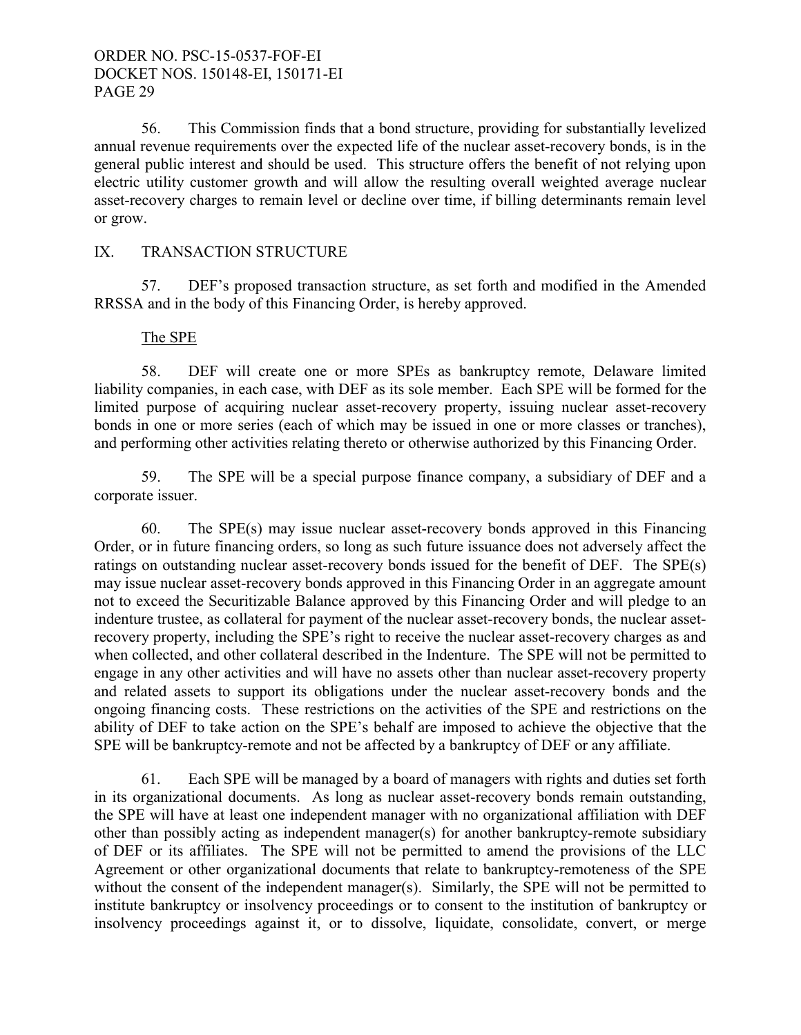56. This Commission finds that a bond structure, providing for substantially levelized annual revenue requirements over the expected life of the nuclear asset-recovery bonds, is in the general public interest and should be used. This structure offers the benefit of not relying upon electric utility customer growth and will allow the resulting overall weighted average nuclear asset-recovery charges to remain level or decline over time, if billing determinants remain level or grow.

# IX. TRANSACTION STRUCTURE

 57. DEF's proposed transaction structure, as set forth and modified in the Amended RRSSA and in the body of this Financing Order, is hereby approved.

#### The SPE

 58. DEF will create one or more SPEs as bankruptcy remote, Delaware limited liability companies, in each case, with DEF as its sole member. Each SPE will be formed for the limited purpose of acquiring nuclear asset-recovery property, issuing nuclear asset-recovery bonds in one or more series (each of which may be issued in one or more classes or tranches), and performing other activities relating thereto or otherwise authorized by this Financing Order.

59. The SPE will be a special purpose finance company, a subsidiary of DEF and a corporate issuer.

 60. The SPE(s) may issue nuclear asset-recovery bonds approved in this Financing Order, or in future financing orders, so long as such future issuance does not adversely affect the ratings on outstanding nuclear asset-recovery bonds issued for the benefit of DEF. The SPE(s) may issue nuclear asset-recovery bonds approved in this Financing Order in an aggregate amount not to exceed the Securitizable Balance approved by this Financing Order and will pledge to an indenture trustee, as collateral for payment of the nuclear asset-recovery bonds, the nuclear assetrecovery property, including the SPE's right to receive the nuclear asset-recovery charges as and when collected, and other collateral described in the Indenture. The SPE will not be permitted to engage in any other activities and will have no assets other than nuclear asset-recovery property and related assets to support its obligations under the nuclear asset-recovery bonds and the ongoing financing costs. These restrictions on the activities of the SPE and restrictions on the ability of DEF to take action on the SPE's behalf are imposed to achieve the objective that the SPE will be bankruptcy-remote and not be affected by a bankruptcy of DEF or any affiliate.

 61. Each SPE will be managed by a board of managers with rights and duties set forth in its organizational documents. As long as nuclear asset-recovery bonds remain outstanding, the SPE will have at least one independent manager with no organizational affiliation with DEF other than possibly acting as independent manager(s) for another bankruptcy-remote subsidiary of DEF or its affiliates. The SPE will not be permitted to amend the provisions of the LLC Agreement or other organizational documents that relate to bankruptcy-remoteness of the SPE without the consent of the independent manager(s). Similarly, the SPE will not be permitted to institute bankruptcy or insolvency proceedings or to consent to the institution of bankruptcy or insolvency proceedings against it, or to dissolve, liquidate, consolidate, convert, or merge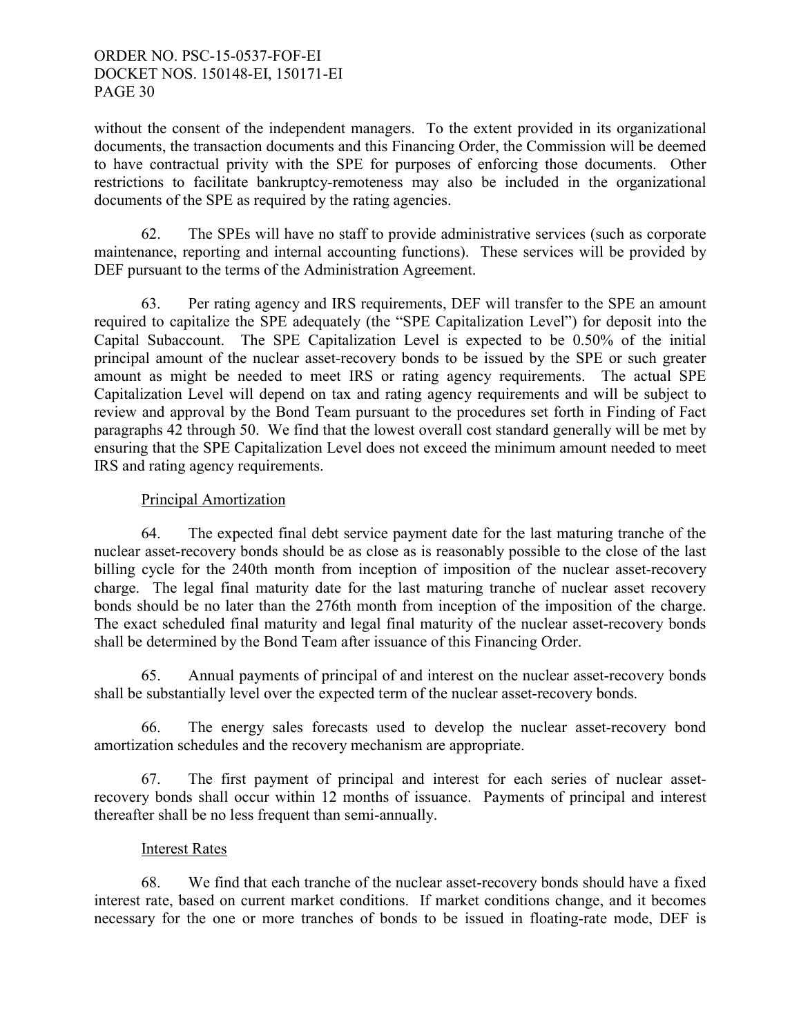without the consent of the independent managers. To the extent provided in its organizational documents, the transaction documents and this Financing Order, the Commission will be deemed to have contractual privity with the SPE for purposes of enforcing those documents. Other restrictions to facilitate bankruptcy-remoteness may also be included in the organizational documents of the SPE as required by the rating agencies.

 62. The SPEs will have no staff to provide administrative services (such as corporate maintenance, reporting and internal accounting functions). These services will be provided by DEF pursuant to the terms of the Administration Agreement.

 63. Per rating agency and IRS requirements, DEF will transfer to the SPE an amount required to capitalize the SPE adequately (the "SPE Capitalization Level") for deposit into the Capital Subaccount. The SPE Capitalization Level is expected to be 0.50% of the initial principal amount of the nuclear asset-recovery bonds to be issued by the SPE or such greater amount as might be needed to meet IRS or rating agency requirements. The actual SPE Capitalization Level will depend on tax and rating agency requirements and will be subject to review and approval by the Bond Team pursuant to the procedures set forth in Finding of Fact paragraphs 42 through 50. We find that the lowest overall cost standard generally will be met by ensuring that the SPE Capitalization Level does not exceed the minimum amount needed to meet IRS and rating agency requirements.

# Principal Amortization

 64. The expected final debt service payment date for the last maturing tranche of the nuclear asset-recovery bonds should be as close as is reasonably possible to the close of the last billing cycle for the 240th month from inception of imposition of the nuclear asset-recovery charge. The legal final maturity date for the last maturing tranche of nuclear asset recovery bonds should be no later than the 276th month from inception of the imposition of the charge. The exact scheduled final maturity and legal final maturity of the nuclear asset-recovery bonds shall be determined by the Bond Team after issuance of this Financing Order.

 65. Annual payments of principal of and interest on the nuclear asset-recovery bonds shall be substantially level over the expected term of the nuclear asset-recovery bonds.

66. The energy sales forecasts used to develop the nuclear asset-recovery bond amortization schedules and the recovery mechanism are appropriate.

 67. The first payment of principal and interest for each series of nuclear assetrecovery bonds shall occur within 12 months of issuance. Payments of principal and interest thereafter shall be no less frequent than semi-annually.

# Interest Rates

 68. We find that each tranche of the nuclear asset-recovery bonds should have a fixed interest rate, based on current market conditions. If market conditions change, and it becomes necessary for the one or more tranches of bonds to be issued in floating-rate mode, DEF is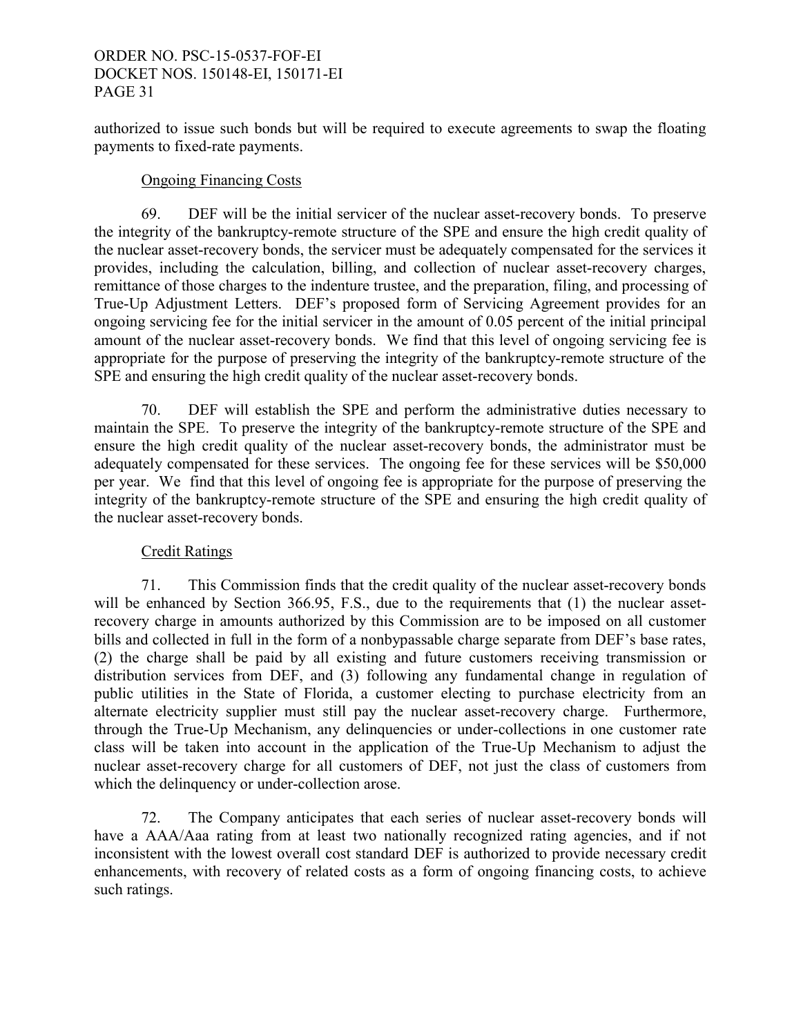authorized to issue such bonds but will be required to execute agreements to swap the floating payments to fixed-rate payments.

# Ongoing Financing Costs

 69. DEF will be the initial servicer of the nuclear asset-recovery bonds. To preserve the integrity of the bankruptcy-remote structure of the SPE and ensure the high credit quality of the nuclear asset-recovery bonds, the servicer must be adequately compensated for the services it provides, including the calculation, billing, and collection of nuclear asset-recovery charges, remittance of those charges to the indenture trustee, and the preparation, filing, and processing of True-Up Adjustment Letters. DEF's proposed form of Servicing Agreement provides for an ongoing servicing fee for the initial servicer in the amount of 0.05 percent of the initial principal amount of the nuclear asset-recovery bonds. We find that this level of ongoing servicing fee is appropriate for the purpose of preserving the integrity of the bankruptcy-remote structure of the SPE and ensuring the high credit quality of the nuclear asset-recovery bonds.

 70. DEF will establish the SPE and perform the administrative duties necessary to maintain the SPE. To preserve the integrity of the bankruptcy-remote structure of the SPE and ensure the high credit quality of the nuclear asset-recovery bonds, the administrator must be adequately compensated for these services. The ongoing fee for these services will be \$50,000 per year. We find that this level of ongoing fee is appropriate for the purpose of preserving the integrity of the bankruptcy-remote structure of the SPE and ensuring the high credit quality of the nuclear asset-recovery bonds.

# Credit Ratings

71. This Commission finds that the credit quality of the nuclear asset-recovery bonds will be enhanced by Section 366.95, F.S., due to the requirements that (1) the nuclear assetrecovery charge in amounts authorized by this Commission are to be imposed on all customer bills and collected in full in the form of a nonbypassable charge separate from DEF's base rates, (2) the charge shall be paid by all existing and future customers receiving transmission or distribution services from DEF, and (3) following any fundamental change in regulation of public utilities in the State of Florida, a customer electing to purchase electricity from an alternate electricity supplier must still pay the nuclear asset-recovery charge. Furthermore, through the True-Up Mechanism, any delinquencies or under-collections in one customer rate class will be taken into account in the application of the True-Up Mechanism to adjust the nuclear asset-recovery charge for all customers of DEF, not just the class of customers from which the delinquency or under-collection arose.

 72. The Company anticipates that each series of nuclear asset-recovery bonds will have a AAA/Aaa rating from at least two nationally recognized rating agencies, and if not inconsistent with the lowest overall cost standard DEF is authorized to provide necessary credit enhancements, with recovery of related costs as a form of ongoing financing costs, to achieve such ratings.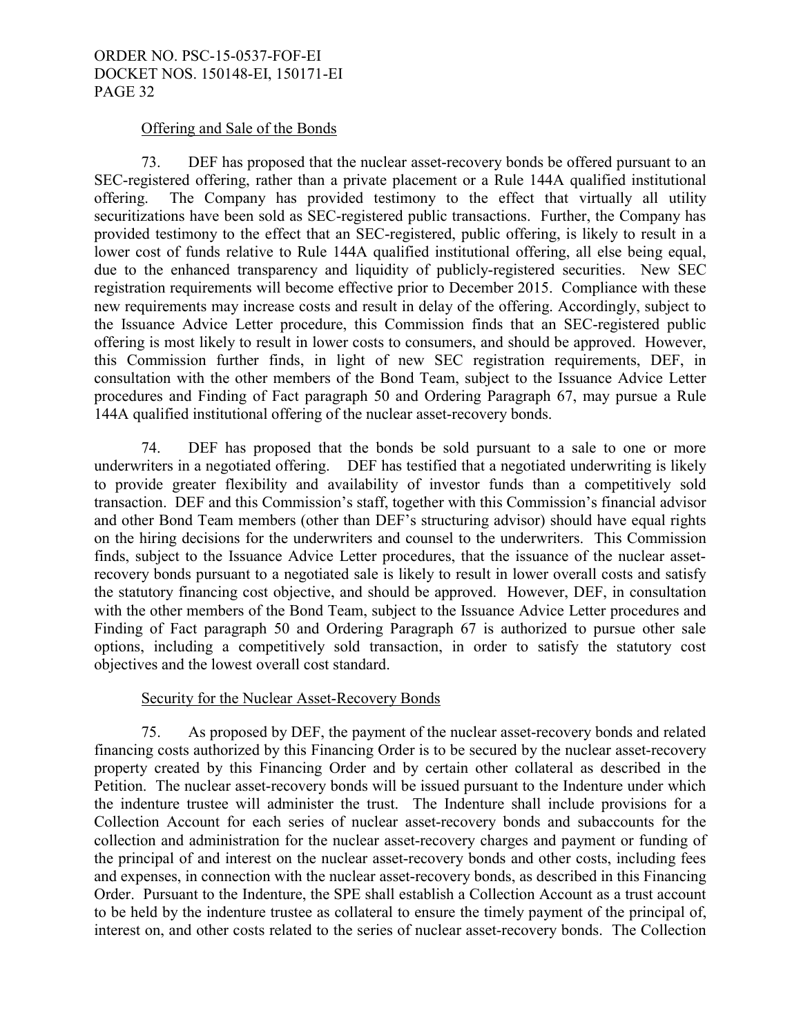### Offering and Sale of the Bonds

 73. DEF has proposed that the nuclear asset-recovery bonds be offered pursuant to an SEC-registered offering, rather than a private placement or a Rule 144A qualified institutional offering. The Company has provided testimony to the effect that virtually all utility securitizations have been sold as SEC-registered public transactions. Further, the Company has provided testimony to the effect that an SEC-registered, public offering, is likely to result in a lower cost of funds relative to Rule 144A qualified institutional offering, all else being equal, due to the enhanced transparency and liquidity of publicly-registered securities. New SEC registration requirements will become effective prior to December 2015. Compliance with these new requirements may increase costs and result in delay of the offering. Accordingly, subject to the Issuance Advice Letter procedure, this Commission finds that an SEC-registered public offering is most likely to result in lower costs to consumers, and should be approved. However, this Commission further finds, in light of new SEC registration requirements, DEF, in consultation with the other members of the Bond Team, subject to the Issuance Advice Letter procedures and Finding of Fact paragraph 50 and Ordering Paragraph 67, may pursue a Rule 144A qualified institutional offering of the nuclear asset-recovery bonds.

 74. DEF has proposed that the bonds be sold pursuant to a sale to one or more underwriters in a negotiated offering. DEF has testified that a negotiated underwriting is likely to provide greater flexibility and availability of investor funds than a competitively sold transaction. DEF and this Commission's staff, together with this Commission's financial advisor and other Bond Team members (other than DEF's structuring advisor) should have equal rights on the hiring decisions for the underwriters and counsel to the underwriters. This Commission finds, subject to the Issuance Advice Letter procedures, that the issuance of the nuclear assetrecovery bonds pursuant to a negotiated sale is likely to result in lower overall costs and satisfy the statutory financing cost objective, and should be approved. However, DEF, in consultation with the other members of the Bond Team, subject to the Issuance Advice Letter procedures and Finding of Fact paragraph 50 and Ordering Paragraph 67 is authorized to pursue other sale options, including a competitively sold transaction, in order to satisfy the statutory cost objectives and the lowest overall cost standard.

### Security for the Nuclear Asset-Recovery Bonds

 75. As proposed by DEF, the payment of the nuclear asset-recovery bonds and related financing costs authorized by this Financing Order is to be secured by the nuclear asset-recovery property created by this Financing Order and by certain other collateral as described in the Petition. The nuclear asset-recovery bonds will be issued pursuant to the Indenture under which the indenture trustee will administer the trust. The Indenture shall include provisions for a Collection Account for each series of nuclear asset-recovery bonds and subaccounts for the collection and administration for the nuclear asset-recovery charges and payment or funding of the principal of and interest on the nuclear asset-recovery bonds and other costs, including fees and expenses, in connection with the nuclear asset-recovery bonds, as described in this Financing Order. Pursuant to the Indenture, the SPE shall establish a Collection Account as a trust account to be held by the indenture trustee as collateral to ensure the timely payment of the principal of, interest on, and other costs related to the series of nuclear asset-recovery bonds. The Collection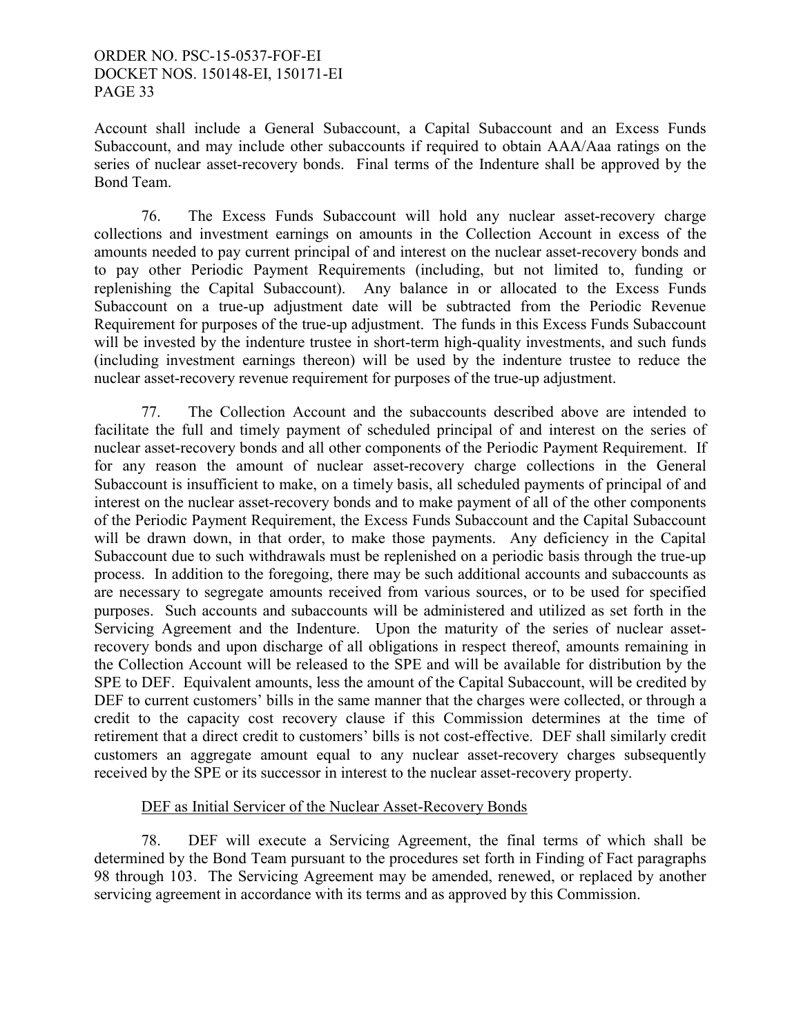Account shall include a General Subaccount, a Capital Subaccount and an Excess Funds Subaccount, and may include other subaccounts if required to obtain AAA/Aaa ratings on the series of nuclear asset-recovery bonds. Final terms of the Indenture shall be approved by the Bond Team.

 76. The Excess Funds Subaccount will hold any nuclear asset-recovery charge collections and investment earnings on amounts in the Collection Account in excess of the amounts needed to pay current principal of and interest on the nuclear asset-recovery bonds and to pay other Periodic Payment Requirements (including, but not limited to, funding or replenishing the Capital Subaccount). Any balance in or allocated to the Excess Funds Subaccount on a true-up adjustment date will be subtracted from the Periodic Revenue Requirement for purposes of the true-up adjustment. The funds in this Excess Funds Subaccount will be invested by the indenture trustee in short-term high-quality investments, and such funds (including investment earnings thereon) will be used by the indenture trustee to reduce the nuclear asset-recovery revenue requirement for purposes of the true-up adjustment.

 77. The Collection Account and the subaccounts described above are intended to facilitate the full and timely payment of scheduled principal of and interest on the series of nuclear asset-recovery bonds and all other components of the Periodic Payment Requirement. If for any reason the amount of nuclear asset-recovery charge collections in the General Subaccount is insufficient to make, on a timely basis, all scheduled payments of principal of and interest on the nuclear asset-recovery bonds and to make payment of all of the other components of the Periodic Payment Requirement, the Excess Funds Subaccount and the Capital Subaccount will be drawn down, in that order, to make those payments. Any deficiency in the Capital Subaccount due to such withdrawals must be replenished on a periodic basis through the true-up process. In addition to the foregoing, there may be such additional accounts and subaccounts as are necessary to segregate amounts received from various sources, or to be used for specified purposes. Such accounts and subaccounts will be administered and utilized as set forth in the Servicing Agreement and the Indenture. Upon the maturity of the series of nuclear assetrecovery bonds and upon discharge of all obligations in respect thereof, amounts remaining in the Collection Account will be released to the SPE and will be available for distribution by the SPE to DEF. Equivalent amounts, less the amount of the Capital Subaccount, will be credited by DEF to current customers' bills in the same manner that the charges were collected, or through a credit to the capacity cost recovery clause if this Commission determines at the time of retirement that a direct credit to customers' bills is not cost-effective. DEF shall similarly credit customers an aggregate amount equal to any nuclear asset-recovery charges subsequently received by the SPE or its successor in interest to the nuclear asset-recovery property.

### DEF as Initial Servicer of the Nuclear Asset-Recovery Bonds

 78. DEF will execute a Servicing Agreement, the final terms of which shall be determined by the Bond Team pursuant to the procedures set forth in Finding of Fact paragraphs 98 through 103. The Servicing Agreement may be amended, renewed, or replaced by another servicing agreement in accordance with its terms and as approved by this Commission.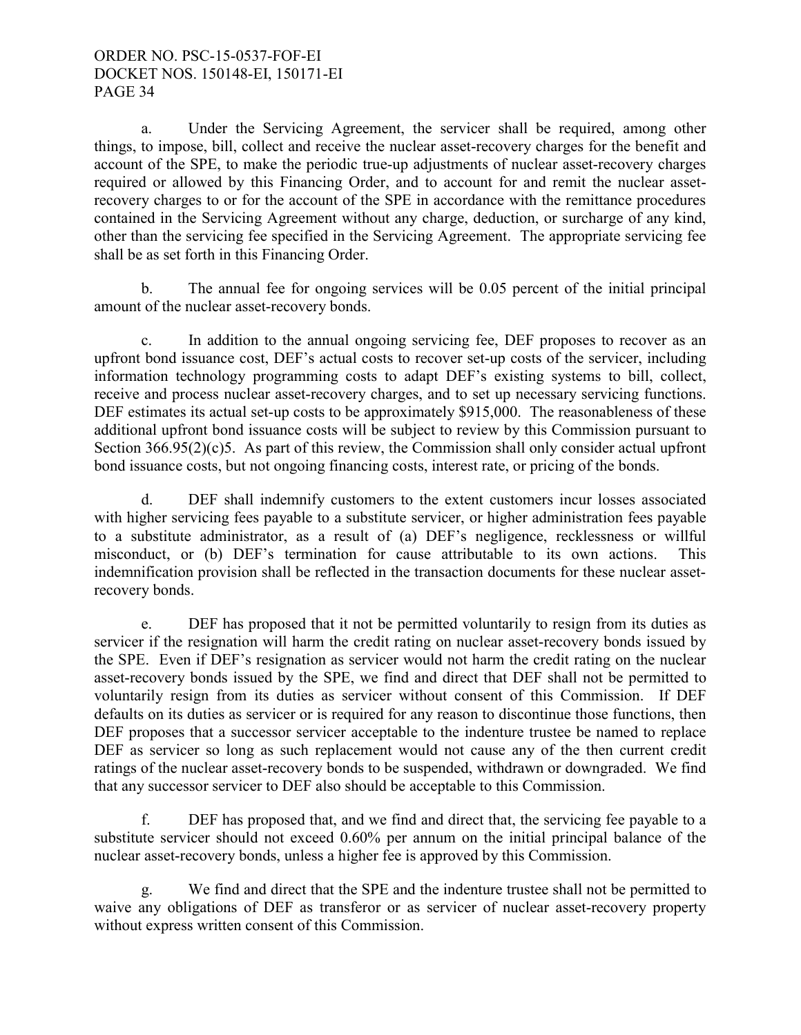a. Under the Servicing Agreement, the servicer shall be required, among other things, to impose, bill, collect and receive the nuclear asset-recovery charges for the benefit and account of the SPE, to make the periodic true-up adjustments of nuclear asset-recovery charges required or allowed by this Financing Order, and to account for and remit the nuclear assetrecovery charges to or for the account of the SPE in accordance with the remittance procedures contained in the Servicing Agreement without any charge, deduction, or surcharge of any kind, other than the servicing fee specified in the Servicing Agreement. The appropriate servicing fee shall be as set forth in this Financing Order.

b. The annual fee for ongoing services will be 0.05 percent of the initial principal amount of the nuclear asset-recovery bonds.

c. In addition to the annual ongoing servicing fee, DEF proposes to recover as an upfront bond issuance cost, DEF's actual costs to recover set-up costs of the servicer, including information technology programming costs to adapt DEF's existing systems to bill, collect, receive and process nuclear asset-recovery charges, and to set up necessary servicing functions. DEF estimates its actual set-up costs to be approximately \$915,000. The reasonableness of these additional upfront bond issuance costs will be subject to review by this Commission pursuant to Section 366.95(2)(c)5. As part of this review, the Commission shall only consider actual upfront bond issuance costs, but not ongoing financing costs, interest rate, or pricing of the bonds.

d. DEF shall indemnify customers to the extent customers incur losses associated with higher servicing fees payable to a substitute servicer, or higher administration fees payable to a substitute administrator, as a result of (a) DEF's negligence, recklessness or willful misconduct, or (b) DEF's termination for cause attributable to its own actions. This indemnification provision shall be reflected in the transaction documents for these nuclear assetrecovery bonds.

e. DEF has proposed that it not be permitted voluntarily to resign from its duties as servicer if the resignation will harm the credit rating on nuclear asset-recovery bonds issued by the SPE. Even if DEF's resignation as servicer would not harm the credit rating on the nuclear asset-recovery bonds issued by the SPE, we find and direct that DEF shall not be permitted to voluntarily resign from its duties as servicer without consent of this Commission. If DEF defaults on its duties as servicer or is required for any reason to discontinue those functions, then DEF proposes that a successor servicer acceptable to the indenture trustee be named to replace DEF as servicer so long as such replacement would not cause any of the then current credit ratings of the nuclear asset-recovery bonds to be suspended, withdrawn or downgraded. We find that any successor servicer to DEF also should be acceptable to this Commission.

f. DEF has proposed that, and we find and direct that, the servicing fee payable to a substitute servicer should not exceed 0.60% per annum on the initial principal balance of the nuclear asset-recovery bonds, unless a higher fee is approved by this Commission.

g. We find and direct that the SPE and the indenture trustee shall not be permitted to waive any obligations of DEF as transferor or as servicer of nuclear asset-recovery property without express written consent of this Commission.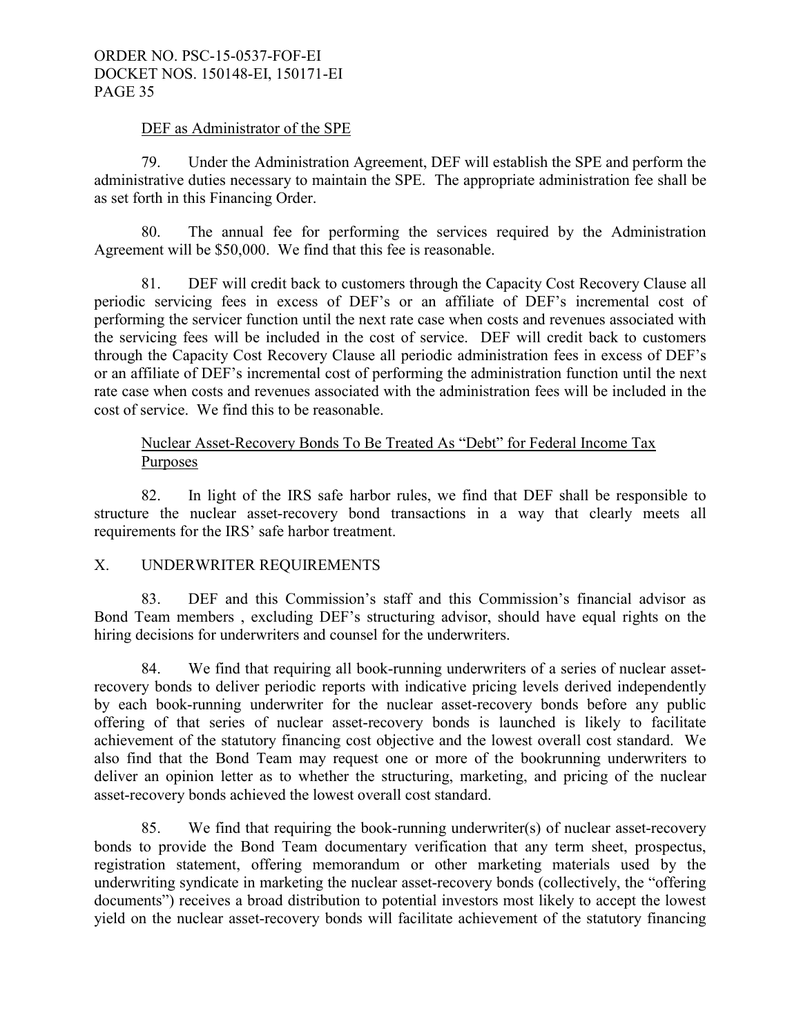#### DEF as Administrator of the SPE

 79. Under the Administration Agreement, DEF will establish the SPE and perform the administrative duties necessary to maintain the SPE. The appropriate administration fee shall be as set forth in this Financing Order.

 80. The annual fee for performing the services required by the Administration Agreement will be \$50,000. We find that this fee is reasonable.

81. DEF will credit back to customers through the Capacity Cost Recovery Clause all periodic servicing fees in excess of DEF's or an affiliate of DEF's incremental cost of performing the servicer function until the next rate case when costs and revenues associated with the servicing fees will be included in the cost of service. DEF will credit back to customers through the Capacity Cost Recovery Clause all periodic administration fees in excess of DEF's or an affiliate of DEF's incremental cost of performing the administration function until the next rate case when costs and revenues associated with the administration fees will be included in the cost of service. We find this to be reasonable.

# Nuclear Asset-Recovery Bonds To Be Treated As "Debt" for Federal Income Tax Purposes

 82. In light of the IRS safe harbor rules, we find that DEF shall be responsible to structure the nuclear asset-recovery bond transactions in a way that clearly meets all requirements for the IRS' safe harbor treatment.

### X. UNDERWRITER REQUIREMENTS

 83. DEF and this Commission's staff and this Commission's financial advisor as Bond Team members , excluding DEF's structuring advisor, should have equal rights on the hiring decisions for underwriters and counsel for the underwriters.

 84. We find that requiring all book-running underwriters of a series of nuclear assetrecovery bonds to deliver periodic reports with indicative pricing levels derived independently by each book-running underwriter for the nuclear asset-recovery bonds before any public offering of that series of nuclear asset-recovery bonds is launched is likely to facilitate achievement of the statutory financing cost objective and the lowest overall cost standard. We also find that the Bond Team may request one or more of the bookrunning underwriters to deliver an opinion letter as to whether the structuring, marketing, and pricing of the nuclear asset-recovery bonds achieved the lowest overall cost standard.

 85. We find that requiring the book-running underwriter(s) of nuclear asset-recovery bonds to provide the Bond Team documentary verification that any term sheet, prospectus, registration statement, offering memorandum or other marketing materials used by the underwriting syndicate in marketing the nuclear asset-recovery bonds (collectively, the "offering documents") receives a broad distribution to potential investors most likely to accept the lowest yield on the nuclear asset-recovery bonds will facilitate achievement of the statutory financing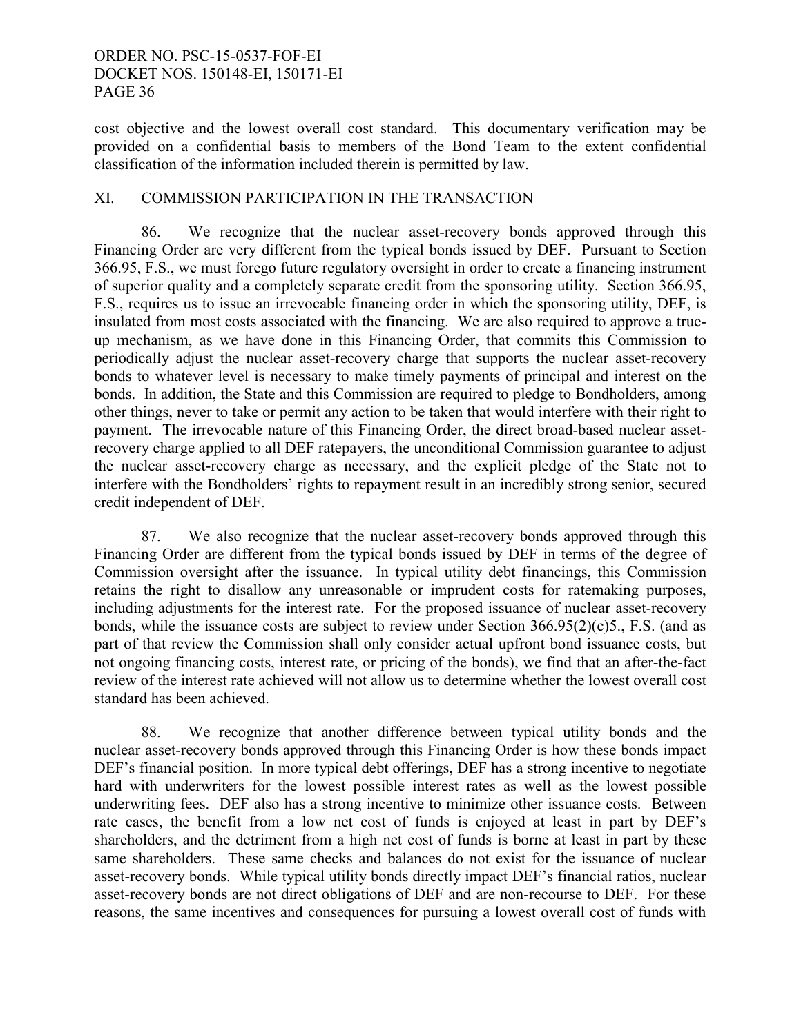cost objective and the lowest overall cost standard. This documentary verification may be provided on a confidential basis to members of the Bond Team to the extent confidential classification of the information included therein is permitted by law.

# XI. COMMISSION PARTICIPATION IN THE TRANSACTION

86. We recognize that the nuclear asset-recovery bonds approved through this Financing Order are very different from the typical bonds issued by DEF. Pursuant to Section 366.95, F.S., we must forego future regulatory oversight in order to create a financing instrument of superior quality and a completely separate credit from the sponsoring utility. Section 366.95, F.S., requires us to issue an irrevocable financing order in which the sponsoring utility, DEF, is insulated from most costs associated with the financing. We are also required to approve a trueup mechanism, as we have done in this Financing Order, that commits this Commission to periodically adjust the nuclear asset-recovery charge that supports the nuclear asset-recovery bonds to whatever level is necessary to make timely payments of principal and interest on the bonds. In addition, the State and this Commission are required to pledge to Bondholders, among other things, never to take or permit any action to be taken that would interfere with their right to payment. The irrevocable nature of this Financing Order, the direct broad-based nuclear assetrecovery charge applied to all DEF ratepayers, the unconditional Commission guarantee to adjust the nuclear asset-recovery charge as necessary, and the explicit pledge of the State not to interfere with the Bondholders' rights to repayment result in an incredibly strong senior, secured credit independent of DEF.

87. We also recognize that the nuclear asset-recovery bonds approved through this Financing Order are different from the typical bonds issued by DEF in terms of the degree of Commission oversight after the issuance. In typical utility debt financings, this Commission retains the right to disallow any unreasonable or imprudent costs for ratemaking purposes, including adjustments for the interest rate. For the proposed issuance of nuclear asset-recovery bonds, while the issuance costs are subject to review under Section 366.95(2)(c)5., F.S. (and as part of that review the Commission shall only consider actual upfront bond issuance costs, but not ongoing financing costs, interest rate, or pricing of the bonds), we find that an after-the-fact review of the interest rate achieved will not allow us to determine whether the lowest overall cost standard has been achieved.

88. We recognize that another difference between typical utility bonds and the nuclear asset-recovery bonds approved through this Financing Order is how these bonds impact DEF's financial position. In more typical debt offerings, DEF has a strong incentive to negotiate hard with underwriters for the lowest possible interest rates as well as the lowest possible underwriting fees. DEF also has a strong incentive to minimize other issuance costs. Between rate cases, the benefit from a low net cost of funds is enjoyed at least in part by DEF's shareholders, and the detriment from a high net cost of funds is borne at least in part by these same shareholders. These same checks and balances do not exist for the issuance of nuclear asset-recovery bonds. While typical utility bonds directly impact DEF's financial ratios, nuclear asset-recovery bonds are not direct obligations of DEF and are non-recourse to DEF. For these reasons, the same incentives and consequences for pursuing a lowest overall cost of funds with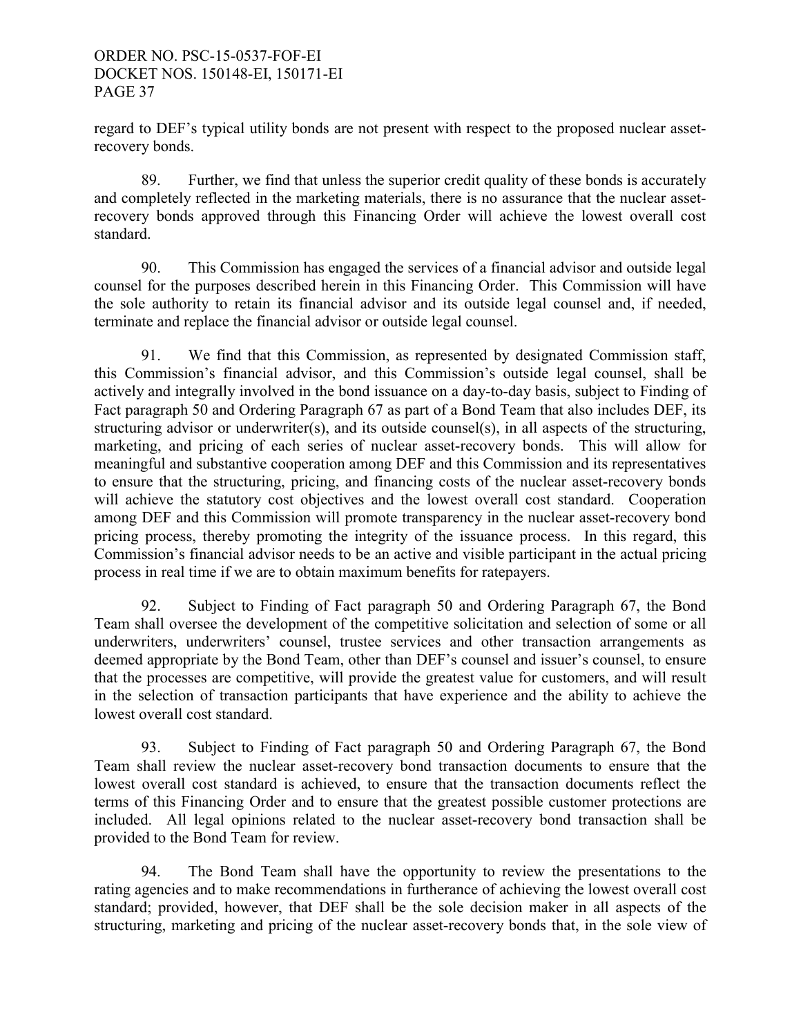regard to DEF's typical utility bonds are not present with respect to the proposed nuclear assetrecovery bonds.

89. Further, we find that unless the superior credit quality of these bonds is accurately and completely reflected in the marketing materials, there is no assurance that the nuclear assetrecovery bonds approved through this Financing Order will achieve the lowest overall cost standard.

 90. This Commission has engaged the services of a financial advisor and outside legal counsel for the purposes described herein in this Financing Order. This Commission will have the sole authority to retain its financial advisor and its outside legal counsel and, if needed, terminate and replace the financial advisor or outside legal counsel.

 91. We find that this Commission, as represented by designated Commission staff, this Commission's financial advisor, and this Commission's outside legal counsel, shall be actively and integrally involved in the bond issuance on a day-to-day basis, subject to Finding of Fact paragraph 50 and Ordering Paragraph 67 as part of a Bond Team that also includes DEF, its structuring advisor or underwriter(s), and its outside counsel(s), in all aspects of the structuring, marketing, and pricing of each series of nuclear asset-recovery bonds. This will allow for meaningful and substantive cooperation among DEF and this Commission and its representatives to ensure that the structuring, pricing, and financing costs of the nuclear asset-recovery bonds will achieve the statutory cost objectives and the lowest overall cost standard. Cooperation among DEF and this Commission will promote transparency in the nuclear asset-recovery bond pricing process, thereby promoting the integrity of the issuance process. In this regard, this Commission's financial advisor needs to be an active and visible participant in the actual pricing process in real time if we are to obtain maximum benefits for ratepayers.

 92. Subject to Finding of Fact paragraph 50 and Ordering Paragraph 67, the Bond Team shall oversee the development of the competitive solicitation and selection of some or all underwriters, underwriters' counsel, trustee services and other transaction arrangements as deemed appropriate by the Bond Team, other than DEF's counsel and issuer's counsel, to ensure that the processes are competitive, will provide the greatest value for customers, and will result in the selection of transaction participants that have experience and the ability to achieve the lowest overall cost standard.

 93. Subject to Finding of Fact paragraph 50 and Ordering Paragraph 67, the Bond Team shall review the nuclear asset-recovery bond transaction documents to ensure that the lowest overall cost standard is achieved, to ensure that the transaction documents reflect the terms of this Financing Order and to ensure that the greatest possible customer protections are included. All legal opinions related to the nuclear asset-recovery bond transaction shall be provided to the Bond Team for review.

 94. The Bond Team shall have the opportunity to review the presentations to the rating agencies and to make recommendations in furtherance of achieving the lowest overall cost standard; provided, however, that DEF shall be the sole decision maker in all aspects of the structuring, marketing and pricing of the nuclear asset-recovery bonds that, in the sole view of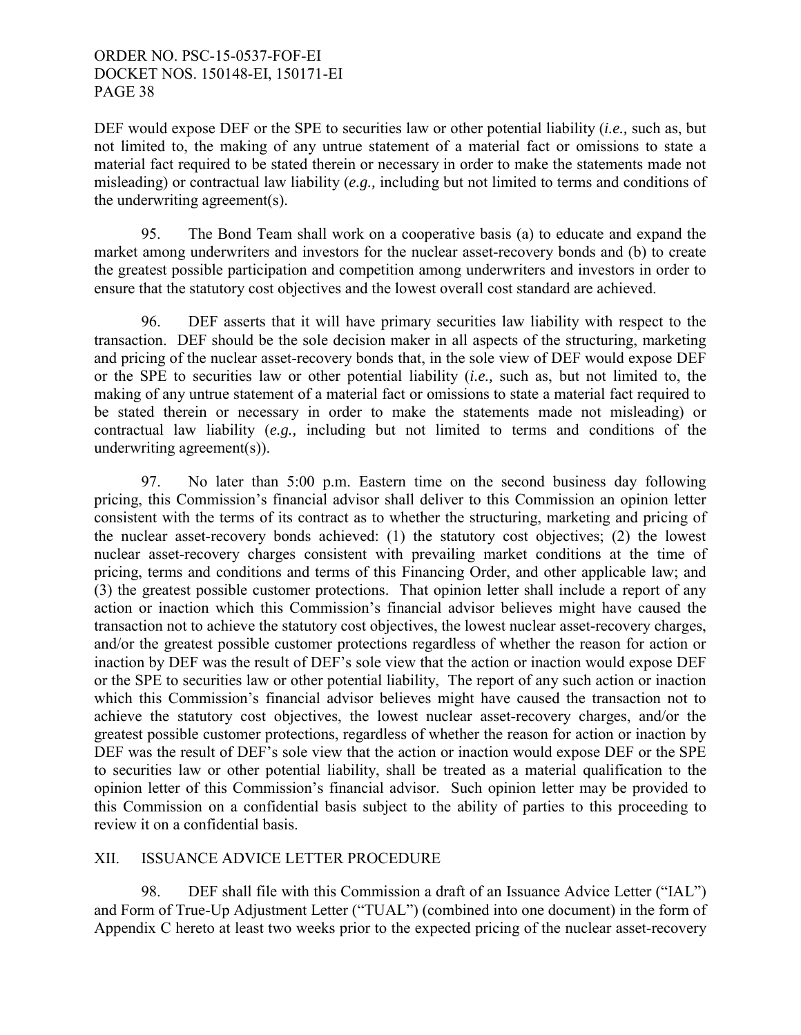DEF would expose DEF or the SPE to securities law or other potential liability (*i.e.,* such as, but not limited to, the making of any untrue statement of a material fact or omissions to state a material fact required to be stated therein or necessary in order to make the statements made not misleading) or contractual law liability (*e.g.,* including but not limited to terms and conditions of the underwriting agreement(s).

 95. The Bond Team shall work on a cooperative basis (a) to educate and expand the market among underwriters and investors for the nuclear asset-recovery bonds and (b) to create the greatest possible participation and competition among underwriters and investors in order to ensure that the statutory cost objectives and the lowest overall cost standard are achieved.

 96. DEF asserts that it will have primary securities law liability with respect to the transaction. DEF should be the sole decision maker in all aspects of the structuring, marketing and pricing of the nuclear asset-recovery bonds that, in the sole view of DEF would expose DEF or the SPE to securities law or other potential liability (*i.e.,* such as, but not limited to, the making of any untrue statement of a material fact or omissions to state a material fact required to be stated therein or necessary in order to make the statements made not misleading) or contractual law liability (*e.g.,* including but not limited to terms and conditions of the underwriting agreement(s)).

97. No later than 5:00 p.m. Eastern time on the second business day following pricing, this Commission's financial advisor shall deliver to this Commission an opinion letter consistent with the terms of its contract as to whether the structuring, marketing and pricing of the nuclear asset-recovery bonds achieved: (1) the statutory cost objectives; (2) the lowest nuclear asset-recovery charges consistent with prevailing market conditions at the time of pricing, terms and conditions and terms of this Financing Order, and other applicable law; and (3) the greatest possible customer protections. That opinion letter shall include a report of any action or inaction which this Commission's financial advisor believes might have caused the transaction not to achieve the statutory cost objectives, the lowest nuclear asset-recovery charges, and/or the greatest possible customer protections regardless of whether the reason for action or inaction by DEF was the result of DEF's sole view that the action or inaction would expose DEF or the SPE to securities law or other potential liability, The report of any such action or inaction which this Commission's financial advisor believes might have caused the transaction not to achieve the statutory cost objectives, the lowest nuclear asset-recovery charges, and/or the greatest possible customer protections, regardless of whether the reason for action or inaction by DEF was the result of DEF's sole view that the action or inaction would expose DEF or the SPE to securities law or other potential liability, shall be treated as a material qualification to the opinion letter of this Commission's financial advisor. Such opinion letter may be provided to this Commission on a confidential basis subject to the ability of parties to this proceeding to review it on a confidential basis.

## XII. ISSUANCE ADVICE LETTER PROCEDURE

 98. DEF shall file with this Commission a draft of an Issuance Advice Letter ("IAL") and Form of True-Up Adjustment Letter ("TUAL") (combined into one document) in the form of Appendix C hereto at least two weeks prior to the expected pricing of the nuclear asset-recovery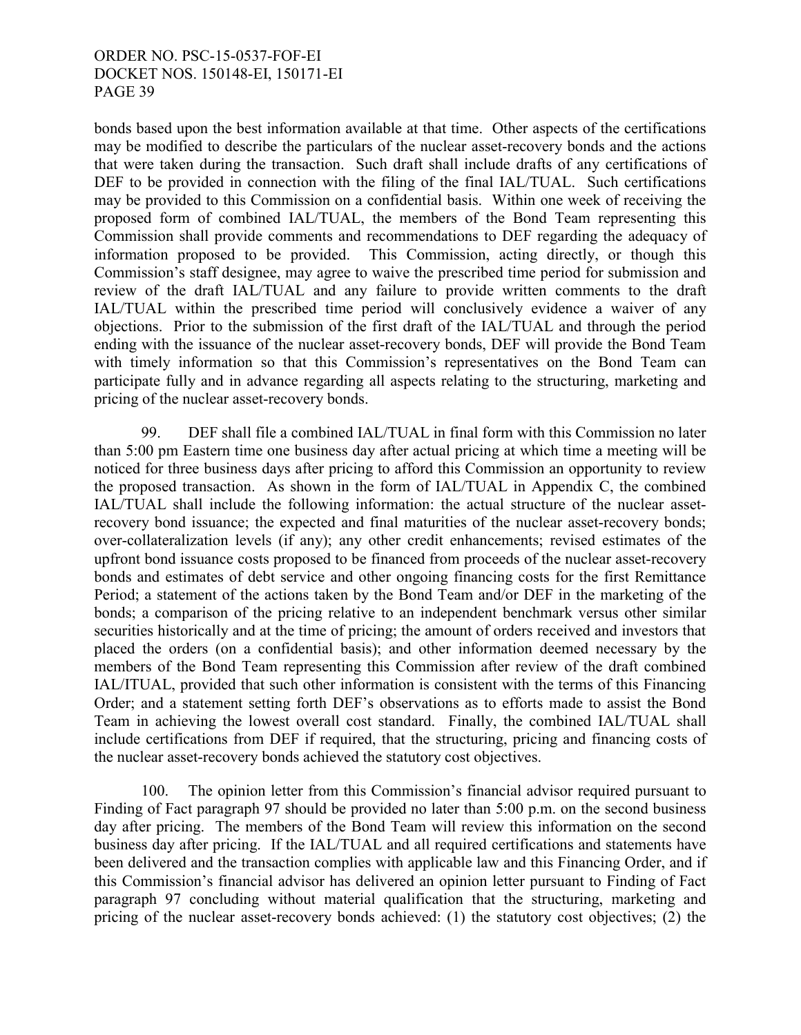bonds based upon the best information available at that time. Other aspects of the certifications may be modified to describe the particulars of the nuclear asset-recovery bonds and the actions that were taken during the transaction. Such draft shall include drafts of any certifications of DEF to be provided in connection with the filing of the final IAL/TUAL. Such certifications may be provided to this Commission on a confidential basis. Within one week of receiving the proposed form of combined IAL/TUAL, the members of the Bond Team representing this Commission shall provide comments and recommendations to DEF regarding the adequacy of information proposed to be provided. This Commission, acting directly, or though this Commission's staff designee, may agree to waive the prescribed time period for submission and review of the draft IAL/TUAL and any failure to provide written comments to the draft IAL/TUAL within the prescribed time period will conclusively evidence a waiver of any objections. Prior to the submission of the first draft of the IAL/TUAL and through the period ending with the issuance of the nuclear asset-recovery bonds, DEF will provide the Bond Team with timely information so that this Commission's representatives on the Bond Team can participate fully and in advance regarding all aspects relating to the structuring, marketing and pricing of the nuclear asset-recovery bonds.

 99. DEF shall file a combined IAL/TUAL in final form with this Commission no later than 5:00 pm Eastern time one business day after actual pricing at which time a meeting will be noticed for three business days after pricing to afford this Commission an opportunity to review the proposed transaction. As shown in the form of IAL/TUAL in Appendix C, the combined IAL/TUAL shall include the following information: the actual structure of the nuclear assetrecovery bond issuance; the expected and final maturities of the nuclear asset-recovery bonds; over-collateralization levels (if any); any other credit enhancements; revised estimates of the upfront bond issuance costs proposed to be financed from proceeds of the nuclear asset-recovery bonds and estimates of debt service and other ongoing financing costs for the first Remittance Period; a statement of the actions taken by the Bond Team and/or DEF in the marketing of the bonds; a comparison of the pricing relative to an independent benchmark versus other similar securities historically and at the time of pricing; the amount of orders received and investors that placed the orders (on a confidential basis); and other information deemed necessary by the members of the Bond Team representing this Commission after review of the draft combined IAL/ITUAL, provided that such other information is consistent with the terms of this Financing Order; and a statement setting forth DEF's observations as to efforts made to assist the Bond Team in achieving the lowest overall cost standard. Finally, the combined IAL/TUAL shall include certifications from DEF if required, that the structuring, pricing and financing costs of the nuclear asset-recovery bonds achieved the statutory cost objectives.

 100. The opinion letter from this Commission's financial advisor required pursuant to Finding of Fact paragraph 97 should be provided no later than 5:00 p.m. on the second business day after pricing. The members of the Bond Team will review this information on the second business day after pricing. If the IAL/TUAL and all required certifications and statements have been delivered and the transaction complies with applicable law and this Financing Order, and if this Commission's financial advisor has delivered an opinion letter pursuant to Finding of Fact paragraph 97 concluding without material qualification that the structuring, marketing and pricing of the nuclear asset-recovery bonds achieved: (1) the statutory cost objectives; (2) the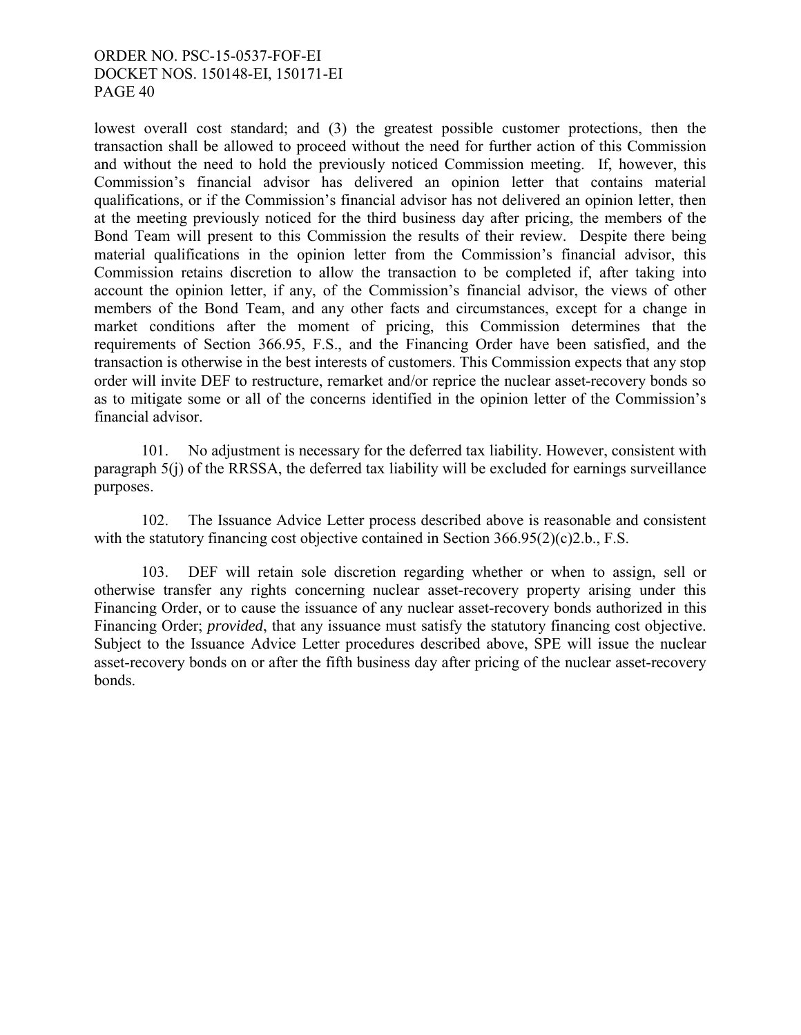lowest overall cost standard; and (3) the greatest possible customer protections, then the transaction shall be allowed to proceed without the need for further action of this Commission and without the need to hold the previously noticed Commission meeting. If, however, this Commission's financial advisor has delivered an opinion letter that contains material qualifications, or if the Commission's financial advisor has not delivered an opinion letter, then at the meeting previously noticed for the third business day after pricing, the members of the Bond Team will present to this Commission the results of their review. Despite there being material qualifications in the opinion letter from the Commission's financial advisor, this Commission retains discretion to allow the transaction to be completed if, after taking into account the opinion letter, if any, of the Commission's financial advisor, the views of other members of the Bond Team, and any other facts and circumstances, except for a change in market conditions after the moment of pricing, this Commission determines that the requirements of Section 366.95, F.S., and the Financing Order have been satisfied, and the transaction is otherwise in the best interests of customers. This Commission expects that any stop order will invite DEF to restructure, remarket and/or reprice the nuclear asset-recovery bonds so as to mitigate some or all of the concerns identified in the opinion letter of the Commission's financial advisor.

101. No adjustment is necessary for the deferred tax liability. However, consistent with paragraph 5(j) of the RRSSA, the deferred tax liability will be excluded for earnings surveillance purposes.

102. The Issuance Advice Letter process described above is reasonable and consistent with the statutory financing cost objective contained in Section 366.95(2)(c)2.b., F.S.

 103. DEF will retain sole discretion regarding whether or when to assign, sell or otherwise transfer any rights concerning nuclear asset-recovery property arising under this Financing Order, or to cause the issuance of any nuclear asset-recovery bonds authorized in this Financing Order; *provided*, that any issuance must satisfy the statutory financing cost objective. Subject to the Issuance Advice Letter procedures described above, SPE will issue the nuclear asset-recovery bonds on or after the fifth business day after pricing of the nuclear asset-recovery bonds.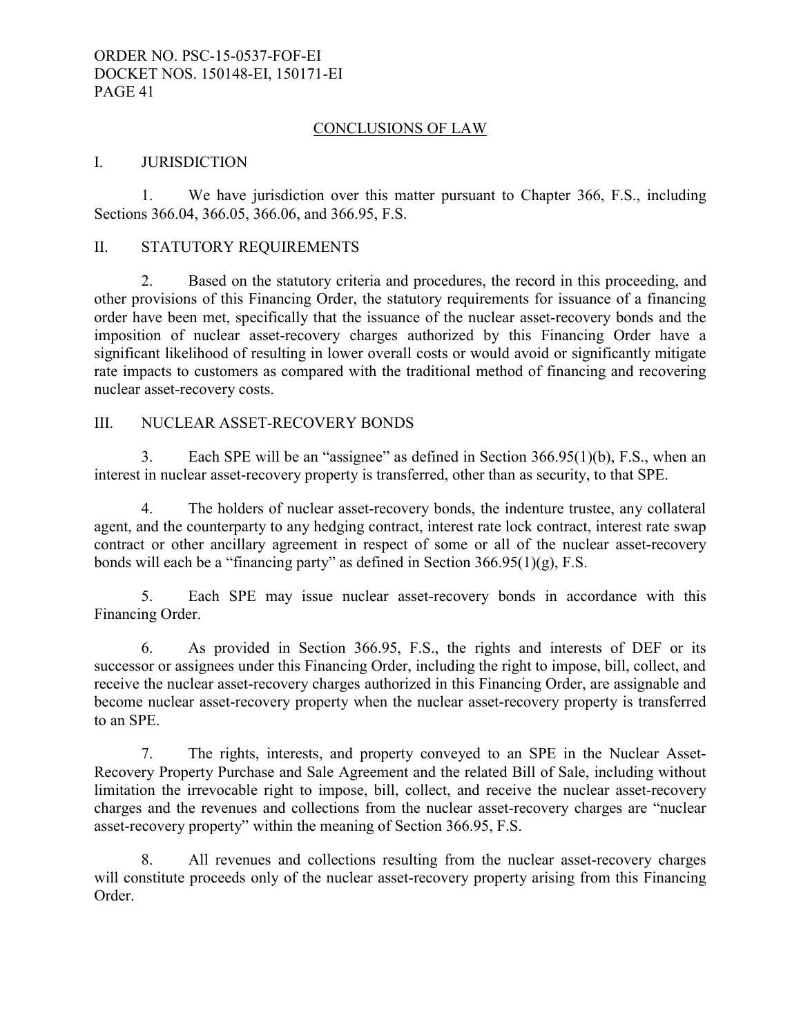### CONCLUSIONS OF LAW

#### I. JURISDICTION

1. We have jurisdiction over this matter pursuant to Chapter 366, F.S., including Sections 366.04, 366.05, 366.06, and 366.95, F.S.

### II. STATUTORY REQUIREMENTS

 2. Based on the statutory criteria and procedures, the record in this proceeding, and other provisions of this Financing Order, the statutory requirements for issuance of a financing order have been met, specifically that the issuance of the nuclear asset-recovery bonds and the imposition of nuclear asset-recovery charges authorized by this Financing Order have a significant likelihood of resulting in lower overall costs or would avoid or significantly mitigate rate impacts to customers as compared with the traditional method of financing and recovering nuclear asset-recovery costs.

#### III. NUCLEAR ASSET-RECOVERY BONDS

 3. Each SPE will be an "assignee" as defined in Section 366.95(1)(b), F.S., when an interest in nuclear asset-recovery property is transferred, other than as security, to that SPE.

 4. The holders of nuclear asset-recovery bonds, the indenture trustee, any collateral agent, and the counterparty to any hedging contract, interest rate lock contract, interest rate swap contract or other ancillary agreement in respect of some or all of the nuclear asset-recovery bonds will each be a "financing party" as defined in Section  $366.95(1)(g)$ , F.S.

 5. Each SPE may issue nuclear asset-recovery bonds in accordance with this Financing Order.

 6. As provided in Section 366.95, F.S., the rights and interests of DEF or its successor or assignees under this Financing Order, including the right to impose, bill, collect, and receive the nuclear asset-recovery charges authorized in this Financing Order, are assignable and become nuclear asset-recovery property when the nuclear asset-recovery property is transferred to an SPE.

 7. The rights, interests, and property conveyed to an SPE in the Nuclear Asset-Recovery Property Purchase and Sale Agreement and the related Bill of Sale, including without limitation the irrevocable right to impose, bill, collect, and receive the nuclear asset-recovery charges and the revenues and collections from the nuclear asset-recovery charges are "nuclear asset-recovery property" within the meaning of Section 366.95, F.S.

 8. All revenues and collections resulting from the nuclear asset-recovery charges will constitute proceeds only of the nuclear asset-recovery property arising from this Financing Order.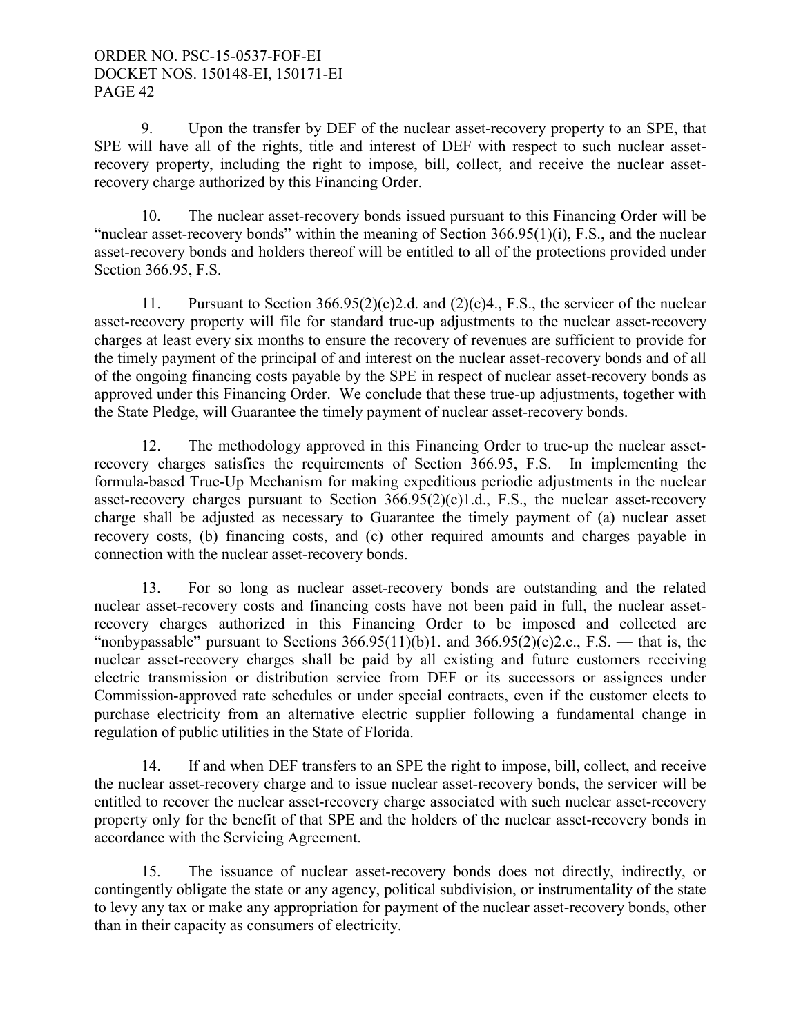9. Upon the transfer by DEF of the nuclear asset-recovery property to an SPE, that SPE will have all of the rights, title and interest of DEF with respect to such nuclear assetrecovery property, including the right to impose, bill, collect, and receive the nuclear assetrecovery charge authorized by this Financing Order.

 10. The nuclear asset-recovery bonds issued pursuant to this Financing Order will be "nuclear asset-recovery bonds" within the meaning of Section 366.95(1)(i), F.S., and the nuclear asset-recovery bonds and holders thereof will be entitled to all of the protections provided under Section 366.95, F.S.

11. Pursuant to Section 366.95(2)(c)2.d. and (2)(c)4., F.S., the servicer of the nuclear asset-recovery property will file for standard true-up adjustments to the nuclear asset-recovery charges at least every six months to ensure the recovery of revenues are sufficient to provide for the timely payment of the principal of and interest on the nuclear asset-recovery bonds and of all of the ongoing financing costs payable by the SPE in respect of nuclear asset-recovery bonds as approved under this Financing Order. We conclude that these true-up adjustments, together with the State Pledge, will Guarantee the timely payment of nuclear asset-recovery bonds.

 12. The methodology approved in this Financing Order to true-up the nuclear assetrecovery charges satisfies the requirements of Section 366.95, F.S. In implementing the formula-based True-Up Mechanism for making expeditious periodic adjustments in the nuclear asset-recovery charges pursuant to Section  $366.95(2)(c)1.d., F.S.,$  the nuclear asset-recovery charge shall be adjusted as necessary to Guarantee the timely payment of (a) nuclear asset recovery costs, (b) financing costs, and (c) other required amounts and charges payable in connection with the nuclear asset-recovery bonds.

 13. For so long as nuclear asset-recovery bonds are outstanding and the related nuclear asset-recovery costs and financing costs have not been paid in full, the nuclear assetrecovery charges authorized in this Financing Order to be imposed and collected are "nonbypassable" pursuant to Sections  $366.95(11)(b)1$ . and  $366.95(2)(c)2.c., F.S.$  that is, the nuclear asset-recovery charges shall be paid by all existing and future customers receiving electric transmission or distribution service from DEF or its successors or assignees under Commission-approved rate schedules or under special contracts, even if the customer elects to purchase electricity from an alternative electric supplier following a fundamental change in regulation of public utilities in the State of Florida.

 14. If and when DEF transfers to an SPE the right to impose, bill, collect, and receive the nuclear asset-recovery charge and to issue nuclear asset-recovery bonds, the servicer will be entitled to recover the nuclear asset-recovery charge associated with such nuclear asset-recovery property only for the benefit of that SPE and the holders of the nuclear asset-recovery bonds in accordance with the Servicing Agreement.

 15. The issuance of nuclear asset-recovery bonds does not directly, indirectly, or contingently obligate the state or any agency, political subdivision, or instrumentality of the state to levy any tax or make any appropriation for payment of the nuclear asset-recovery bonds, other than in their capacity as consumers of electricity.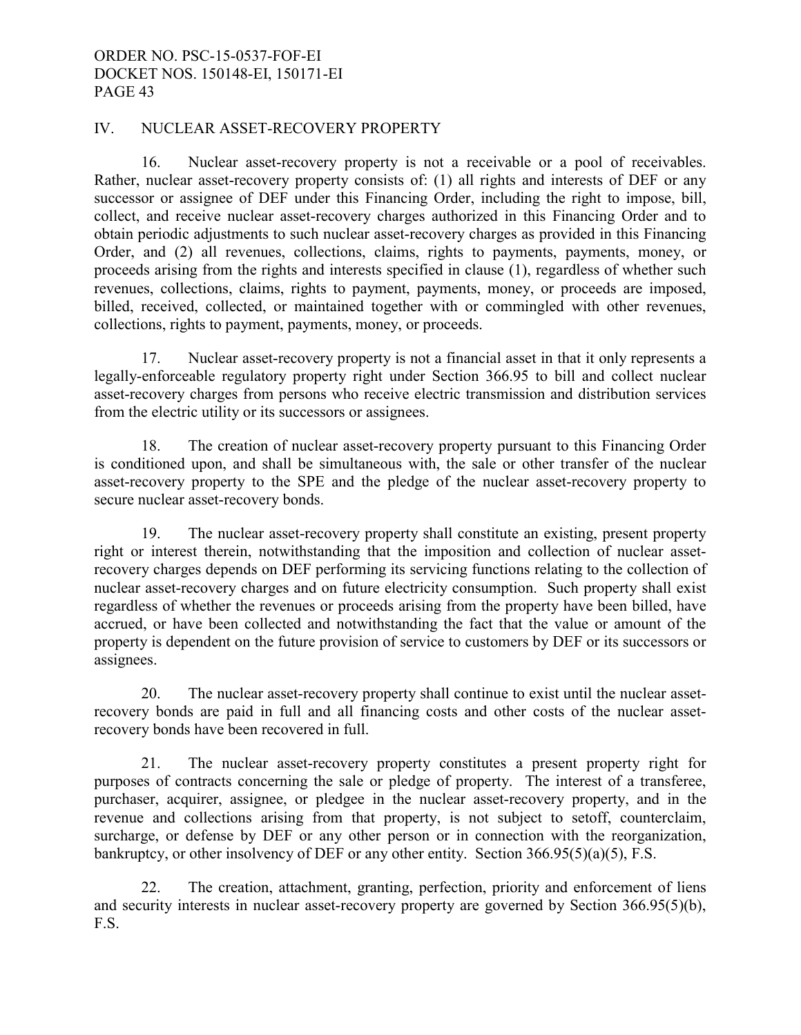#### IV. NUCLEAR ASSET-RECOVERY PROPERTY

 16. Nuclear asset-recovery property is not a receivable or a pool of receivables. Rather, nuclear asset-recovery property consists of: (1) all rights and interests of DEF or any successor or assignee of DEF under this Financing Order, including the right to impose, bill, collect, and receive nuclear asset-recovery charges authorized in this Financing Order and to obtain periodic adjustments to such nuclear asset-recovery charges as provided in this Financing Order, and (2) all revenues, collections, claims, rights to payments, payments, money, or proceeds arising from the rights and interests specified in clause (1), regardless of whether such revenues, collections, claims, rights to payment, payments, money, or proceeds are imposed, billed, received, collected, or maintained together with or commingled with other revenues, collections, rights to payment, payments, money, or proceeds.

17. Nuclear asset-recovery property is not a financial asset in that it only represents a legally-enforceable regulatory property right under Section 366.95 to bill and collect nuclear asset-recovery charges from persons who receive electric transmission and distribution services from the electric utility or its successors or assignees.

 18. The creation of nuclear asset-recovery property pursuant to this Financing Order is conditioned upon, and shall be simultaneous with, the sale or other transfer of the nuclear asset-recovery property to the SPE and the pledge of the nuclear asset-recovery property to secure nuclear asset-recovery bonds.

 19. The nuclear asset-recovery property shall constitute an existing, present property right or interest therein, notwithstanding that the imposition and collection of nuclear assetrecovery charges depends on DEF performing its servicing functions relating to the collection of nuclear asset-recovery charges and on future electricity consumption. Such property shall exist regardless of whether the revenues or proceeds arising from the property have been billed, have accrued, or have been collected and notwithstanding the fact that the value or amount of the property is dependent on the future provision of service to customers by DEF or its successors or assignees.

 20. The nuclear asset-recovery property shall continue to exist until the nuclear assetrecovery bonds are paid in full and all financing costs and other costs of the nuclear assetrecovery bonds have been recovered in full.

 21. The nuclear asset-recovery property constitutes a present property right for purposes of contracts concerning the sale or pledge of property. The interest of a transferee, purchaser, acquirer, assignee, or pledgee in the nuclear asset-recovery property, and in the revenue and collections arising from that property, is not subject to setoff, counterclaim, surcharge, or defense by DEF or any other person or in connection with the reorganization, bankruptcy, or other insolvency of DEF or any other entity. Section 366.95(5)(a)(5), F.S.

 22. The creation, attachment, granting, perfection, priority and enforcement of liens and security interests in nuclear asset-recovery property are governed by Section 366.95(5)(b), F.S.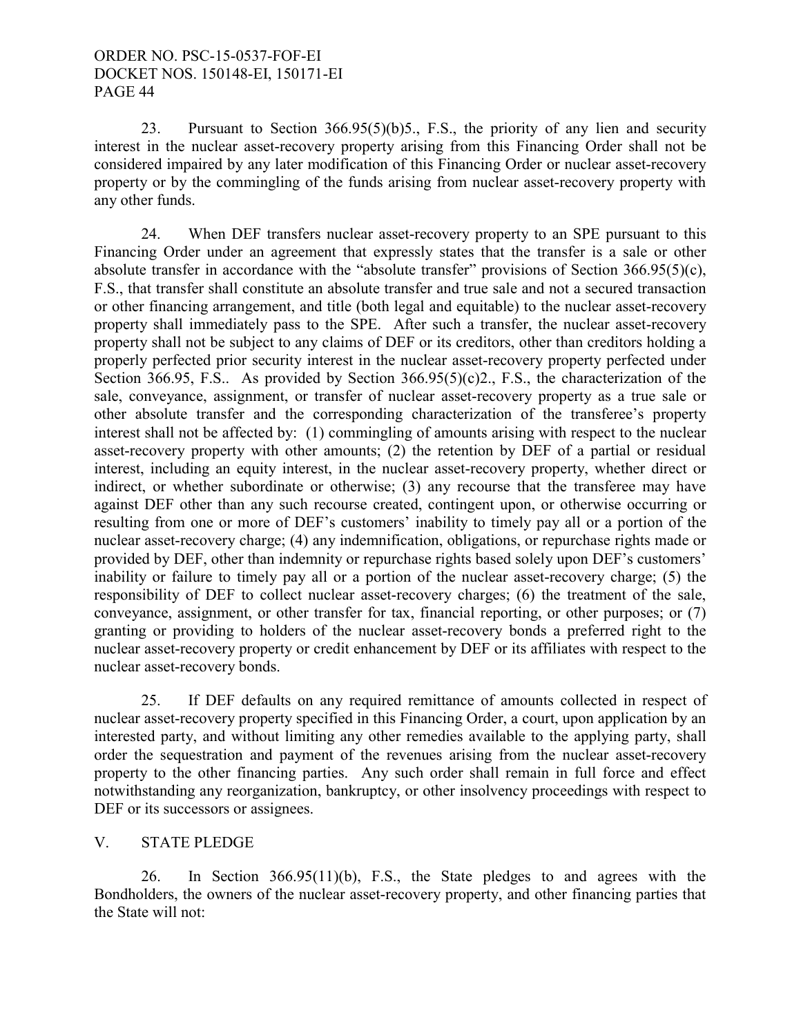23. Pursuant to Section 366.95(5)(b)5., F.S., the priority of any lien and security interest in the nuclear asset-recovery property arising from this Financing Order shall not be considered impaired by any later modification of this Financing Order or nuclear asset-recovery property or by the commingling of the funds arising from nuclear asset-recovery property with any other funds.

 24. When DEF transfers nuclear asset-recovery property to an SPE pursuant to this Financing Order under an agreement that expressly states that the transfer is a sale or other absolute transfer in accordance with the "absolute transfer" provisions of Section 366.95(5)(c), F.S., that transfer shall constitute an absolute transfer and true sale and not a secured transaction or other financing arrangement, and title (both legal and equitable) to the nuclear asset-recovery property shall immediately pass to the SPE. After such a transfer, the nuclear asset-recovery property shall not be subject to any claims of DEF or its creditors, other than creditors holding a properly perfected prior security interest in the nuclear asset-recovery property perfected under Section 366.95, F.S.. As provided by Section 366.95(5)(c)2., F.S., the characterization of the sale, conveyance, assignment, or transfer of nuclear asset-recovery property as a true sale or other absolute transfer and the corresponding characterization of the transferee's property interest shall not be affected by: (1) commingling of amounts arising with respect to the nuclear asset-recovery property with other amounts; (2) the retention by DEF of a partial or residual interest, including an equity interest, in the nuclear asset-recovery property, whether direct or indirect, or whether subordinate or otherwise; (3) any recourse that the transferee may have against DEF other than any such recourse created, contingent upon, or otherwise occurring or resulting from one or more of DEF's customers' inability to timely pay all or a portion of the nuclear asset-recovery charge; (4) any indemnification, obligations, or repurchase rights made or provided by DEF, other than indemnity or repurchase rights based solely upon DEF's customers' inability or failure to timely pay all or a portion of the nuclear asset-recovery charge; (5) the responsibility of DEF to collect nuclear asset-recovery charges; (6) the treatment of the sale, conveyance, assignment, or other transfer for tax, financial reporting, or other purposes; or (7) granting or providing to holders of the nuclear asset-recovery bonds a preferred right to the nuclear asset-recovery property or credit enhancement by DEF or its affiliates with respect to the nuclear asset-recovery bonds.

 25. If DEF defaults on any required remittance of amounts collected in respect of nuclear asset-recovery property specified in this Financing Order, a court, upon application by an interested party, and without limiting any other remedies available to the applying party, shall order the sequestration and payment of the revenues arising from the nuclear asset-recovery property to the other financing parties. Any such order shall remain in full force and effect notwithstanding any reorganization, bankruptcy, or other insolvency proceedings with respect to DEF or its successors or assignees.

## V. STATE PLEDGE

 26. In Section 366.95(11)(b), F.S., the State pledges to and agrees with the Bondholders, the owners of the nuclear asset-recovery property, and other financing parties that the State will not: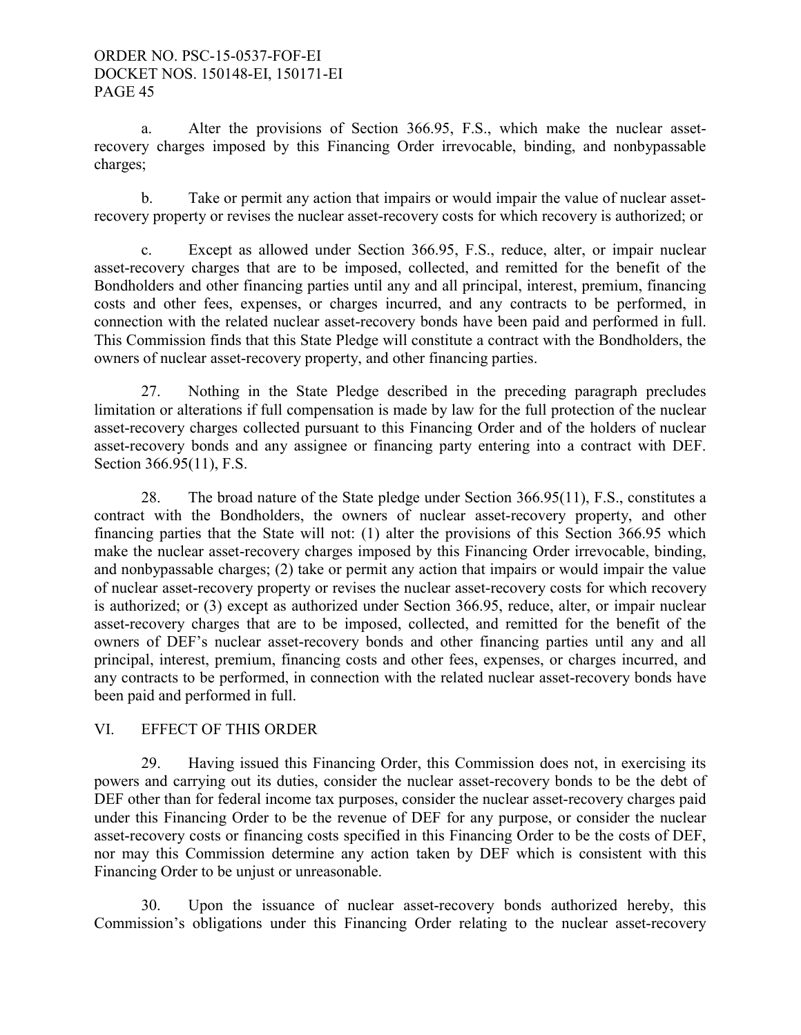a. Alter the provisions of Section 366.95, F.S., which make the nuclear assetrecovery charges imposed by this Financing Order irrevocable, binding, and nonbypassable charges;

 b. Take or permit any action that impairs or would impair the value of nuclear assetrecovery property or revises the nuclear asset-recovery costs for which recovery is authorized; or

 c. Except as allowed under Section 366.95, F.S., reduce, alter, or impair nuclear asset-recovery charges that are to be imposed, collected, and remitted for the benefit of the Bondholders and other financing parties until any and all principal, interest, premium, financing costs and other fees, expenses, or charges incurred, and any contracts to be performed, in connection with the related nuclear asset-recovery bonds have been paid and performed in full. This Commission finds that this State Pledge will constitute a contract with the Bondholders, the owners of nuclear asset-recovery property, and other financing parties.

 27. Nothing in the State Pledge described in the preceding paragraph precludes limitation or alterations if full compensation is made by law for the full protection of the nuclear asset-recovery charges collected pursuant to this Financing Order and of the holders of nuclear asset-recovery bonds and any assignee or financing party entering into a contract with DEF. Section 366.95(11), F.S.

 28. The broad nature of the State pledge under Section 366.95(11), F.S., constitutes a contract with the Bondholders, the owners of nuclear asset-recovery property, and other financing parties that the State will not: (1) alter the provisions of this Section 366.95 which make the nuclear asset-recovery charges imposed by this Financing Order irrevocable, binding, and nonbypassable charges; (2) take or permit any action that impairs or would impair the value of nuclear asset-recovery property or revises the nuclear asset-recovery costs for which recovery is authorized; or (3) except as authorized under Section 366.95, reduce, alter, or impair nuclear asset-recovery charges that are to be imposed, collected, and remitted for the benefit of the owners of DEF's nuclear asset-recovery bonds and other financing parties until any and all principal, interest, premium, financing costs and other fees, expenses, or charges incurred, and any contracts to be performed, in connection with the related nuclear asset-recovery bonds have been paid and performed in full.

## VI. EFFECT OF THIS ORDER

 29. Having issued this Financing Order, this Commission does not, in exercising its powers and carrying out its duties, consider the nuclear asset-recovery bonds to be the debt of DEF other than for federal income tax purposes, consider the nuclear asset-recovery charges paid under this Financing Order to be the revenue of DEF for any purpose, or consider the nuclear asset-recovery costs or financing costs specified in this Financing Order to be the costs of DEF, nor may this Commission determine any action taken by DEF which is consistent with this Financing Order to be unjust or unreasonable.

 30. Upon the issuance of nuclear asset-recovery bonds authorized hereby, this Commission's obligations under this Financing Order relating to the nuclear asset-recovery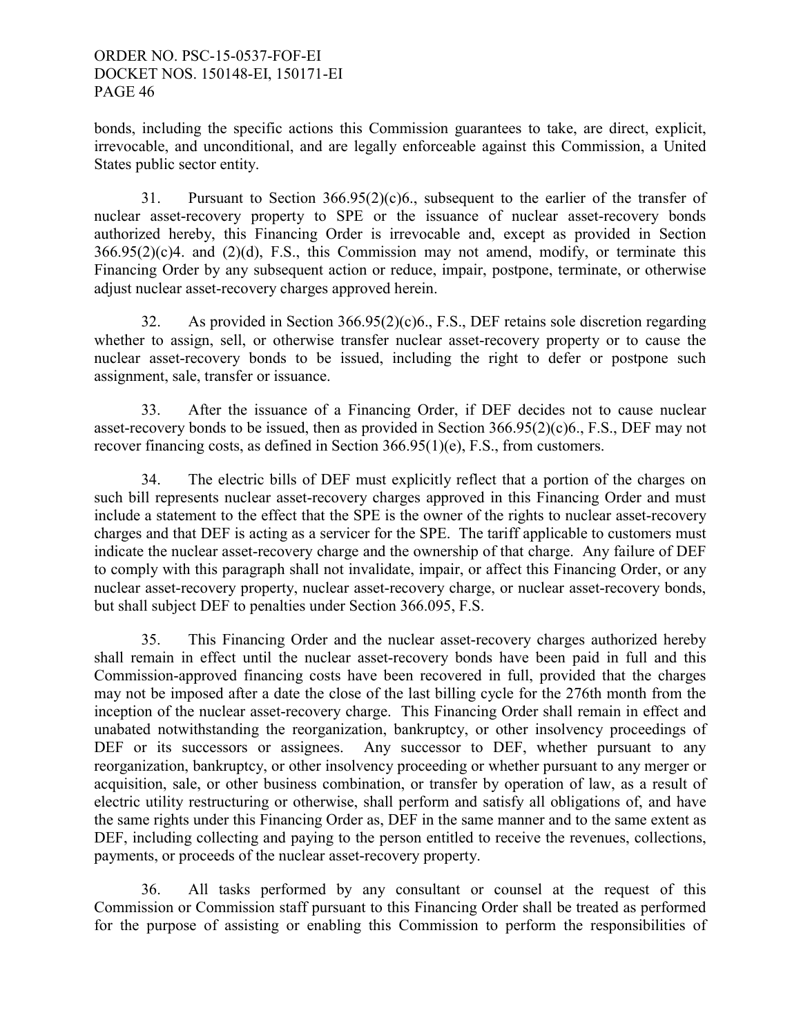bonds, including the specific actions this Commission guarantees to take, are direct, explicit, irrevocable, and unconditional, and are legally enforceable against this Commission, a United States public sector entity.

 31. Pursuant to Section 366.95(2)(c)6., subsequent to the earlier of the transfer of nuclear asset-recovery property to SPE or the issuance of nuclear asset-recovery bonds authorized hereby, this Financing Order is irrevocable and, except as provided in Section  $366.95(2)(c)4$ . and  $(2)(d)$ , F.S., this Commission may not amend, modify, or terminate this Financing Order by any subsequent action or reduce, impair, postpone, terminate, or otherwise adjust nuclear asset-recovery charges approved herein.

 32. As provided in Section 366.95(2)(c)6., F.S., DEF retains sole discretion regarding whether to assign, sell, or otherwise transfer nuclear asset-recovery property or to cause the nuclear asset-recovery bonds to be issued, including the right to defer or postpone such assignment, sale, transfer or issuance.

33. After the issuance of a Financing Order, if DEF decides not to cause nuclear asset-recovery bonds to be issued, then as provided in Section 366.95(2)(c)6., F.S., DEF may not recover financing costs, as defined in Section 366.95(1)(e), F.S., from customers.

 34. The electric bills of DEF must explicitly reflect that a portion of the charges on such bill represents nuclear asset-recovery charges approved in this Financing Order and must include a statement to the effect that the SPE is the owner of the rights to nuclear asset-recovery charges and that DEF is acting as a servicer for the SPE. The tariff applicable to customers must indicate the nuclear asset-recovery charge and the ownership of that charge. Any failure of DEF to comply with this paragraph shall not invalidate, impair, or affect this Financing Order, or any nuclear asset-recovery property, nuclear asset-recovery charge, or nuclear asset-recovery bonds, but shall subject DEF to penalties under Section 366.095, F.S.

 35. This Financing Order and the nuclear asset-recovery charges authorized hereby shall remain in effect until the nuclear asset-recovery bonds have been paid in full and this Commission-approved financing costs have been recovered in full, provided that the charges may not be imposed after a date the close of the last billing cycle for the 276th month from the inception of the nuclear asset-recovery charge. This Financing Order shall remain in effect and unabated notwithstanding the reorganization, bankruptcy, or other insolvency proceedings of DEF or its successors or assignees. Any successor to DEF, whether pursuant to any reorganization, bankruptcy, or other insolvency proceeding or whether pursuant to any merger or acquisition, sale, or other business combination, or transfer by operation of law, as a result of electric utility restructuring or otherwise, shall perform and satisfy all obligations of, and have the same rights under this Financing Order as, DEF in the same manner and to the same extent as DEF, including collecting and paying to the person entitled to receive the revenues, collections, payments, or proceeds of the nuclear asset-recovery property.

 36. All tasks performed by any consultant or counsel at the request of this Commission or Commission staff pursuant to this Financing Order shall be treated as performed for the purpose of assisting or enabling this Commission to perform the responsibilities of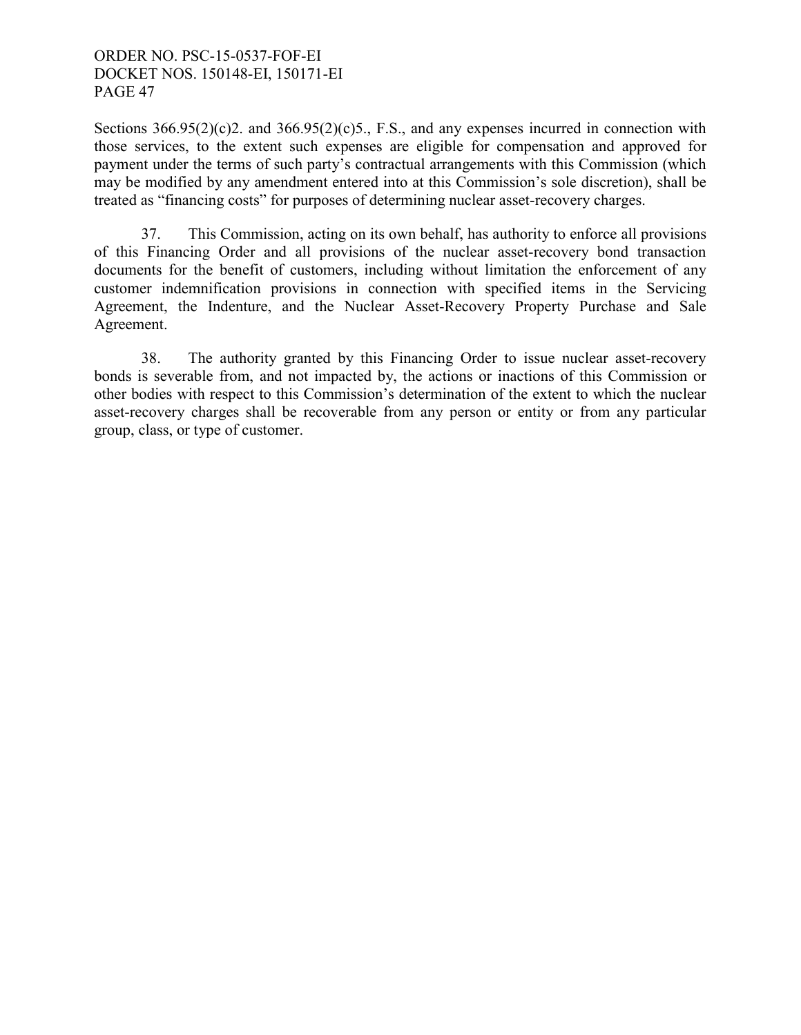Sections  $366.95(2)(c)$ 2. and  $366.95(2)(c)$ 5., F.S., and any expenses incurred in connection with those services, to the extent such expenses are eligible for compensation and approved for payment under the terms of such party's contractual arrangements with this Commission (which may be modified by any amendment entered into at this Commission's sole discretion), shall be treated as "financing costs" for purposes of determining nuclear asset-recovery charges.

 37. This Commission, acting on its own behalf, has authority to enforce all provisions of this Financing Order and all provisions of the nuclear asset-recovery bond transaction documents for the benefit of customers, including without limitation the enforcement of any customer indemnification provisions in connection with specified items in the Servicing Agreement, the Indenture, and the Nuclear Asset-Recovery Property Purchase and Sale Agreement.

 38. The authority granted by this Financing Order to issue nuclear asset-recovery bonds is severable from, and not impacted by, the actions or inactions of this Commission or other bodies with respect to this Commission's determination of the extent to which the nuclear asset-recovery charges shall be recoverable from any person or entity or from any particular group, class, or type of customer.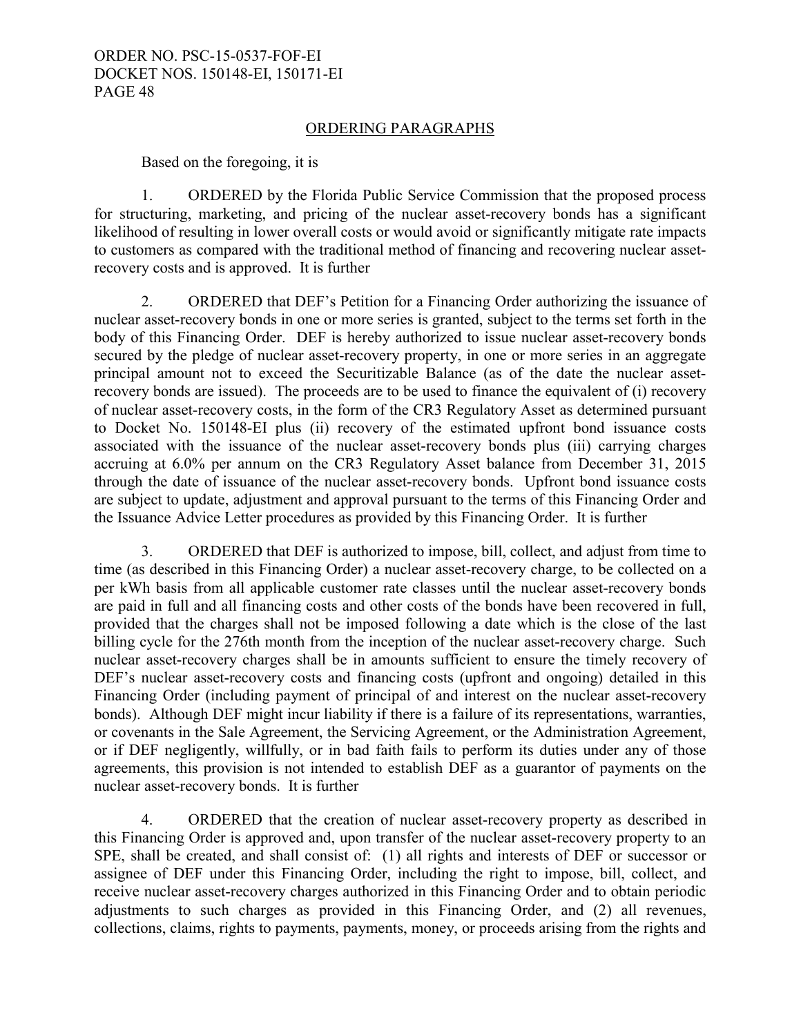#### ORDERING PARAGRAPHS

Based on the foregoing, it is

1. ORDERED by the Florida Public Service Commission that the proposed process for structuring, marketing, and pricing of the nuclear asset-recovery bonds has a significant likelihood of resulting in lower overall costs or would avoid or significantly mitigate rate impacts to customers as compared with the traditional method of financing and recovering nuclear assetrecovery costs and is approved. It is further

2. ORDERED that DEF's Petition for a Financing Order authorizing the issuance of nuclear asset-recovery bonds in one or more series is granted, subject to the terms set forth in the body of this Financing Order. DEF is hereby authorized to issue nuclear asset-recovery bonds secured by the pledge of nuclear asset-recovery property, in one or more series in an aggregate principal amount not to exceed the Securitizable Balance (as of the date the nuclear assetrecovery bonds are issued). The proceeds are to be used to finance the equivalent of (i) recovery of nuclear asset-recovery costs, in the form of the CR3 Regulatory Asset as determined pursuant to Docket No. 150148-EI plus (ii) recovery of the estimated upfront bond issuance costs associated with the issuance of the nuclear asset-recovery bonds plus (iii) carrying charges accruing at 6.0% per annum on the CR3 Regulatory Asset balance from December 31, 2015 through the date of issuance of the nuclear asset-recovery bonds. Upfront bond issuance costs are subject to update, adjustment and approval pursuant to the terms of this Financing Order and the Issuance Advice Letter procedures as provided by this Financing Order. It is further

3. ORDERED that DEF is authorized to impose, bill, collect, and adjust from time to time (as described in this Financing Order) a nuclear asset-recovery charge, to be collected on a per kWh basis from all applicable customer rate classes until the nuclear asset-recovery bonds are paid in full and all financing costs and other costs of the bonds have been recovered in full, provided that the charges shall not be imposed following a date which is the close of the last billing cycle for the 276th month from the inception of the nuclear asset-recovery charge. Such nuclear asset-recovery charges shall be in amounts sufficient to ensure the timely recovery of DEF's nuclear asset-recovery costs and financing costs (upfront and ongoing) detailed in this Financing Order (including payment of principal of and interest on the nuclear asset-recovery bonds). Although DEF might incur liability if there is a failure of its representations, warranties, or covenants in the Sale Agreement, the Servicing Agreement, or the Administration Agreement, or if DEF negligently, willfully, or in bad faith fails to perform its duties under any of those agreements, this provision is not intended to establish DEF as a guarantor of payments on the nuclear asset-recovery bonds. It is further

4. ORDERED that the creation of nuclear asset-recovery property as described in this Financing Order is approved and, upon transfer of the nuclear asset-recovery property to an SPE, shall be created, and shall consist of: (1) all rights and interests of DEF or successor or assignee of DEF under this Financing Order, including the right to impose, bill, collect, and receive nuclear asset-recovery charges authorized in this Financing Order and to obtain periodic adjustments to such charges as provided in this Financing Order, and (2) all revenues, collections, claims, rights to payments, payments, money, or proceeds arising from the rights and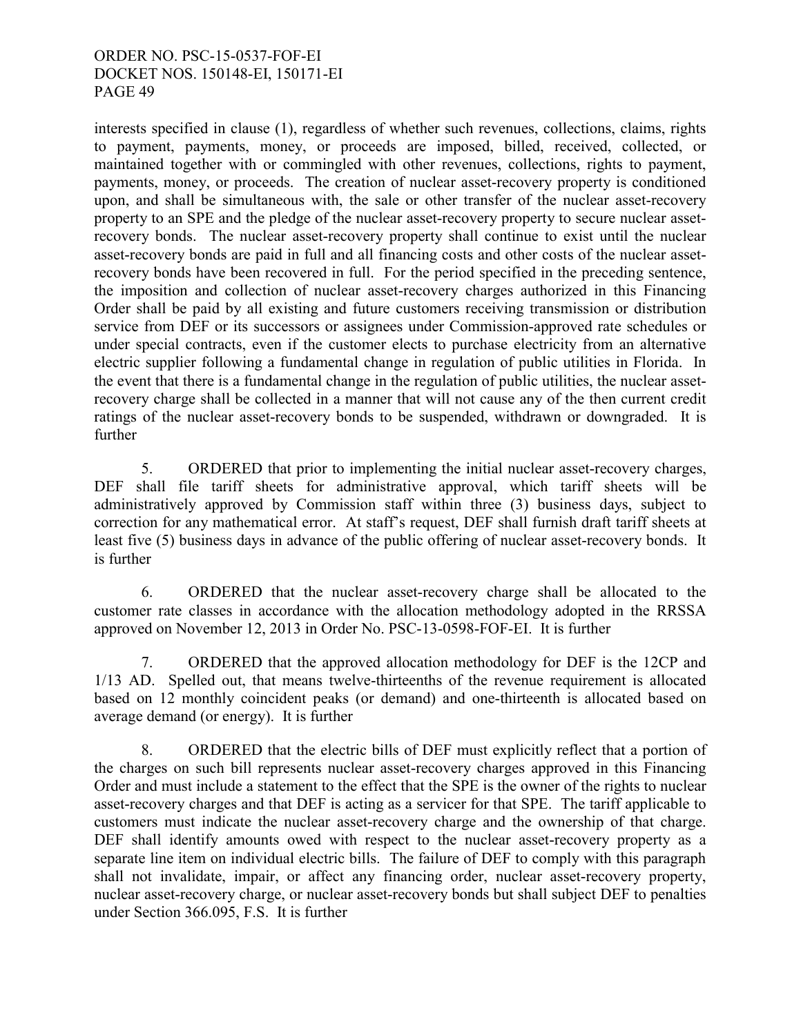interests specified in clause (1), regardless of whether such revenues, collections, claims, rights to payment, payments, money, or proceeds are imposed, billed, received, collected, or maintained together with or commingled with other revenues, collections, rights to payment, payments, money, or proceeds. The creation of nuclear asset-recovery property is conditioned upon, and shall be simultaneous with, the sale or other transfer of the nuclear asset-recovery property to an SPE and the pledge of the nuclear asset-recovery property to secure nuclear assetrecovery bonds. The nuclear asset-recovery property shall continue to exist until the nuclear asset-recovery bonds are paid in full and all financing costs and other costs of the nuclear assetrecovery bonds have been recovered in full. For the period specified in the preceding sentence, the imposition and collection of nuclear asset-recovery charges authorized in this Financing Order shall be paid by all existing and future customers receiving transmission or distribution service from DEF or its successors or assignees under Commission-approved rate schedules or under special contracts, even if the customer elects to purchase electricity from an alternative electric supplier following a fundamental change in regulation of public utilities in Florida. In the event that there is a fundamental change in the regulation of public utilities, the nuclear assetrecovery charge shall be collected in a manner that will not cause any of the then current credit ratings of the nuclear asset-recovery bonds to be suspended, withdrawn or downgraded. It is further

5. ORDERED that prior to implementing the initial nuclear asset-recovery charges, DEF shall file tariff sheets for administrative approval, which tariff sheets will be administratively approved by Commission staff within three (3) business days, subject to correction for any mathematical error. At staff's request, DEF shall furnish draft tariff sheets at least five (5) business days in advance of the public offering of nuclear asset-recovery bonds. It is further

6. ORDERED that the nuclear asset-recovery charge shall be allocated to the customer rate classes in accordance with the allocation methodology adopted in the RRSSA approved on November 12, 2013 in Order No. PSC-13-0598-FOF-EI. It is further

7. ORDERED that the approved allocation methodology for DEF is the 12CP and 1/13 AD. Spelled out, that means twelve-thirteenths of the revenue requirement is allocated based on 12 monthly coincident peaks (or demand) and one-thirteenth is allocated based on average demand (or energy). It is further

8. ORDERED that the electric bills of DEF must explicitly reflect that a portion of the charges on such bill represents nuclear asset-recovery charges approved in this Financing Order and must include a statement to the effect that the SPE is the owner of the rights to nuclear asset-recovery charges and that DEF is acting as a servicer for that SPE. The tariff applicable to customers must indicate the nuclear asset-recovery charge and the ownership of that charge. DEF shall identify amounts owed with respect to the nuclear asset-recovery property as a separate line item on individual electric bills. The failure of DEF to comply with this paragraph shall not invalidate, impair, or affect any financing order, nuclear asset-recovery property, nuclear asset-recovery charge, or nuclear asset-recovery bonds but shall subject DEF to penalties under Section 366.095, F.S. It is further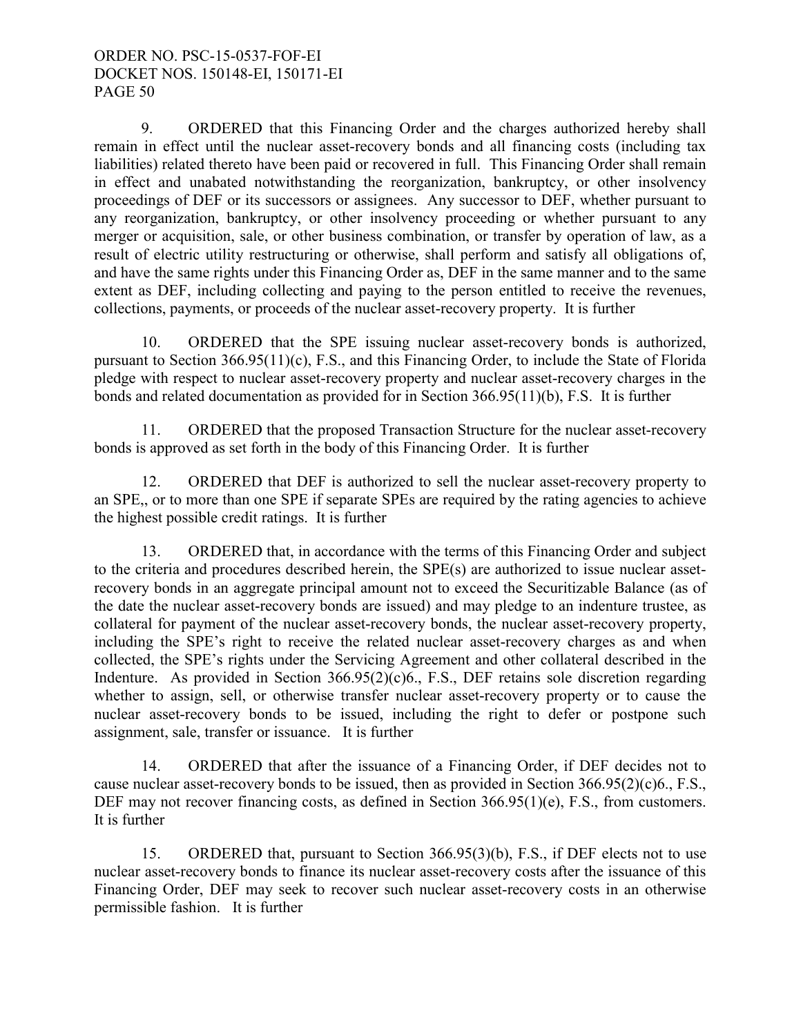9. ORDERED that this Financing Order and the charges authorized hereby shall remain in effect until the nuclear asset-recovery bonds and all financing costs (including tax liabilities) related thereto have been paid or recovered in full. This Financing Order shall remain in effect and unabated notwithstanding the reorganization, bankruptcy, or other insolvency proceedings of DEF or its successors or assignees. Any successor to DEF, whether pursuant to any reorganization, bankruptcy, or other insolvency proceeding or whether pursuant to any merger or acquisition, sale, or other business combination, or transfer by operation of law, as a result of electric utility restructuring or otherwise, shall perform and satisfy all obligations of, and have the same rights under this Financing Order as, DEF in the same manner and to the same extent as DEF, including collecting and paying to the person entitled to receive the revenues, collections, payments, or proceeds of the nuclear asset-recovery property. It is further

10. ORDERED that the SPE issuing nuclear asset-recovery bonds is authorized, pursuant to Section 366.95(11)(c), F.S., and this Financing Order, to include the State of Florida pledge with respect to nuclear asset-recovery property and nuclear asset-recovery charges in the bonds and related documentation as provided for in Section 366.95(11)(b), F.S. It is further

11. ORDERED that the proposed Transaction Structure for the nuclear asset-recovery bonds is approved as set forth in the body of this Financing Order. It is further

12. ORDERED that DEF is authorized to sell the nuclear asset-recovery property to an SPE,, or to more than one SPE if separate SPEs are required by the rating agencies to achieve the highest possible credit ratings. It is further

13. ORDERED that, in accordance with the terms of this Financing Order and subject to the criteria and procedures described herein, the SPE(s) are authorized to issue nuclear assetrecovery bonds in an aggregate principal amount not to exceed the Securitizable Balance (as of the date the nuclear asset-recovery bonds are issued) and may pledge to an indenture trustee, as collateral for payment of the nuclear asset-recovery bonds, the nuclear asset-recovery property, including the SPE's right to receive the related nuclear asset-recovery charges as and when collected, the SPE's rights under the Servicing Agreement and other collateral described in the Indenture. As provided in Section 366.95(2)(c)6., F.S., DEF retains sole discretion regarding whether to assign, sell, or otherwise transfer nuclear asset-recovery property or to cause the nuclear asset-recovery bonds to be issued, including the right to defer or postpone such assignment, sale, transfer or issuance. It is further

14. ORDERED that after the issuance of a Financing Order, if DEF decides not to cause nuclear asset-recovery bonds to be issued, then as provided in Section 366.95(2)(c)6., F.S., DEF may not recover financing costs, as defined in Section 366.95(1)(e), F.S., from customers. It is further

15. ORDERED that, pursuant to Section 366.95(3)(b), F.S., if DEF elects not to use nuclear asset-recovery bonds to finance its nuclear asset-recovery costs after the issuance of this Financing Order, DEF may seek to recover such nuclear asset-recovery costs in an otherwise permissible fashion. It is further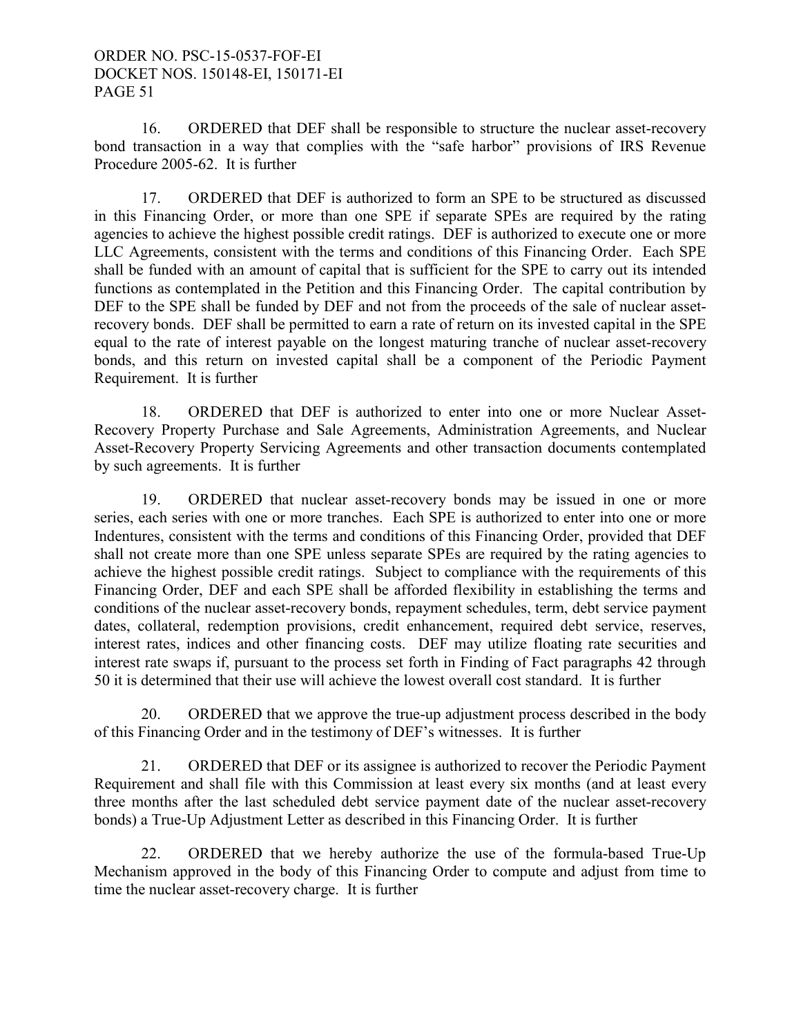16. ORDERED that DEF shall be responsible to structure the nuclear asset-recovery bond transaction in a way that complies with the "safe harbor" provisions of IRS Revenue Procedure 2005-62. It is further

17. ORDERED that DEF is authorized to form an SPE to be structured as discussed in this Financing Order, or more than one SPE if separate SPEs are required by the rating agencies to achieve the highest possible credit ratings. DEF is authorized to execute one or more LLC Agreements, consistent with the terms and conditions of this Financing Order. Each SPE shall be funded with an amount of capital that is sufficient for the SPE to carry out its intended functions as contemplated in the Petition and this Financing Order. The capital contribution by DEF to the SPE shall be funded by DEF and not from the proceeds of the sale of nuclear assetrecovery bonds. DEF shall be permitted to earn a rate of return on its invested capital in the SPE equal to the rate of interest payable on the longest maturing tranche of nuclear asset-recovery bonds, and this return on invested capital shall be a component of the Periodic Payment Requirement. It is further

18. ORDERED that DEF is authorized to enter into one or more Nuclear Asset-Recovery Property Purchase and Sale Agreements, Administration Agreements, and Nuclear Asset-Recovery Property Servicing Agreements and other transaction documents contemplated by such agreements. It is further

19. ORDERED that nuclear asset-recovery bonds may be issued in one or more series, each series with one or more tranches. Each SPE is authorized to enter into one or more Indentures, consistent with the terms and conditions of this Financing Order, provided that DEF shall not create more than one SPE unless separate SPEs are required by the rating agencies to achieve the highest possible credit ratings. Subject to compliance with the requirements of this Financing Order, DEF and each SPE shall be afforded flexibility in establishing the terms and conditions of the nuclear asset-recovery bonds, repayment schedules, term, debt service payment dates, collateral, redemption provisions, credit enhancement, required debt service, reserves, interest rates, indices and other financing costs. DEF may utilize floating rate securities and interest rate swaps if, pursuant to the process set forth in Finding of Fact paragraphs 42 through 50 it is determined that their use will achieve the lowest overall cost standard. It is further

20. ORDERED that we approve the true-up adjustment process described in the body of this Financing Order and in the testimony of DEF's witnesses. It is further

21. ORDERED that DEF or its assignee is authorized to recover the Periodic Payment Requirement and shall file with this Commission at least every six months (and at least every three months after the last scheduled debt service payment date of the nuclear asset-recovery bonds) a True-Up Adjustment Letter as described in this Financing Order. It is further

22. ORDERED that we hereby authorize the use of the formula-based True-Up Mechanism approved in the body of this Financing Order to compute and adjust from time to time the nuclear asset-recovery charge. It is further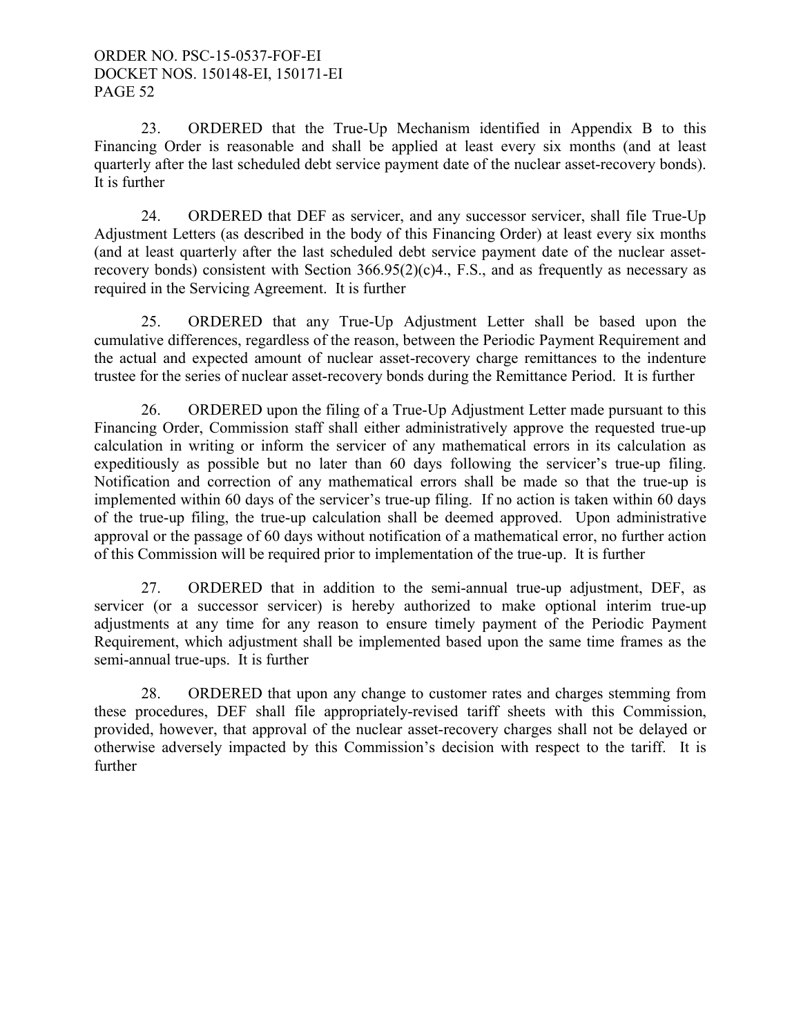23. ORDERED that the True-Up Mechanism identified in Appendix B to this Financing Order is reasonable and shall be applied at least every six months (and at least quarterly after the last scheduled debt service payment date of the nuclear asset-recovery bonds). It is further

24. ORDERED that DEF as servicer, and any successor servicer, shall file True-Up Adjustment Letters (as described in the body of this Financing Order) at least every six months (and at least quarterly after the last scheduled debt service payment date of the nuclear assetrecovery bonds) consistent with Section  $366.95(2)(c)4$ ., F.S., and as frequently as necessary as required in the Servicing Agreement. It is further

25. ORDERED that any True-Up Adjustment Letter shall be based upon the cumulative differences, regardless of the reason, between the Periodic Payment Requirement and the actual and expected amount of nuclear asset-recovery charge remittances to the indenture trustee for the series of nuclear asset-recovery bonds during the Remittance Period. It is further

26. ORDERED upon the filing of a True-Up Adjustment Letter made pursuant to this Financing Order, Commission staff shall either administratively approve the requested true-up calculation in writing or inform the servicer of any mathematical errors in its calculation as expeditiously as possible but no later than 60 days following the servicer's true-up filing. Notification and correction of any mathematical errors shall be made so that the true-up is implemented within 60 days of the servicer's true-up filing. If no action is taken within 60 days of the true-up filing, the true-up calculation shall be deemed approved. Upon administrative approval or the passage of 60 days without notification of a mathematical error, no further action of this Commission will be required prior to implementation of the true-up. It is further

27. ORDERED that in addition to the semi-annual true-up adjustment, DEF, as servicer (or a successor servicer) is hereby authorized to make optional interim true-up adjustments at any time for any reason to ensure timely payment of the Periodic Payment Requirement, which adjustment shall be implemented based upon the same time frames as the semi-annual true-ups. It is further

28. ORDERED that upon any change to customer rates and charges stemming from these procedures, DEF shall file appropriately-revised tariff sheets with this Commission, provided, however, that approval of the nuclear asset-recovery charges shall not be delayed or otherwise adversely impacted by this Commission's decision with respect to the tariff. It is further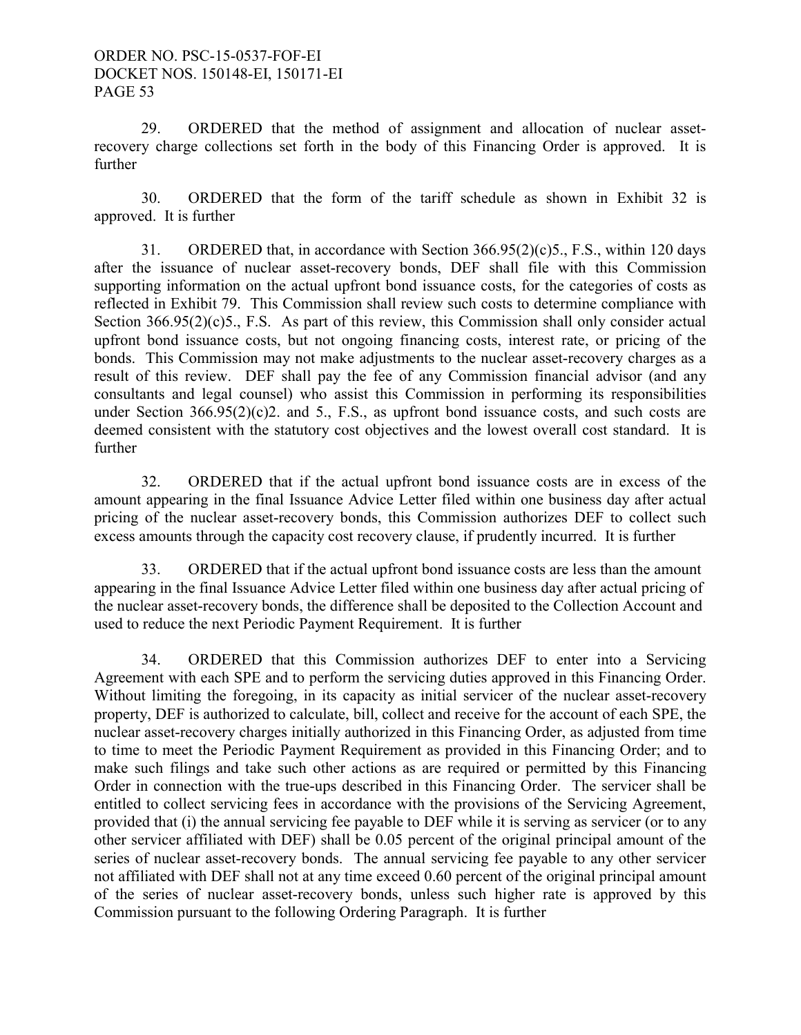29. ORDERED that the method of assignment and allocation of nuclear assetrecovery charge collections set forth in the body of this Financing Order is approved. It is further

30. ORDERED that the form of the tariff schedule as shown in Exhibit 32 is approved. It is further

31. ORDERED that, in accordance with Section 366.95(2)(c)5., F.S., within 120 days after the issuance of nuclear asset-recovery bonds, DEF shall file with this Commission supporting information on the actual upfront bond issuance costs, for the categories of costs as reflected in Exhibit 79. This Commission shall review such costs to determine compliance with Section 366.95(2)(c)5., F.S. As part of this review, this Commission shall only consider actual upfront bond issuance costs, but not ongoing financing costs, interest rate, or pricing of the bonds. This Commission may not make adjustments to the nuclear asset-recovery charges as a result of this review. DEF shall pay the fee of any Commission financial advisor (and any consultants and legal counsel) who assist this Commission in performing its responsibilities under Section  $366.95(2)(c)$ , and 5., F.S., as upfront bond issuance costs, and such costs are deemed consistent with the statutory cost objectives and the lowest overall cost standard. It is further

32. ORDERED that if the actual upfront bond issuance costs are in excess of the amount appearing in the final Issuance Advice Letter filed within one business day after actual pricing of the nuclear asset-recovery bonds, this Commission authorizes DEF to collect such excess amounts through the capacity cost recovery clause, if prudently incurred. It is further

 33. ORDERED that if the actual upfront bond issuance costs are less than the amount appearing in the final Issuance Advice Letter filed within one business day after actual pricing of the nuclear asset-recovery bonds, the difference shall be deposited to the Collection Account and used to reduce the next Periodic Payment Requirement. It is further

 34. ORDERED that this Commission authorizes DEF to enter into a Servicing Agreement with each SPE and to perform the servicing duties approved in this Financing Order. Without limiting the foregoing, in its capacity as initial servicer of the nuclear asset-recovery property, DEF is authorized to calculate, bill, collect and receive for the account of each SPE, the nuclear asset-recovery charges initially authorized in this Financing Order, as adjusted from time to time to meet the Periodic Payment Requirement as provided in this Financing Order; and to make such filings and take such other actions as are required or permitted by this Financing Order in connection with the true-ups described in this Financing Order. The servicer shall be entitled to collect servicing fees in accordance with the provisions of the Servicing Agreement, provided that (i) the annual servicing fee payable to DEF while it is serving as servicer (or to any other servicer affiliated with DEF) shall be 0.05 percent of the original principal amount of the series of nuclear asset-recovery bonds. The annual servicing fee payable to any other servicer not affiliated with DEF shall not at any time exceed 0.60 percent of the original principal amount of the series of nuclear asset-recovery bonds, unless such higher rate is approved by this Commission pursuant to the following Ordering Paragraph. It is further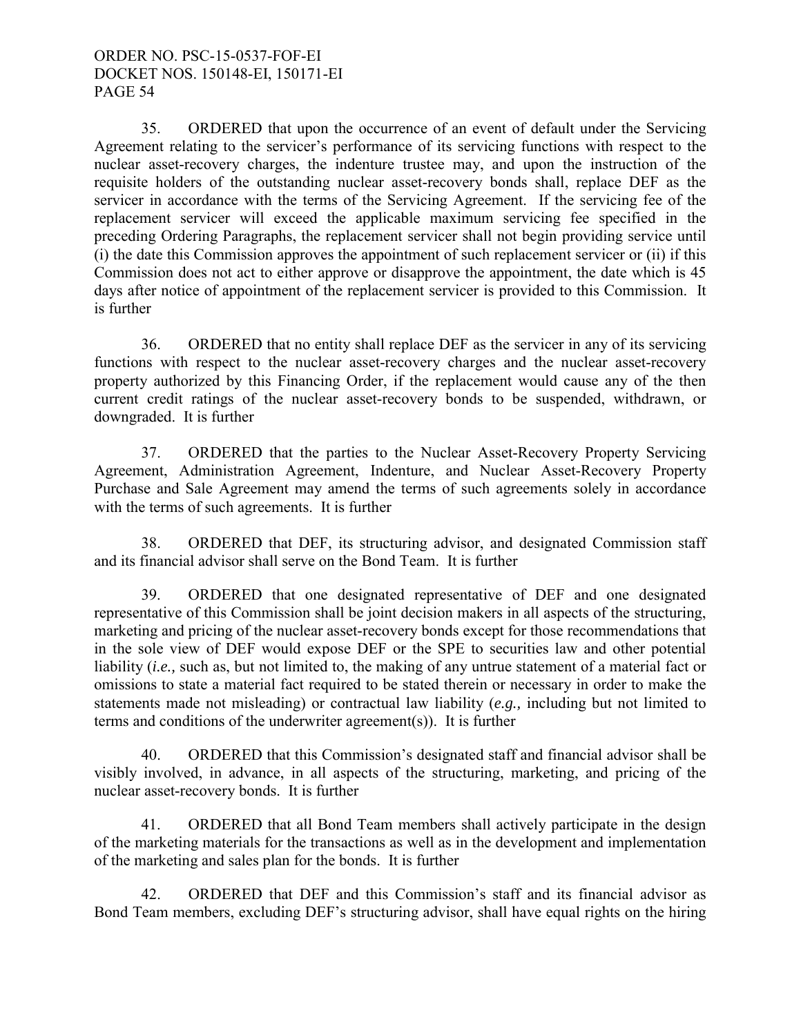35. ORDERED that upon the occurrence of an event of default under the Servicing Agreement relating to the servicer's performance of its servicing functions with respect to the nuclear asset-recovery charges, the indenture trustee may, and upon the instruction of the requisite holders of the outstanding nuclear asset-recovery bonds shall, replace DEF as the servicer in accordance with the terms of the Servicing Agreement. If the servicing fee of the replacement servicer will exceed the applicable maximum servicing fee specified in the preceding Ordering Paragraphs, the replacement servicer shall not begin providing service until (i) the date this Commission approves the appointment of such replacement servicer or (ii) if this Commission does not act to either approve or disapprove the appointment, the date which is 45 days after notice of appointment of the replacement servicer is provided to this Commission. It is further

 36. ORDERED that no entity shall replace DEF as the servicer in any of its servicing functions with respect to the nuclear asset-recovery charges and the nuclear asset-recovery property authorized by this Financing Order, if the replacement would cause any of the then current credit ratings of the nuclear asset-recovery bonds to be suspended, withdrawn, or downgraded. It is further

 37. ORDERED that the parties to the Nuclear Asset-Recovery Property Servicing Agreement, Administration Agreement, Indenture, and Nuclear Asset-Recovery Property Purchase and Sale Agreement may amend the terms of such agreements solely in accordance with the terms of such agreements. It is further

38. ORDERED that DEF, its structuring advisor, and designated Commission staff and its financial advisor shall serve on the Bond Team. It is further

39. ORDERED that one designated representative of DEF and one designated representative of this Commission shall be joint decision makers in all aspects of the structuring, marketing and pricing of the nuclear asset-recovery bonds except for those recommendations that in the sole view of DEF would expose DEF or the SPE to securities law and other potential liability *(i.e.,* such as, but not limited to, the making of any untrue statement of a material fact or omissions to state a material fact required to be stated therein or necessary in order to make the statements made not misleading) or contractual law liability (*e.g.,* including but not limited to terms and conditions of the underwriter agreement(s)). It is further

40. ORDERED that this Commission's designated staff and financial advisor shall be visibly involved, in advance, in all aspects of the structuring, marketing, and pricing of the nuclear asset-recovery bonds. It is further

41. ORDERED that all Bond Team members shall actively participate in the design of the marketing materials for the transactions as well as in the development and implementation of the marketing and sales plan for the bonds. It is further

42. ORDERED that DEF and this Commission's staff and its financial advisor as Bond Team members, excluding DEF's structuring advisor, shall have equal rights on the hiring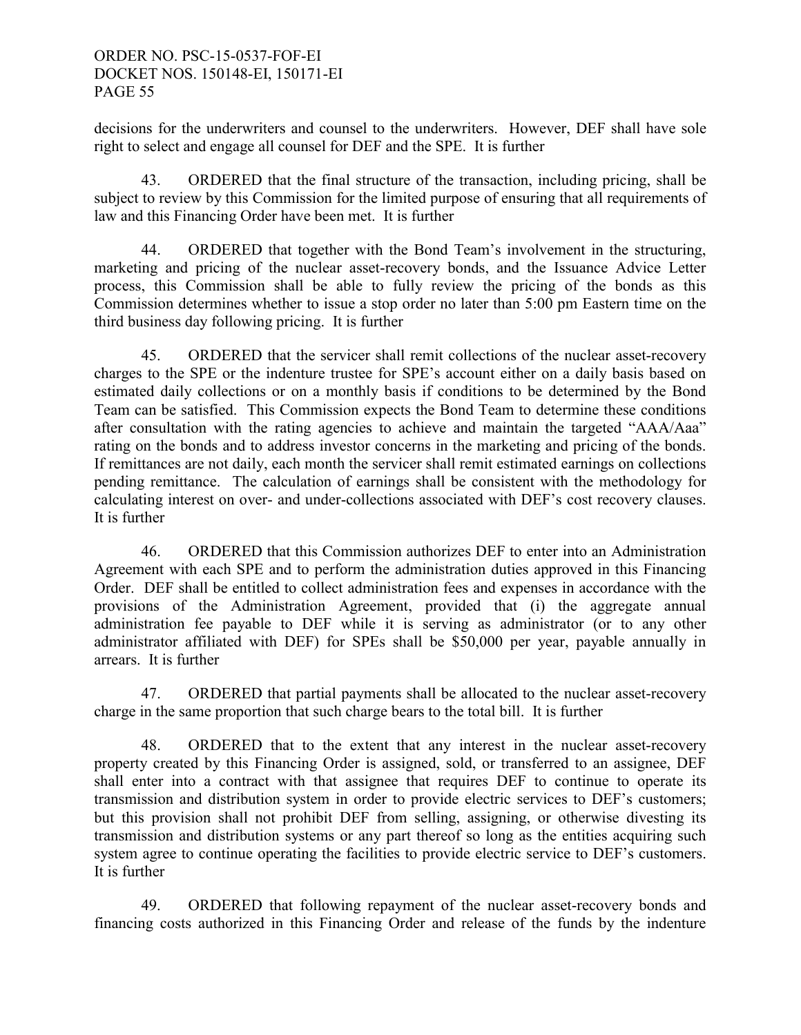decisions for the underwriters and counsel to the underwriters. However, DEF shall have sole right to select and engage all counsel for DEF and the SPE. It is further

43. ORDERED that the final structure of the transaction, including pricing, shall be subject to review by this Commission for the limited purpose of ensuring that all requirements of law and this Financing Order have been met. It is further

 44. ORDERED that together with the Bond Team's involvement in the structuring, marketing and pricing of the nuclear asset-recovery bonds, and the Issuance Advice Letter process, this Commission shall be able to fully review the pricing of the bonds as this Commission determines whether to issue a stop order no later than 5:00 pm Eastern time on the third business day following pricing. It is further

 45. ORDERED that the servicer shall remit collections of the nuclear asset-recovery charges to the SPE or the indenture trustee for SPE's account either on a daily basis based on estimated daily collections or on a monthly basis if conditions to be determined by the Bond Team can be satisfied. This Commission expects the Bond Team to determine these conditions after consultation with the rating agencies to achieve and maintain the targeted "AAA/Aaa" rating on the bonds and to address investor concerns in the marketing and pricing of the bonds. If remittances are not daily, each month the servicer shall remit estimated earnings on collections pending remittance. The calculation of earnings shall be consistent with the methodology for calculating interest on over- and under-collections associated with DEF's cost recovery clauses. It is further

 46. ORDERED that this Commission authorizes DEF to enter into an Administration Agreement with each SPE and to perform the administration duties approved in this Financing Order. DEF shall be entitled to collect administration fees and expenses in accordance with the provisions of the Administration Agreement, provided that (i) the aggregate annual administration fee payable to DEF while it is serving as administrator (or to any other administrator affiliated with DEF) for SPEs shall be \$50,000 per year, payable annually in arrears. It is further

 47. ORDERED that partial payments shall be allocated to the nuclear asset-recovery charge in the same proportion that such charge bears to the total bill. It is further

 48. ORDERED that to the extent that any interest in the nuclear asset-recovery property created by this Financing Order is assigned, sold, or transferred to an assignee, DEF shall enter into a contract with that assignee that requires DEF to continue to operate its transmission and distribution system in order to provide electric services to DEF's customers; but this provision shall not prohibit DEF from selling, assigning, or otherwise divesting its transmission and distribution systems or any part thereof so long as the entities acquiring such system agree to continue operating the facilities to provide electric service to DEF's customers. It is further

 49. ORDERED that following repayment of the nuclear asset-recovery bonds and financing costs authorized in this Financing Order and release of the funds by the indenture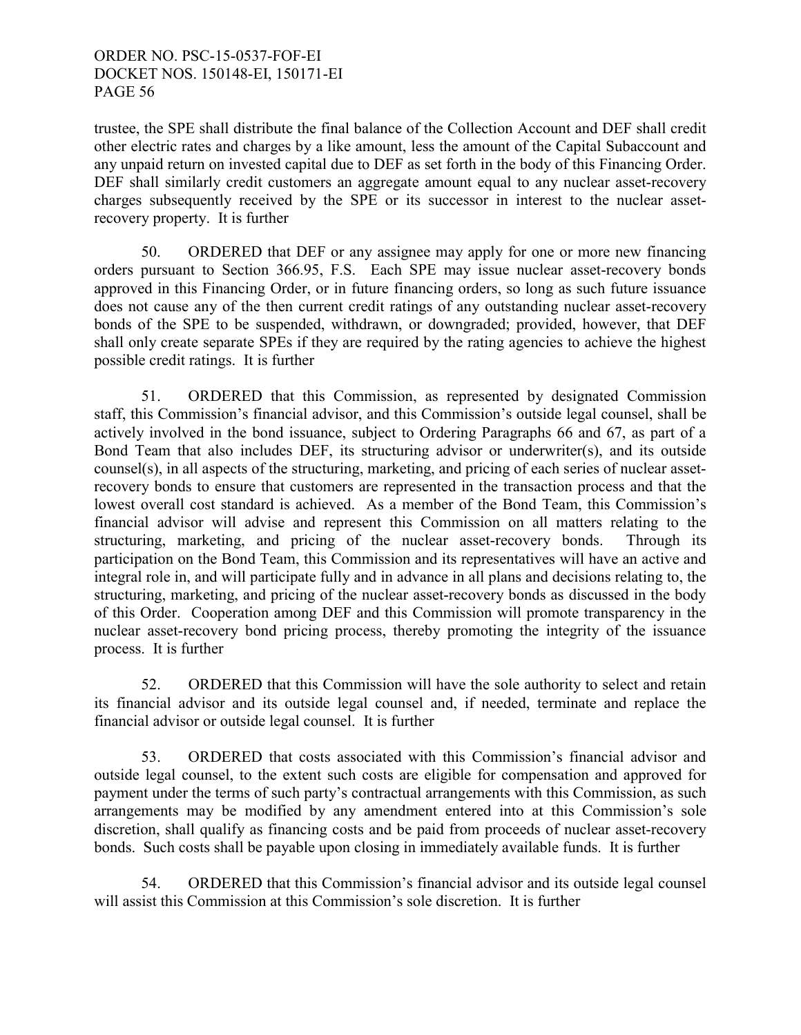trustee, the SPE shall distribute the final balance of the Collection Account and DEF shall credit other electric rates and charges by a like amount, less the amount of the Capital Subaccount and any unpaid return on invested capital due to DEF as set forth in the body of this Financing Order. DEF shall similarly credit customers an aggregate amount equal to any nuclear asset-recovery charges subsequently received by the SPE or its successor in interest to the nuclear assetrecovery property. It is further

 50. ORDERED that DEF or any assignee may apply for one or more new financing orders pursuant to Section 366.95, F.S. Each SPE may issue nuclear asset-recovery bonds approved in this Financing Order, or in future financing orders, so long as such future issuance does not cause any of the then current credit ratings of any outstanding nuclear asset-recovery bonds of the SPE to be suspended, withdrawn, or downgraded; provided, however, that DEF shall only create separate SPEs if they are required by the rating agencies to achieve the highest possible credit ratings. It is further

 51. ORDERED that this Commission, as represented by designated Commission staff, this Commission's financial advisor, and this Commission's outside legal counsel, shall be actively involved in the bond issuance, subject to Ordering Paragraphs 66 and 67, as part of a Bond Team that also includes DEF, its structuring advisor or underwriter(s), and its outside counsel(s), in all aspects of the structuring, marketing, and pricing of each series of nuclear assetrecovery bonds to ensure that customers are represented in the transaction process and that the lowest overall cost standard is achieved. As a member of the Bond Team, this Commission's financial advisor will advise and represent this Commission on all matters relating to the structuring, marketing, and pricing of the nuclear asset-recovery bonds. Through its participation on the Bond Team, this Commission and its representatives will have an active and integral role in, and will participate fully and in advance in all plans and decisions relating to, the structuring, marketing, and pricing of the nuclear asset-recovery bonds as discussed in the body of this Order. Cooperation among DEF and this Commission will promote transparency in the nuclear asset-recovery bond pricing process, thereby promoting the integrity of the issuance process. It is further

 52. ORDERED that this Commission will have the sole authority to select and retain its financial advisor and its outside legal counsel and, if needed, terminate and replace the financial advisor or outside legal counsel. It is further

 53. ORDERED that costs associated with this Commission's financial advisor and outside legal counsel, to the extent such costs are eligible for compensation and approved for payment under the terms of such party's contractual arrangements with this Commission, as such arrangements may be modified by any amendment entered into at this Commission's sole discretion, shall qualify as financing costs and be paid from proceeds of nuclear asset-recovery bonds. Such costs shall be payable upon closing in immediately available funds. It is further

 54. ORDERED that this Commission's financial advisor and its outside legal counsel will assist this Commission at this Commission's sole discretion. It is further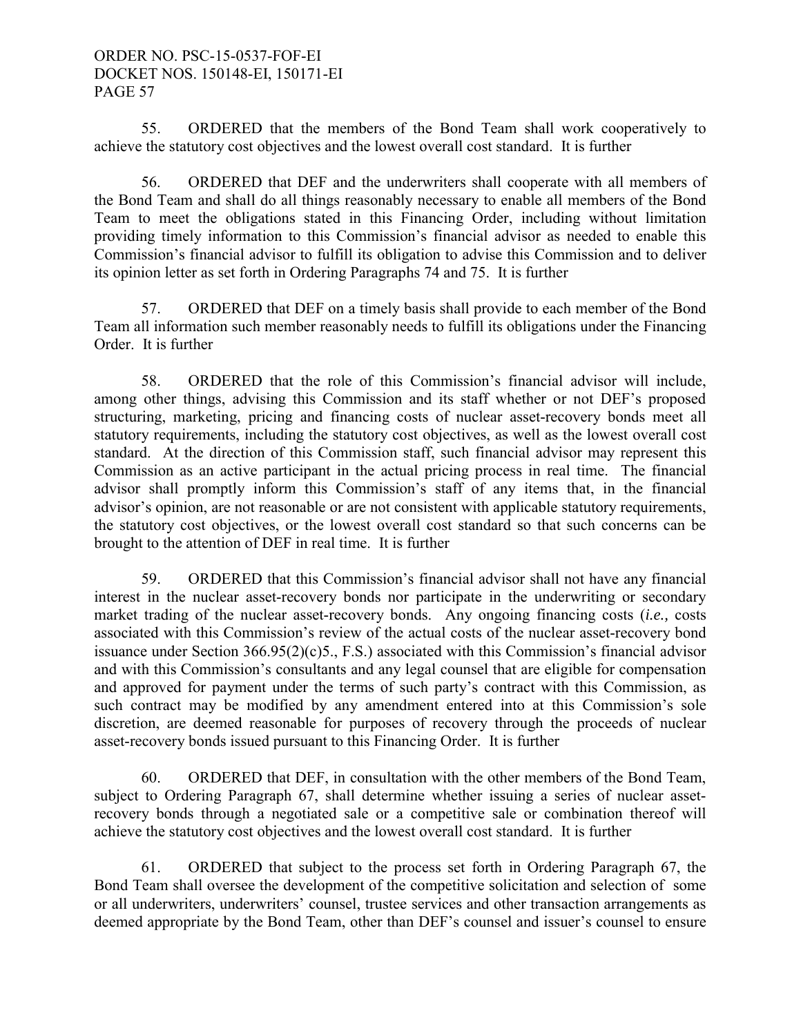55. ORDERED that the members of the Bond Team shall work cooperatively to achieve the statutory cost objectives and the lowest overall cost standard. It is further

 56. ORDERED that DEF and the underwriters shall cooperate with all members of the Bond Team and shall do all things reasonably necessary to enable all members of the Bond Team to meet the obligations stated in this Financing Order, including without limitation providing timely information to this Commission's financial advisor as needed to enable this Commission's financial advisor to fulfill its obligation to advise this Commission and to deliver its opinion letter as set forth in Ordering Paragraphs 74 and 75. It is further

 57. ORDERED that DEF on a timely basis shall provide to each member of the Bond Team all information such member reasonably needs to fulfill its obligations under the Financing Order. It is further

 58. ORDERED that the role of this Commission's financial advisor will include, among other things, advising this Commission and its staff whether or not DEF's proposed structuring, marketing, pricing and financing costs of nuclear asset-recovery bonds meet all statutory requirements, including the statutory cost objectives, as well as the lowest overall cost standard. At the direction of this Commission staff, such financial advisor may represent this Commission as an active participant in the actual pricing process in real time. The financial advisor shall promptly inform this Commission's staff of any items that, in the financial advisor's opinion, are not reasonable or are not consistent with applicable statutory requirements, the statutory cost objectives, or the lowest overall cost standard so that such concerns can be brought to the attention of DEF in real time. It is further

 59. ORDERED that this Commission's financial advisor shall not have any financial interest in the nuclear asset-recovery bonds nor participate in the underwriting or secondary market trading of the nuclear asset-recovery bonds. Any ongoing financing costs (*i.e.,* costs associated with this Commission's review of the actual costs of the nuclear asset-recovery bond issuance under Section 366.95(2)(c)5., F.S.) associated with this Commission's financial advisor and with this Commission's consultants and any legal counsel that are eligible for compensation and approved for payment under the terms of such party's contract with this Commission, as such contract may be modified by any amendment entered into at this Commission's sole discretion, are deemed reasonable for purposes of recovery through the proceeds of nuclear asset-recovery bonds issued pursuant to this Financing Order. It is further

 60. ORDERED that DEF, in consultation with the other members of the Bond Team, subject to Ordering Paragraph 67, shall determine whether issuing a series of nuclear assetrecovery bonds through a negotiated sale or a competitive sale or combination thereof will achieve the statutory cost objectives and the lowest overall cost standard. It is further

 61. ORDERED that subject to the process set forth in Ordering Paragraph 67, the Bond Team shall oversee the development of the competitive solicitation and selection of some or all underwriters, underwriters' counsel, trustee services and other transaction arrangements as deemed appropriate by the Bond Team, other than DEF's counsel and issuer's counsel to ensure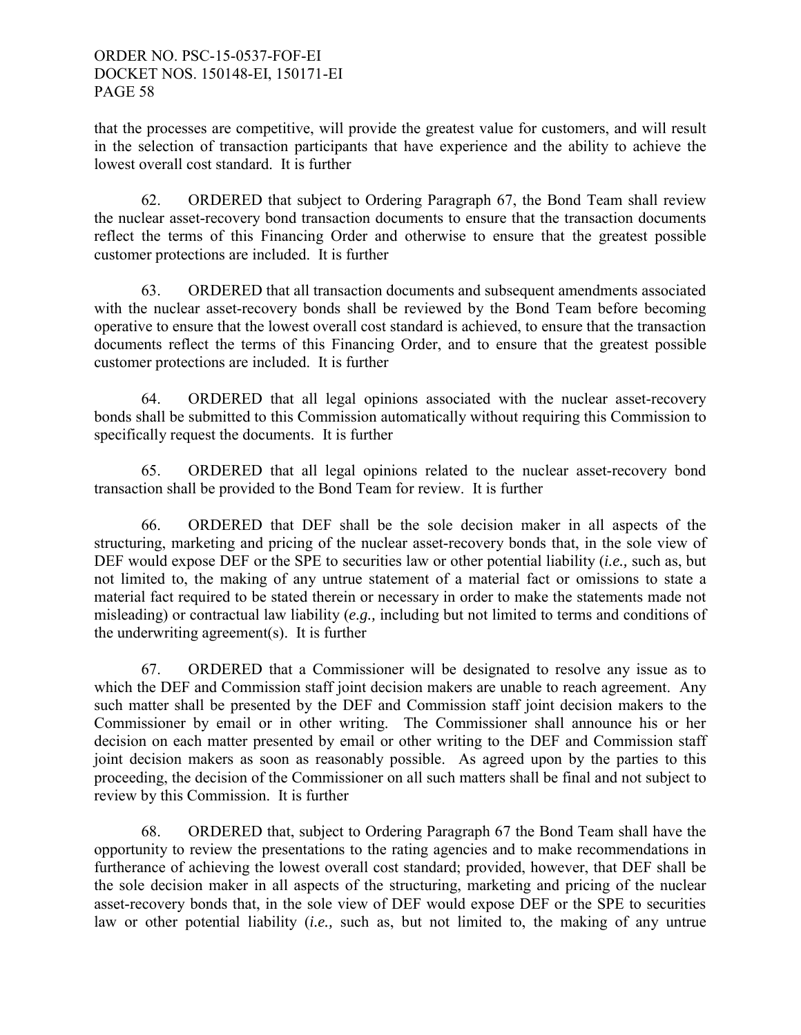that the processes are competitive, will provide the greatest value for customers, and will result in the selection of transaction participants that have experience and the ability to achieve the lowest overall cost standard. It is further

 62. ORDERED that subject to Ordering Paragraph 67, the Bond Team shall review the nuclear asset-recovery bond transaction documents to ensure that the transaction documents reflect the terms of this Financing Order and otherwise to ensure that the greatest possible customer protections are included. It is further

 63. ORDERED that all transaction documents and subsequent amendments associated with the nuclear asset-recovery bonds shall be reviewed by the Bond Team before becoming operative to ensure that the lowest overall cost standard is achieved, to ensure that the transaction documents reflect the terms of this Financing Order, and to ensure that the greatest possible customer protections are included. It is further

 64. ORDERED that all legal opinions associated with the nuclear asset-recovery bonds shall be submitted to this Commission automatically without requiring this Commission to specifically request the documents. It is further

 65. ORDERED that all legal opinions related to the nuclear asset-recovery bond transaction shall be provided to the Bond Team for review. It is further

 66. ORDERED that DEF shall be the sole decision maker in all aspects of the structuring, marketing and pricing of the nuclear asset-recovery bonds that, in the sole view of DEF would expose DEF or the SPE to securities law or other potential liability (*i.e.,* such as, but not limited to, the making of any untrue statement of a material fact or omissions to state a material fact required to be stated therein or necessary in order to make the statements made not misleading) or contractual law liability (*e.g.,* including but not limited to terms and conditions of the underwriting agreement(s). It is further

 67. ORDERED that a Commissioner will be designated to resolve any issue as to which the DEF and Commission staff joint decision makers are unable to reach agreement. Any such matter shall be presented by the DEF and Commission staff joint decision makers to the Commissioner by email or in other writing. The Commissioner shall announce his or her decision on each matter presented by email or other writing to the DEF and Commission staff joint decision makers as soon as reasonably possible. As agreed upon by the parties to this proceeding, the decision of the Commissioner on all such matters shall be final and not subject to review by this Commission. It is further

 68. ORDERED that, subject to Ordering Paragraph 67 the Bond Team shall have the opportunity to review the presentations to the rating agencies and to make recommendations in furtherance of achieving the lowest overall cost standard; provided, however, that DEF shall be the sole decision maker in all aspects of the structuring, marketing and pricing of the nuclear asset-recovery bonds that, in the sole view of DEF would expose DEF or the SPE to securities law or other potential liability (*i.e.,* such as, but not limited to, the making of any untrue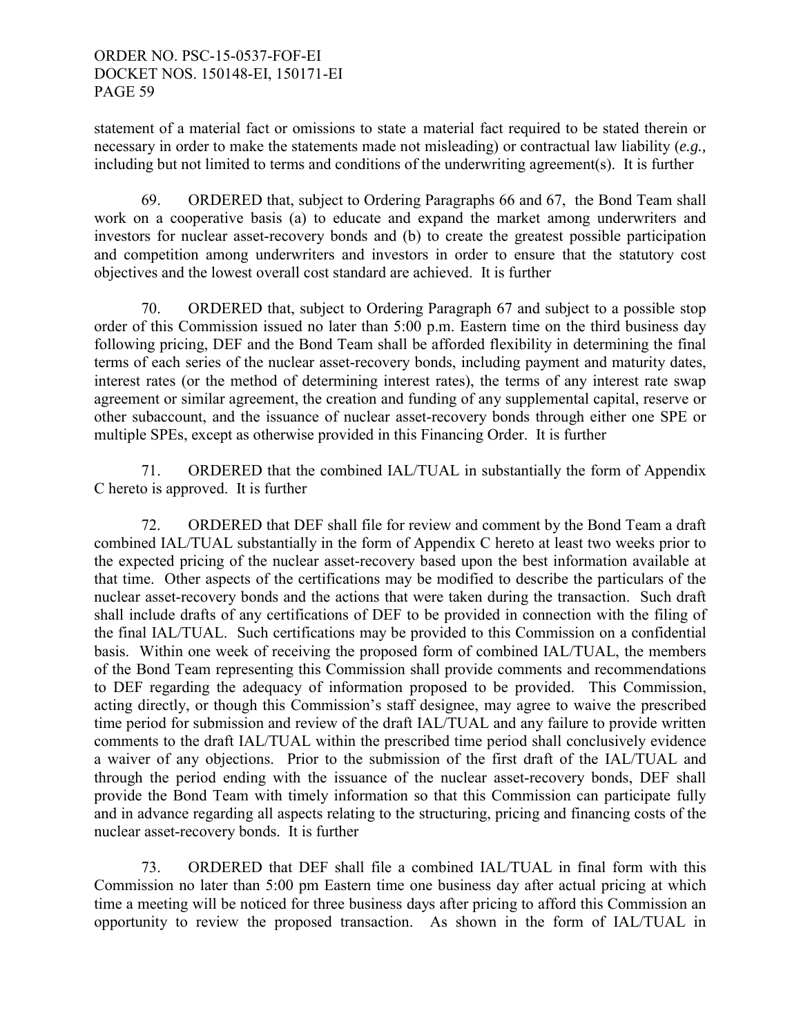statement of a material fact or omissions to state a material fact required to be stated therein or necessary in order to make the statements made not misleading) or contractual law liability (*e.g.,*  including but not limited to terms and conditions of the underwriting agreement(s). It is further

 69. ORDERED that, subject to Ordering Paragraphs 66 and 67, the Bond Team shall work on a cooperative basis (a) to educate and expand the market among underwriters and investors for nuclear asset-recovery bonds and (b) to create the greatest possible participation and competition among underwriters and investors in order to ensure that the statutory cost objectives and the lowest overall cost standard are achieved. It is further

 70. ORDERED that, subject to Ordering Paragraph 67 and subject to a possible stop order of this Commission issued no later than 5:00 p.m. Eastern time on the third business day following pricing, DEF and the Bond Team shall be afforded flexibility in determining the final terms of each series of the nuclear asset-recovery bonds, including payment and maturity dates, interest rates (or the method of determining interest rates), the terms of any interest rate swap agreement or similar agreement, the creation and funding of any supplemental capital, reserve or other subaccount, and the issuance of nuclear asset-recovery bonds through either one SPE or multiple SPEs, except as otherwise provided in this Financing Order. It is further

 71. ORDERED that the combined IAL/TUAL in substantially the form of Appendix C hereto is approved. It is further

 72. ORDERED that DEF shall file for review and comment by the Bond Team a draft combined IAL/TUAL substantially in the form of Appendix C hereto at least two weeks prior to the expected pricing of the nuclear asset-recovery based upon the best information available at that time. Other aspects of the certifications may be modified to describe the particulars of the nuclear asset-recovery bonds and the actions that were taken during the transaction. Such draft shall include drafts of any certifications of DEF to be provided in connection with the filing of the final IAL/TUAL. Such certifications may be provided to this Commission on a confidential basis. Within one week of receiving the proposed form of combined IAL/TUAL, the members of the Bond Team representing this Commission shall provide comments and recommendations to DEF regarding the adequacy of information proposed to be provided. This Commission, acting directly, or though this Commission's staff designee, may agree to waive the prescribed time period for submission and review of the draft IAL/TUAL and any failure to provide written comments to the draft IAL/TUAL within the prescribed time period shall conclusively evidence a waiver of any objections. Prior to the submission of the first draft of the IAL/TUAL and through the period ending with the issuance of the nuclear asset-recovery bonds, DEF shall provide the Bond Team with timely information so that this Commission can participate fully and in advance regarding all aspects relating to the structuring, pricing and financing costs of the nuclear asset-recovery bonds. It is further

 73. ORDERED that DEF shall file a combined IAL/TUAL in final form with this Commission no later than 5:00 pm Eastern time one business day after actual pricing at which time a meeting will be noticed for three business days after pricing to afford this Commission an opportunity to review the proposed transaction. As shown in the form of IAL/TUAL in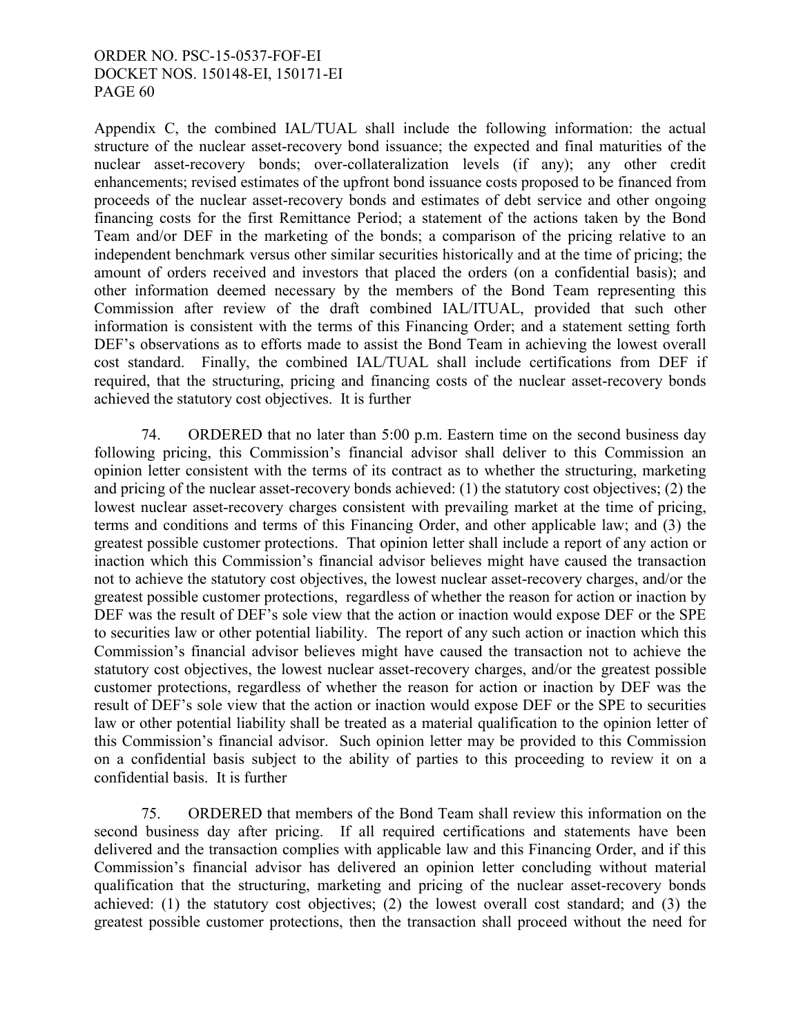Appendix C, the combined IAL/TUAL shall include the following information: the actual structure of the nuclear asset-recovery bond issuance; the expected and final maturities of the nuclear asset-recovery bonds; over-collateralization levels (if any); any other credit enhancements; revised estimates of the upfront bond issuance costs proposed to be financed from proceeds of the nuclear asset-recovery bonds and estimates of debt service and other ongoing financing costs for the first Remittance Period; a statement of the actions taken by the Bond Team and/or DEF in the marketing of the bonds; a comparison of the pricing relative to an independent benchmark versus other similar securities historically and at the time of pricing; the amount of orders received and investors that placed the orders (on a confidential basis); and other information deemed necessary by the members of the Bond Team representing this Commission after review of the draft combined IAL/ITUAL, provided that such other information is consistent with the terms of this Financing Order; and a statement setting forth DEF's observations as to efforts made to assist the Bond Team in achieving the lowest overall cost standard. Finally, the combined IAL/TUAL shall include certifications from DEF if required, that the structuring, pricing and financing costs of the nuclear asset-recovery bonds achieved the statutory cost objectives. It is further

 74. ORDERED that no later than 5:00 p.m. Eastern time on the second business day following pricing, this Commission's financial advisor shall deliver to this Commission an opinion letter consistent with the terms of its contract as to whether the structuring, marketing and pricing of the nuclear asset-recovery bonds achieved: (1) the statutory cost objectives; (2) the lowest nuclear asset-recovery charges consistent with prevailing market at the time of pricing, terms and conditions and terms of this Financing Order, and other applicable law; and (3) the greatest possible customer protections. That opinion letter shall include a report of any action or inaction which this Commission's financial advisor believes might have caused the transaction not to achieve the statutory cost objectives, the lowest nuclear asset-recovery charges, and/or the greatest possible customer protections, regardless of whether the reason for action or inaction by DEF was the result of DEF's sole view that the action or inaction would expose DEF or the SPE to securities law or other potential liability. The report of any such action or inaction which this Commission's financial advisor believes might have caused the transaction not to achieve the statutory cost objectives, the lowest nuclear asset-recovery charges, and/or the greatest possible customer protections, regardless of whether the reason for action or inaction by DEF was the result of DEF's sole view that the action or inaction would expose DEF or the SPE to securities law or other potential liability shall be treated as a material qualification to the opinion letter of this Commission's financial advisor. Such opinion letter may be provided to this Commission on a confidential basis subject to the ability of parties to this proceeding to review it on a confidential basis. It is further

 75. ORDERED that members of the Bond Team shall review this information on the second business day after pricing. If all required certifications and statements have been delivered and the transaction complies with applicable law and this Financing Order, and if this Commission's financial advisor has delivered an opinion letter concluding without material qualification that the structuring, marketing and pricing of the nuclear asset-recovery bonds achieved: (1) the statutory cost objectives; (2) the lowest overall cost standard; and (3) the greatest possible customer protections, then the transaction shall proceed without the need for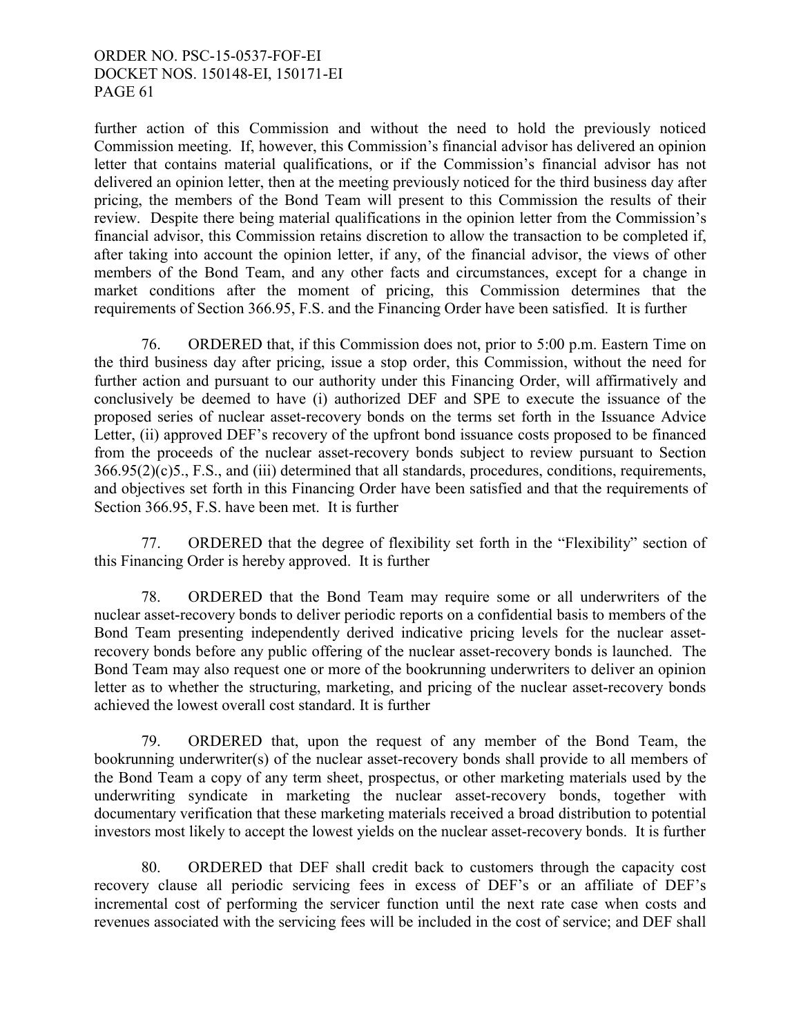further action of this Commission and without the need to hold the previously noticed Commission meeting. If, however, this Commission's financial advisor has delivered an opinion letter that contains material qualifications, or if the Commission's financial advisor has not delivered an opinion letter, then at the meeting previously noticed for the third business day after pricing, the members of the Bond Team will present to this Commission the results of their review. Despite there being material qualifications in the opinion letter from the Commission's financial advisor, this Commission retains discretion to allow the transaction to be completed if, after taking into account the opinion letter, if any, of the financial advisor, the views of other members of the Bond Team, and any other facts and circumstances, except for a change in market conditions after the moment of pricing, this Commission determines that the requirements of Section 366.95, F.S. and the Financing Order have been satisfied. It is further

 76. ORDERED that, if this Commission does not, prior to 5:00 p.m. Eastern Time on the third business day after pricing, issue a stop order, this Commission, without the need for further action and pursuant to our authority under this Financing Order, will affirmatively and conclusively be deemed to have (i) authorized DEF and SPE to execute the issuance of the proposed series of nuclear asset-recovery bonds on the terms set forth in the Issuance Advice Letter, (ii) approved DEF's recovery of the upfront bond issuance costs proposed to be financed from the proceeds of the nuclear asset-recovery bonds subject to review pursuant to Section 366.95(2)(c)5., F.S., and (iii) determined that all standards, procedures, conditions, requirements, and objectives set forth in this Financing Order have been satisfied and that the requirements of Section 366.95, F.S. have been met. It is further

 77. ORDERED that the degree of flexibility set forth in the "Flexibility" section of this Financing Order is hereby approved. It is further

 78. ORDERED that the Bond Team may require some or all underwriters of the nuclear asset-recovery bonds to deliver periodic reports on a confidential basis to members of the Bond Team presenting independently derived indicative pricing levels for the nuclear assetrecovery bonds before any public offering of the nuclear asset-recovery bonds is launched. The Bond Team may also request one or more of the bookrunning underwriters to deliver an opinion letter as to whether the structuring, marketing, and pricing of the nuclear asset-recovery bonds achieved the lowest overall cost standard. It is further

 79. ORDERED that, upon the request of any member of the Bond Team, the bookrunning underwriter(s) of the nuclear asset-recovery bonds shall provide to all members of the Bond Team a copy of any term sheet, prospectus, or other marketing materials used by the underwriting syndicate in marketing the nuclear asset-recovery bonds, together with documentary verification that these marketing materials received a broad distribution to potential investors most likely to accept the lowest yields on the nuclear asset-recovery bonds. It is further

80. ORDERED that DEF shall credit back to customers through the capacity cost recovery clause all periodic servicing fees in excess of DEF's or an affiliate of DEF's incremental cost of performing the servicer function until the next rate case when costs and revenues associated with the servicing fees will be included in the cost of service; and DEF shall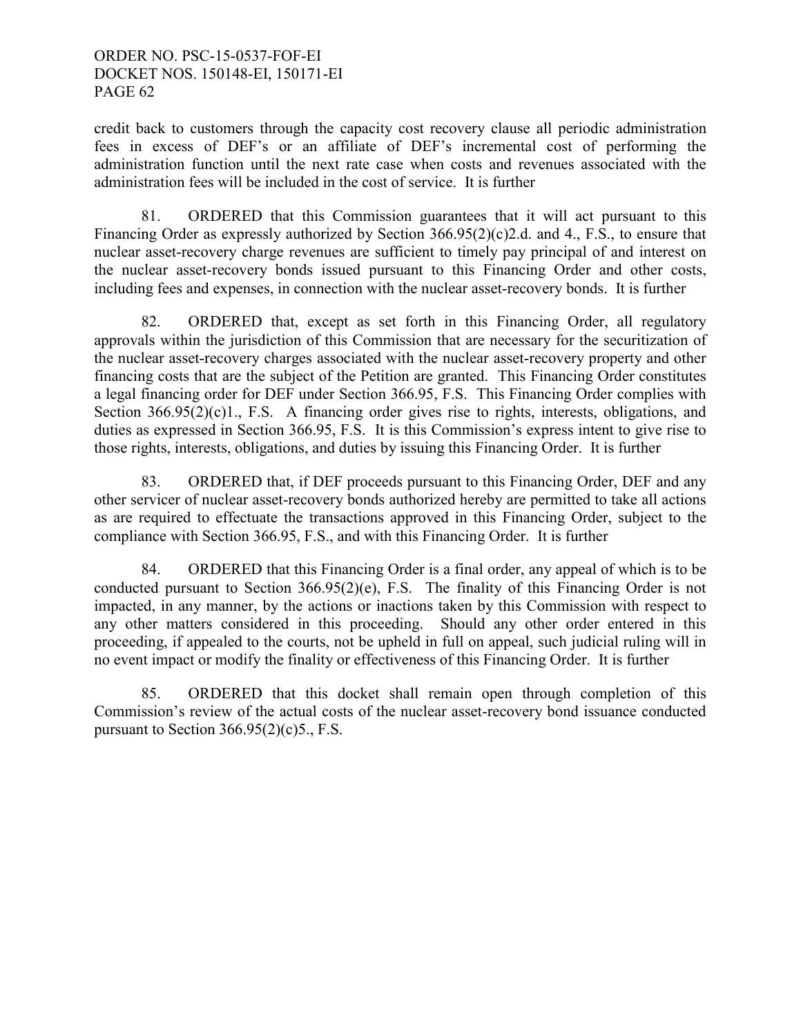credit back to customers through the capacity cost recovery clause all periodic administration fees in excess of DEF's or an affiliate of DEF's incremental cost of performing the administration function until the next rate case when costs and revenues associated with the administration fees will be included in the cost of service. It is further

81. ORDERED that this Commission guarantees that it will act pursuant to this Financing Order as expressly authorized by Section 366.95(2)(c)2.d. and 4., F.S., to ensure that nuclear asset-recovery charge revenues are sufficient to timely pay principal of and interest on the nuclear asset-recovery bonds issued pursuant to this Financing Order and other costs, including fees and expenses, in connection with the nuclear asset-recovery bonds. It is further

82. ORDERED that, except as set forth in this Financing Order, all regulatory approvals within the jurisdiction of this Commission that are necessary for the securitization of the nuclear asset-recovery charges associated with the nuclear asset-recovery property and other financing costs that are the subject of the Petition are granted. This Financing Order constitutes a legal financing order for DEF under Section 366.95, F.S. This Financing Order complies with Section 366.95(2)(c)1., F.S. A financing order gives rise to rights, interests, obligations, and duties as expressed in Section 366.95, F.S. It is this Commission's express intent to give rise to those rights, interests, obligations, and duties by issuing this Financing Order. It is further

83. ORDERED that, if DEF proceeds pursuant to this Financing Order, DEF and any other servicer of nuclear asset-recovery bonds authorized hereby are permitted to take all actions as are required to effectuate the transactions approved in this Financing Order, subject to the compliance with Section 366.95, F.S., and with this Financing Order. It is further

84. ORDERED that this Financing Order is a final order, any appeal of which is to be conducted pursuant to Section 366.95(2)(e), F.S. The finality of this Financing Order is not impacted, in any manner, by the actions or inactions taken by this Commission with respect to any other matters considered in this proceeding. Should any other order entered in this proceeding, if appealed to the courts, not be upheld in full on appeal, such judicial ruling will in no event impact or modify the finality or effectiveness of this Financing Order. It is further

85. ORDERED that this docket shall remain open through completion of this Commission's review of the actual costs of the nuclear asset-recovery bond issuance conducted pursuant to Section  $366.95(2)(c)5$ ., F.S.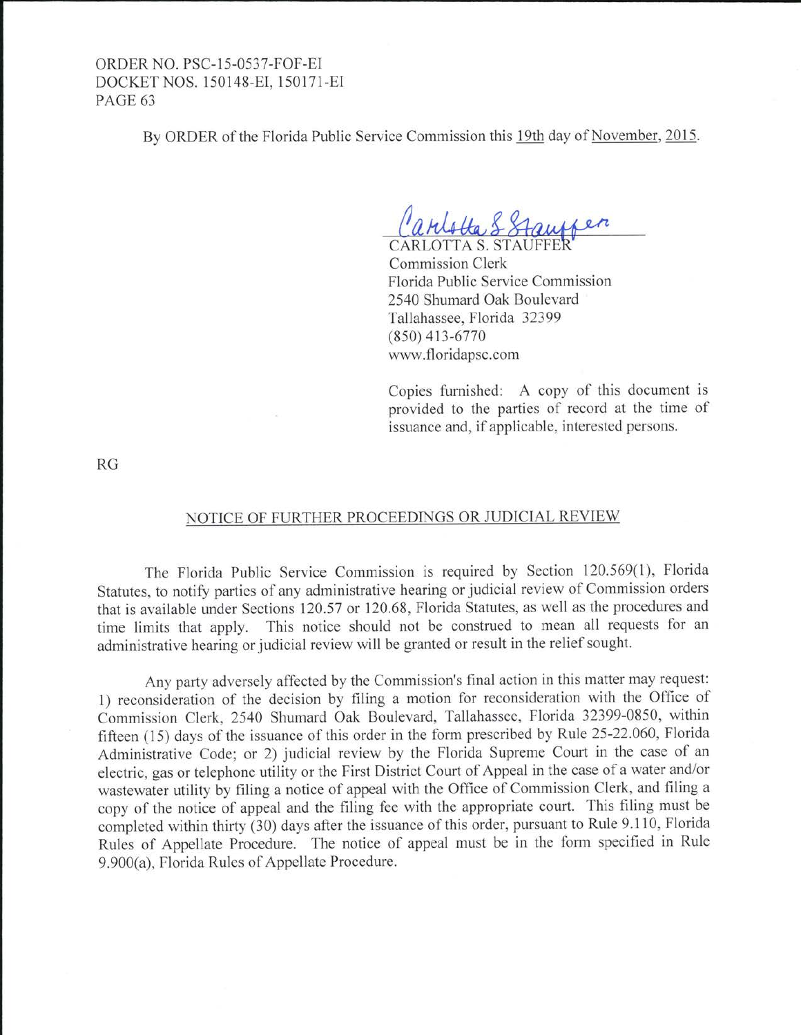By ORDER of the Florida Public Service Commission this 19th day of November, 2015.

**CARLOTTA S. STAU** Commission Clerk Florida Public Service Commission 2540 Shumard Oak Boulevard Tallahassee, Florida 32399 (850) 413-6770 www.floridapsc.com

Copies furnished: A copy of this document is provided to the parties of record at the time of issuance and, if applicable, interested persons.

RG

#### NOTICE OF FURTHER PROCEEDINGS OR JUDICIAL REVIEW

The Florida Public Service Commission is required by Section 120.569(1), Florida Statutes, to notify parties of any administrative hearing or judicial review of Commission orders that is available under Sections 120.57 or 120.68, Florida Statutes, as well as the procedures and time limits that apply. This notice should not be construed to mean all requests for an administrative hearing or judicial review will be granted or result in the relief sought.

Any party adversely affected by the Commission's final action in this matter may request: 1) reconsideration of the decision by filing a motion for reconsideration with the Office of Commission Clerk, 2540 Shumard Oak Boulevard, Tallahassee, Florida 32399-0850, within fifteen (15) days of the issuance of this order in the form prescribed by Rule 25-22.060, Florida Administrative Code; or 2) judicial review by the Florida Supreme Court in the case of an electric, gas or telephone utility or the First District Court of Appeal in the case of a water and/or wastewater utility by filing a notice of appeal with the Office of Commission Clerk, and filing a copy of the notice of appeal and the filing fee with the appropriate court. This filing must be completed within thirty (30) days after the issuance of this order, pursuant to Rule 9.110, Florida Rules of Appellate Procedure. The notice of appeal must be in the form specified in Rule 9.900(a), Florida Rules of Appellate Procedure.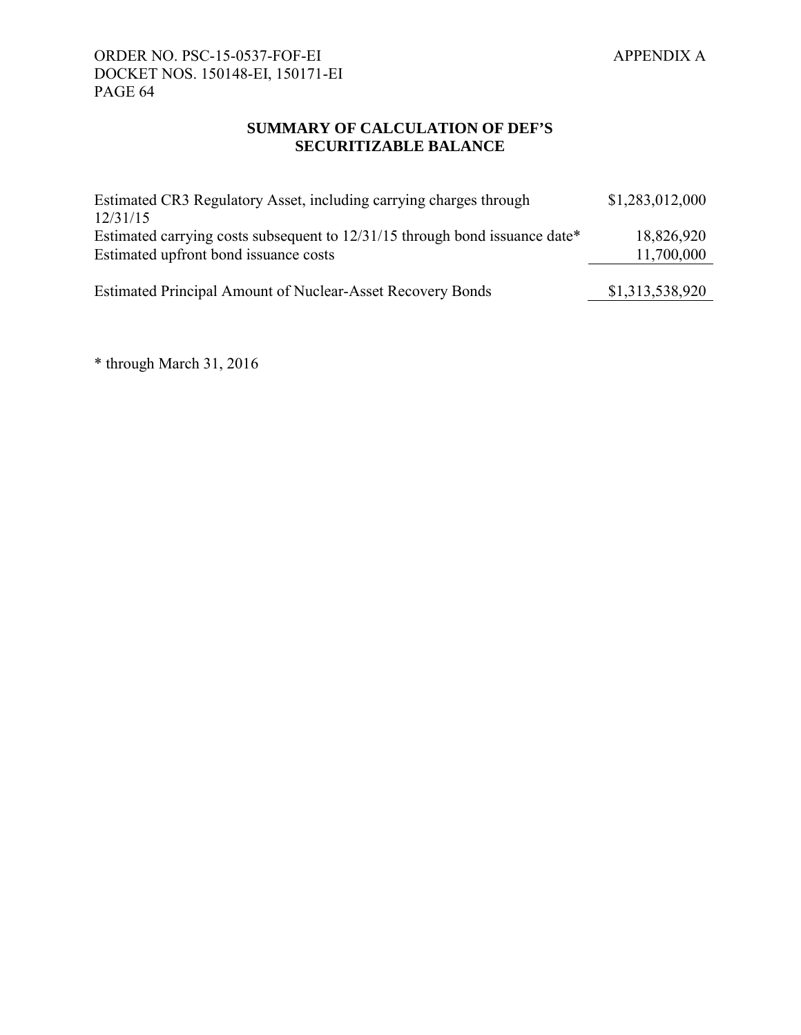# **SUMMARY OF CALCULATION OF DEF'S SECURITIZABLE BALANCE**

| Estimated CR3 Regulatory Asset, including carrying charges through<br>12/31/15                                       | \$1,283,012,000          |
|----------------------------------------------------------------------------------------------------------------------|--------------------------|
| Estimated carrying costs subsequent to 12/31/15 through bond issuance date*<br>Estimated upfront bond issuance costs | 18,826,920<br>11,700,000 |
| <b>Estimated Principal Amount of Nuclear-Asset Recovery Bonds</b>                                                    | \$1,313,538,920          |

\* through March 31, 2016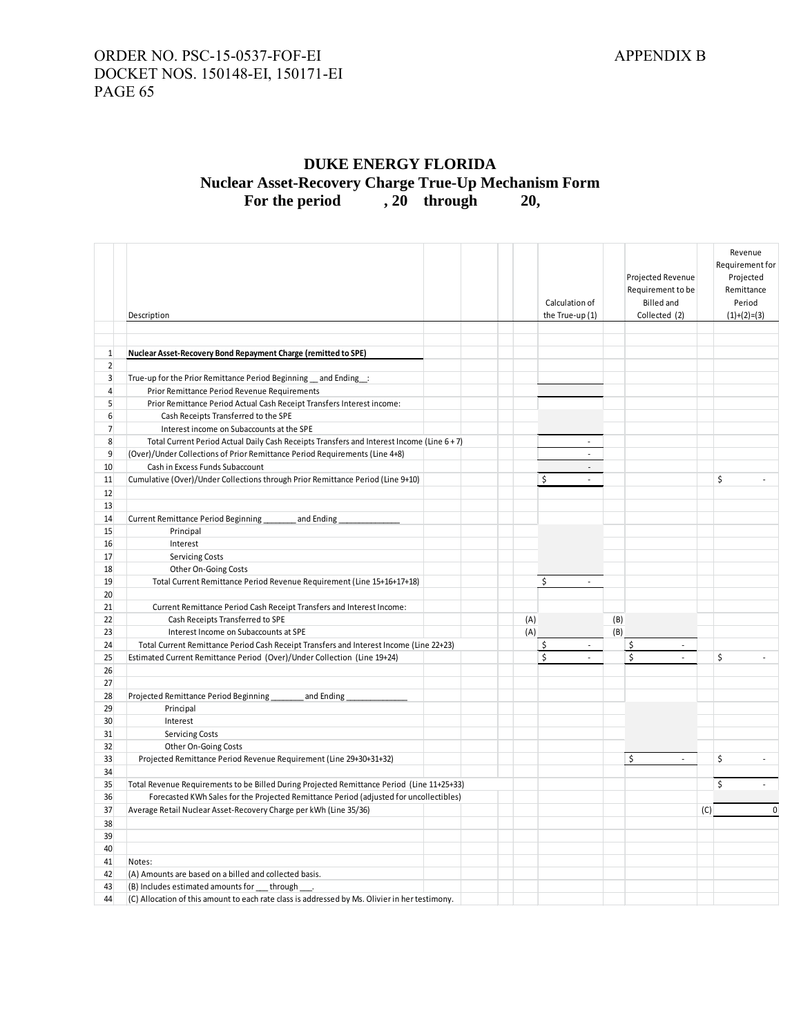# **DUKE ENERGY FLORIDA Nuclear Asset-Recovery Charge True-Up Mechanism Form**  For the period , 20 through 20,

|                | Description                                                                                    |     | Calculation of<br>the True-up (1) |     | Projected Revenue<br>Requirement to be<br><b>Billed</b> and<br>Collected (2) |     | Revenue<br>Requirement for<br>Projected<br>Remittance<br>Period<br>$(1)+(2)=(3)$ |
|----------------|------------------------------------------------------------------------------------------------|-----|-----------------------------------|-----|------------------------------------------------------------------------------|-----|----------------------------------------------------------------------------------|
|                |                                                                                                |     |                                   |     |                                                                              |     |                                                                                  |
|                |                                                                                                |     |                                   |     |                                                                              |     |                                                                                  |
| $\mathbf{1}$   | Nuclear Asset-Recovery Bond Repayment Charge (remitted to SPE)                                 |     |                                   |     |                                                                              |     |                                                                                  |
| $\overline{2}$ |                                                                                                |     |                                   |     |                                                                              |     |                                                                                  |
| 3              | True-up for the Prior Remittance Period Beginning _and Ending _:                               |     |                                   |     |                                                                              |     |                                                                                  |
| $\overline{4}$ | Prior Remittance Period Revenue Requirements                                                   |     |                                   |     |                                                                              |     |                                                                                  |
| 5              | Prior Remittance Period Actual Cash Receipt Transfers Interest income:                         |     |                                   |     |                                                                              |     |                                                                                  |
| 6              | Cash Receipts Transferred to the SPE                                                           |     |                                   |     |                                                                              |     |                                                                                  |
| $\overline{7}$ | Interest income on Subaccounts at the SPE                                                      |     | $\overline{a}$                    |     |                                                                              |     |                                                                                  |
| 8              | Total Current Period Actual Daily Cash Receipts Transfers and Interest Income (Line 6 + 7)     |     | $\overline{a}$                    |     |                                                                              |     |                                                                                  |
| 9              | (Over)/Under Collections of Prior Remittance Period Requirements (Line 4+8)                    |     |                                   |     |                                                                              |     |                                                                                  |
| 10             | Cash in Excess Funds Subaccount                                                                |     | $\overline{\phantom{a}}$          |     |                                                                              |     |                                                                                  |
| 11             | Cumulative (Over)/Under Collections through Prior Remittance Period (Line 9+10)                |     | \$<br>$\sim$                      |     |                                                                              |     | \$<br>÷                                                                          |
| 12             |                                                                                                |     |                                   |     |                                                                              |     |                                                                                  |
| 13             |                                                                                                |     |                                   |     |                                                                              |     |                                                                                  |
| 14             | <b>Current Remittance Period Beginning</b><br>and Ending                                       |     |                                   |     |                                                                              |     |                                                                                  |
| 15             | Principal                                                                                      |     |                                   |     |                                                                              |     |                                                                                  |
| 16             | Interest                                                                                       |     |                                   |     |                                                                              |     |                                                                                  |
| 17             | <b>Servicing Costs</b>                                                                         |     |                                   |     |                                                                              |     |                                                                                  |
| 18             | Other On-Going Costs                                                                           |     |                                   |     |                                                                              |     |                                                                                  |
| 19             | Total Current Remittance Period Revenue Requirement (Line 15+16+17+18)                         |     | \$<br>$\overline{a}$              |     |                                                                              |     |                                                                                  |
| 20             |                                                                                                |     |                                   |     |                                                                              |     |                                                                                  |
| 21             | Current Remittance Period Cash Receipt Transfers and Interest Income:                          |     |                                   |     |                                                                              |     |                                                                                  |
| 22             | Cash Receipts Transferred to SPE                                                               | (A) |                                   | (B) |                                                                              |     |                                                                                  |
| 23             | Interest Income on Subaccounts at SPE                                                          | (A) |                                   | (B) |                                                                              |     |                                                                                  |
| 24             | Total Current Remittance Period Cash Receipt Transfers and Interest Income (Line 22+23)        |     | \$<br>÷                           |     | $\frac{1}{2}$<br>÷                                                           |     |                                                                                  |
| 25             | Estimated Current Remittance Period (Over)/Under Collection (Line 19+24)                       |     | $\sf S$<br>$\overline{a}$         |     | $\sf S$<br>$\overline{a}$                                                    |     | \$                                                                               |
| 26             |                                                                                                |     |                                   |     |                                                                              |     |                                                                                  |
| 27             |                                                                                                |     |                                   |     |                                                                              |     |                                                                                  |
| 28             | Projected Remittance Period Beginning<br>and Ending                                            |     |                                   |     |                                                                              |     |                                                                                  |
| 29             | Principal                                                                                      |     |                                   |     |                                                                              |     |                                                                                  |
| 30             | Interest                                                                                       |     |                                   |     |                                                                              |     |                                                                                  |
| 31             | <b>Servicing Costs</b>                                                                         |     |                                   |     |                                                                              |     |                                                                                  |
| 32             | Other On-Going Costs                                                                           |     |                                   |     |                                                                              |     |                                                                                  |
| 33             | Projected Remittance Period Revenue Requirement (Line 29+30+31+32)                             |     |                                   |     | \$<br>÷                                                                      |     | \$                                                                               |
| 34             |                                                                                                |     |                                   |     |                                                                              |     |                                                                                  |
| 35             | Total Revenue Requirements to be Billed During Projected Remittance Period (Line 11+25+33)     |     |                                   |     |                                                                              |     | \$                                                                               |
| 36             | Forecasted KWh Sales for the Projected Remittance Period (adjusted for uncollectibles)         |     |                                   |     |                                                                              |     |                                                                                  |
| 37             | Average Retail Nuclear Asset-Recovery Charge per kWh (Line 35/36)                              |     |                                   |     |                                                                              | (C) | $\pmb{0}$                                                                        |
| 38             |                                                                                                |     |                                   |     |                                                                              |     |                                                                                  |
| 39             |                                                                                                |     |                                   |     |                                                                              |     |                                                                                  |
| 40             |                                                                                                |     |                                   |     |                                                                              |     |                                                                                  |
| 41             | Notes:                                                                                         |     |                                   |     |                                                                              |     |                                                                                  |
| 42             | (A) Amounts are based on a billed and collected basis.                                         |     |                                   |     |                                                                              |     |                                                                                  |
| 43             | (B) Includes estimated amounts for ___ through ___.                                            |     |                                   |     |                                                                              |     |                                                                                  |
| 44             | (C) Allocation of this amount to each rate class is addressed by Ms. Olivier in her testimony. |     |                                   |     |                                                                              |     |                                                                                  |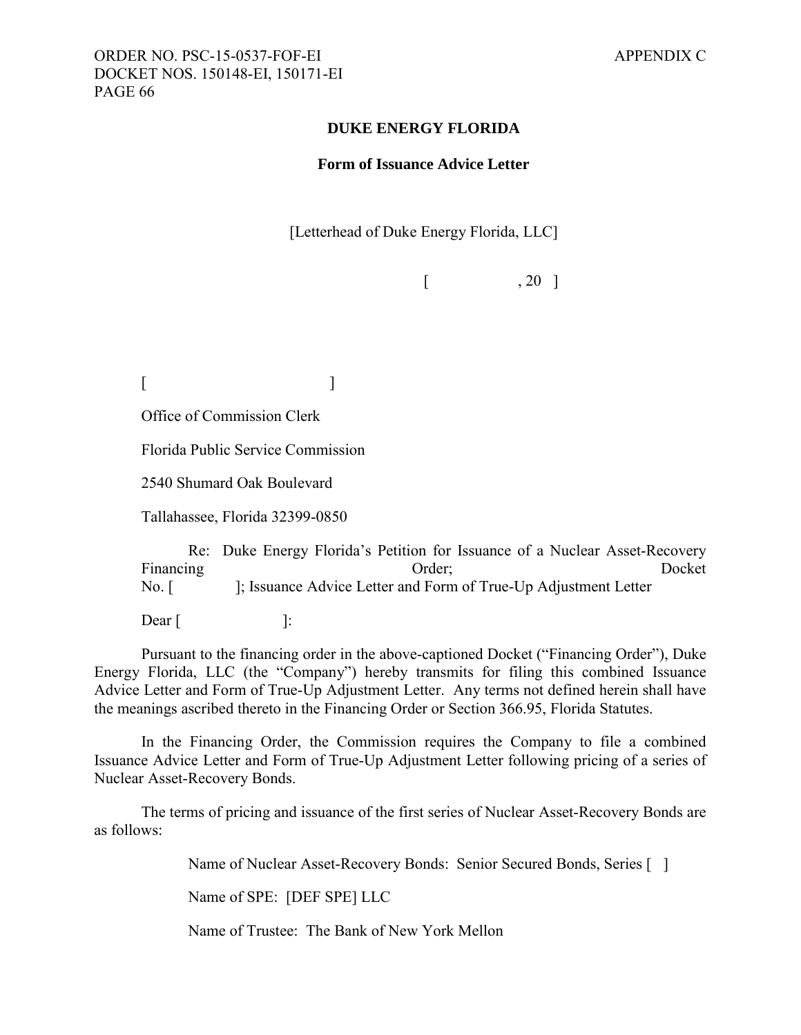#### **DUKE ENERGY FLORIDA**

#### **Form of Issuance Advice Letter**

[Letterhead of Duke Energy Florida, LLC]

 $\begin{bmatrix} 1 & 20 \end{bmatrix}$ 

 $[$ 

Office of Commission Clerk

Florida Public Service Commission

2540 Shumard Oak Boulevard

Tallahassee, Florida 32399-0850

Re: Duke Energy Florida's Petition for Issuance of a Nuclear Asset-Recovery Financing Docket Critics Order; Docket No. [ ]; Issuance Advice Letter and Form of True-Up Adjustment Letter

 $\text{Dear}$  [ ]:

Pursuant to the financing order in the above-captioned Docket ("Financing Order"), Duke Energy Florida, LLC (the "Company") hereby transmits for filing this combined Issuance Advice Letter and Form of True-Up Adjustment Letter. Any terms not defined herein shall have the meanings ascribed thereto in the Financing Order or Section 366.95, Florida Statutes.

In the Financing Order, the Commission requires the Company to file a combined Issuance Advice Letter and Form of True-Up Adjustment Letter following pricing of a series of Nuclear Asset-Recovery Bonds.

The terms of pricing and issuance of the first series of Nuclear Asset-Recovery Bonds are as follows:

Name of Nuclear Asset-Recovery Bonds: Senior Secured Bonds, Series [ ]

Name of SPE: [DEF SPE] LLC

Name of Trustee: The Bank of New York Mellon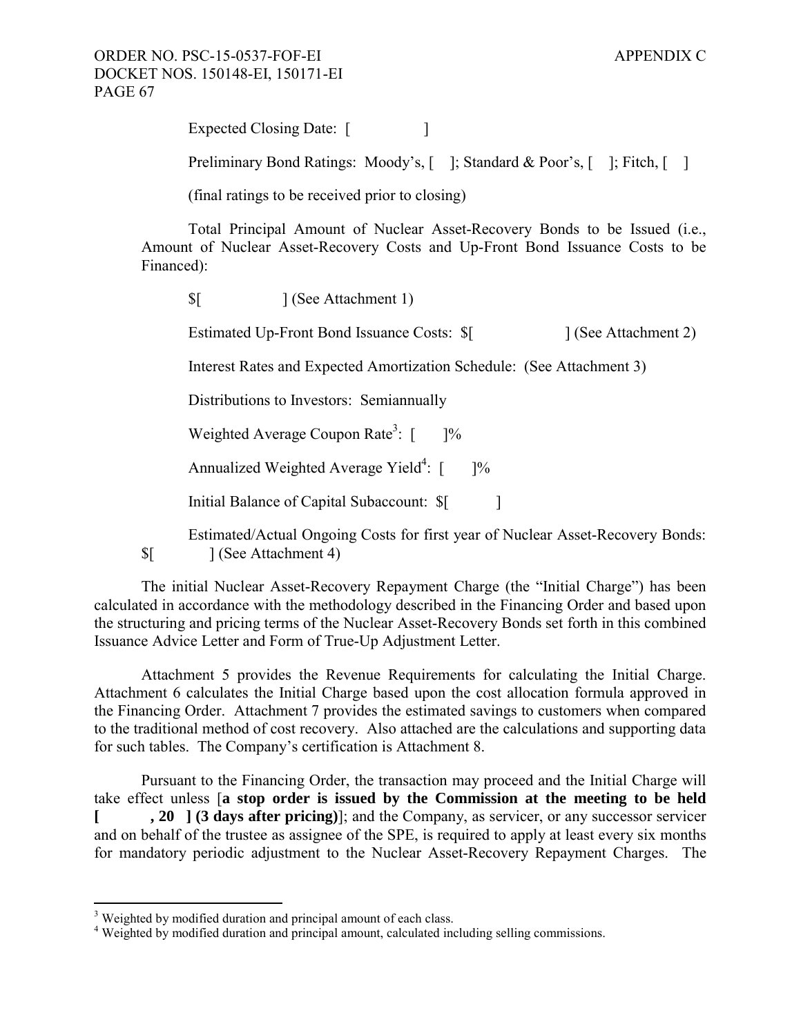Expected Closing Date: [ ]

Preliminary Bond Ratings: Moody's, [ ]; Standard & Poor's, [ ]; Fitch, [ ]

(final ratings to be received prior to closing)

Total Principal Amount of Nuclear Asset-Recovery Bonds to be Issued (i.e., Amount of Nuclear Asset-Recovery Costs and Up-Front Bond Issuance Costs to be Financed):

\$[ ] (See Attachment 1)

Estimated Up-Front Bond Issuance Costs:  $\frac{1}{2}$  (See Attachment 2)

Interest Rates and Expected Amortization Schedule: (See Attachment 3)

Distributions to Investors: Semiannually

Weighted Average Coupon Rate<sup>3</sup>:  $\lceil$  $] %$ 

Annualized Weighted Average Yield<sup>4</sup>:  $[$  ]%

Initial Balance of Capital Subaccount:  $\[\ \ ]$ 

Estimated/Actual Ongoing Costs for first year of Nuclear Asset-Recovery Bonds: \$[ ] (See Attachment 4)

The initial Nuclear Asset-Recovery Repayment Charge (the "Initial Charge") has been calculated in accordance with the methodology described in the Financing Order and based upon the structuring and pricing terms of the Nuclear Asset-Recovery Bonds set forth in this combined Issuance Advice Letter and Form of True-Up Adjustment Letter.

Attachment 5 provides the Revenue Requirements for calculating the Initial Charge. Attachment 6 calculates the Initial Charge based upon the cost allocation formula approved in the Financing Order. Attachment 7 provides the estimated savings to customers when compared to the traditional method of cost recovery. Also attached are the calculations and supporting data for such tables. The Company's certification is Attachment 8.

Pursuant to the Financing Order, the transaction may proceed and the Initial Charge will take effect unless [**a stop order is issued by the Commission at the meeting to be held [ , 20 ] (3 days after pricing)**]; and the Company, as servicer, or any successor servicer and on behalf of the trustee as assignee of the SPE, is required to apply at least every six months for mandatory periodic adjustment to the Nuclear Asset-Recovery Repayment Charges. The

1

<sup>&</sup>lt;sup>3</sup> Weighted by modified duration and principal amount of each class.

<sup>&</sup>lt;sup>4</sup> Weighted by modified duration and principal amount, calculated including selling commissions.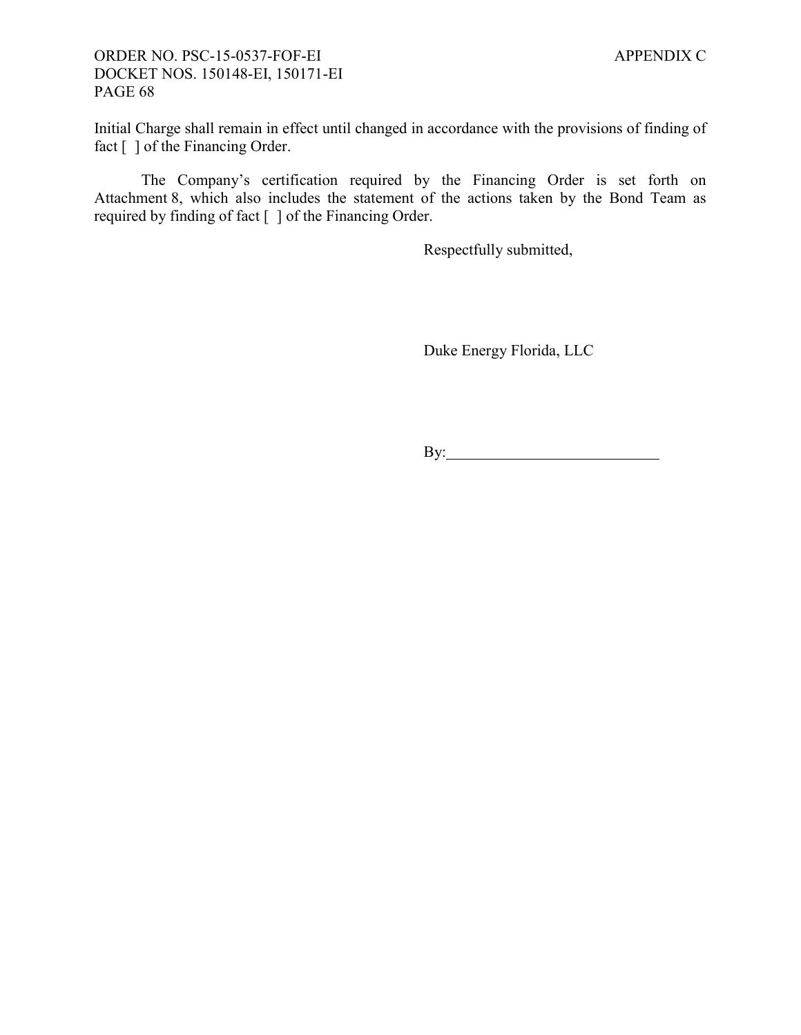Initial Charge shall remain in effect until changed in accordance with the provisions of finding of fact  $\lceil \ \rceil$  of the Financing Order.

The Company's certification required by the Financing Order is set forth on Attachment 8, which also includes the statement of the actions taken by the Bond Team as required by finding of fact [ ] of the Financing Order.

Respectfully submitted,

Duke Energy Florida, LLC

By: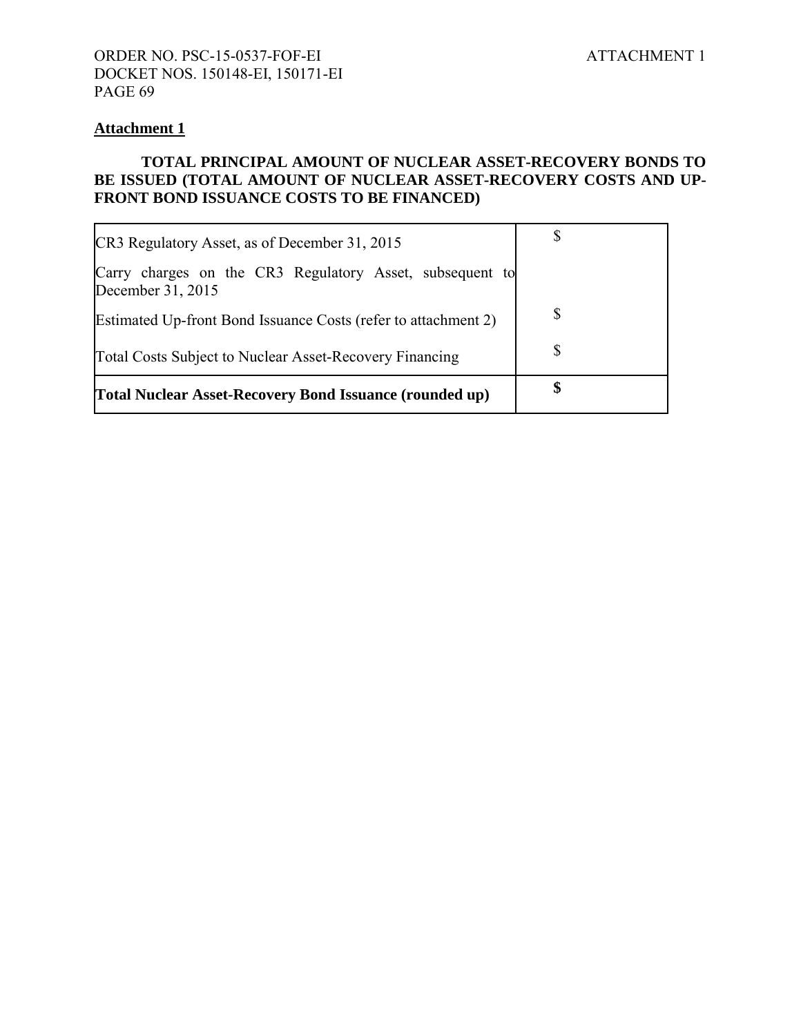### **Attachment 1**

## **TOTAL PRINCIPAL AMOUNT OF NUCLEAR ASSET-RECOVERY BONDS TO BE ISSUED (TOTAL AMOUNT OF NUCLEAR ASSET-RECOVERY COSTS AND UP-FRONT BOND ISSUANCE COSTS TO BE FINANCED)**

| CR3 Regulatory Asset, as of December 31, 2015                                 |    |
|-------------------------------------------------------------------------------|----|
| Carry charges on the CR3 Regulatory Asset, subsequent to<br>December 31, 2015 |    |
| Estimated Up-front Bond Issuance Costs (refer to attachment 2)                | S  |
| Total Costs Subject to Nuclear Asset-Recovery Financing                       | S  |
| <b>[Total Nuclear Asset-Recovery Bond Issuance (rounded up)</b>               | \$ |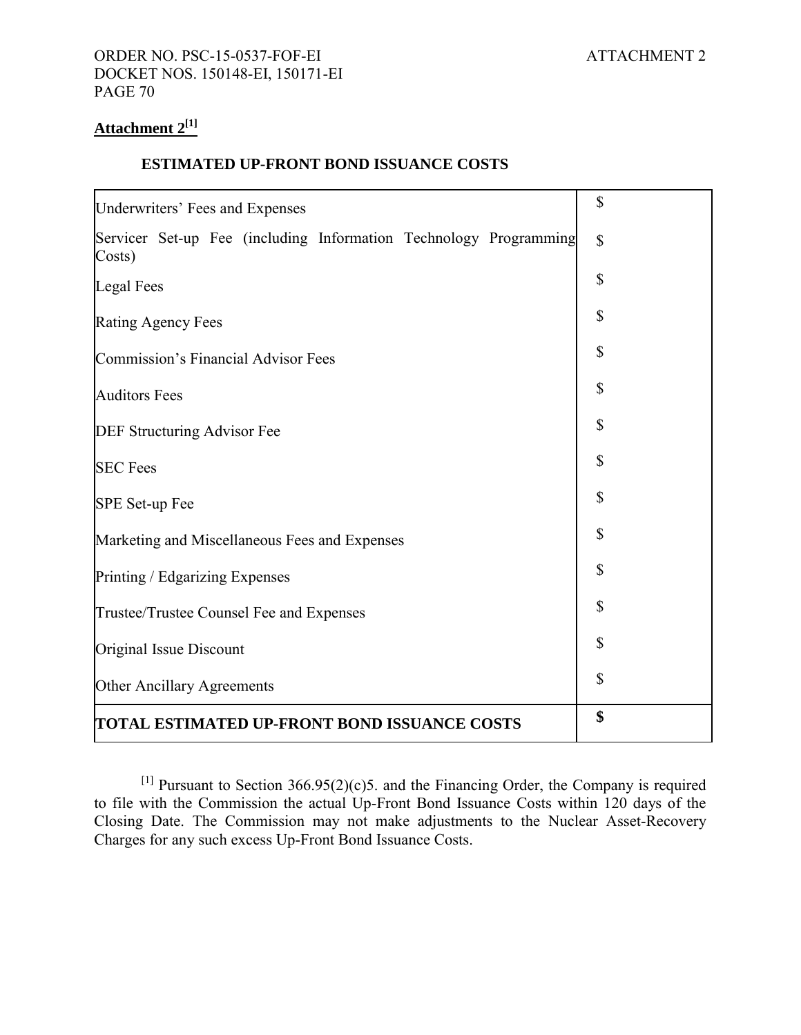# **Attachment 2[1]**

#### **ESTIMATED UP-FRONT BOND ISSUANCE COSTS**

| Underwriters' Fees and Expenses                                             | \$           |
|-----------------------------------------------------------------------------|--------------|
| Servicer Set-up Fee (including Information Technology Programming<br>Costs) | $\mathbb{S}$ |
| <b>Legal Fees</b>                                                           | \$           |
| <b>Rating Agency Fees</b>                                                   | \$           |
| Commission's Financial Advisor Fees                                         | \$           |
| <b>Auditors Fees</b>                                                        | \$           |
| DEF Structuring Advisor Fee                                                 | \$           |
| <b>SEC Fees</b>                                                             | \$           |
| SPE Set-up Fee                                                              | \$           |
| Marketing and Miscellaneous Fees and Expenses                               | \$           |
| Printing / Edgarizing Expenses                                              | \$           |
| Trustee/Trustee Counsel Fee and Expenses                                    | \$           |
| Original Issue Discount                                                     | \$           |
| Other Ancillary Agreements                                                  | \$           |
| TOTAL ESTIMATED UP-FRONT BOND ISSUANCE COSTS                                | \$           |

[1] Pursuant to Section  $366.95(2)(c)5$ . and the Financing Order, the Company is required to file with the Commission the actual Up-Front Bond Issuance Costs within 120 days of the Closing Date. The Commission may not make adjustments to the Nuclear Asset-Recovery Charges for any such excess Up-Front Bond Issuance Costs.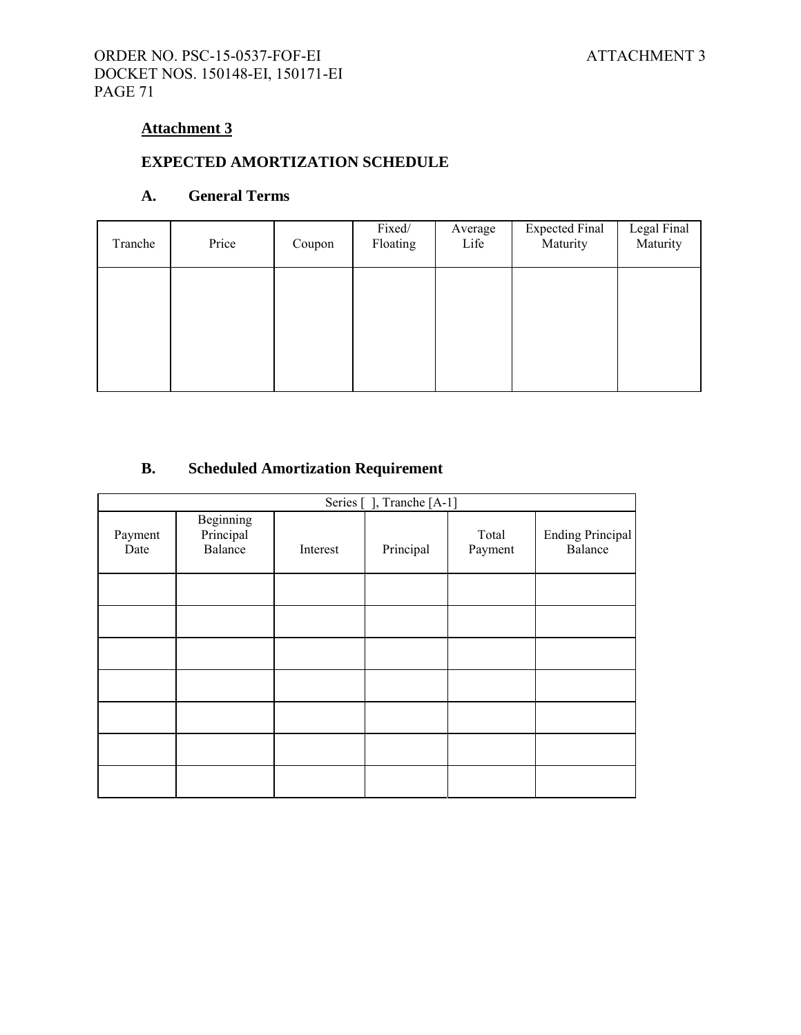# **Attachment 3**

# **EXPECTED AMORTIZATION SCHEDULE**

### **A. General Terms**

| Tranche | Price | Coupon | Fixed/<br>Floating | Average<br>Life | <b>Expected Final</b><br>Maturity | Legal Final<br>Maturity |
|---------|-------|--------|--------------------|-----------------|-----------------------------------|-------------------------|
|         |       |        |                    |                 |                                   |                         |
|         |       |        |                    |                 |                                   |                         |
|         |       |        |                    |                 |                                   |                         |

# **B. Scheduled Amortization Requirement**

| Series [], Tranche [A-1] |                                   |          |           |                  |                                    |  |
|--------------------------|-----------------------------------|----------|-----------|------------------|------------------------------------|--|
| Payment<br>Date          | Beginning<br>Principal<br>Balance | Interest | Principal | Total<br>Payment | <b>Ending Principal</b><br>Balance |  |
|                          |                                   |          |           |                  |                                    |  |
|                          |                                   |          |           |                  |                                    |  |
|                          |                                   |          |           |                  |                                    |  |
|                          |                                   |          |           |                  |                                    |  |
|                          |                                   |          |           |                  |                                    |  |
|                          |                                   |          |           |                  |                                    |  |
|                          |                                   |          |           |                  |                                    |  |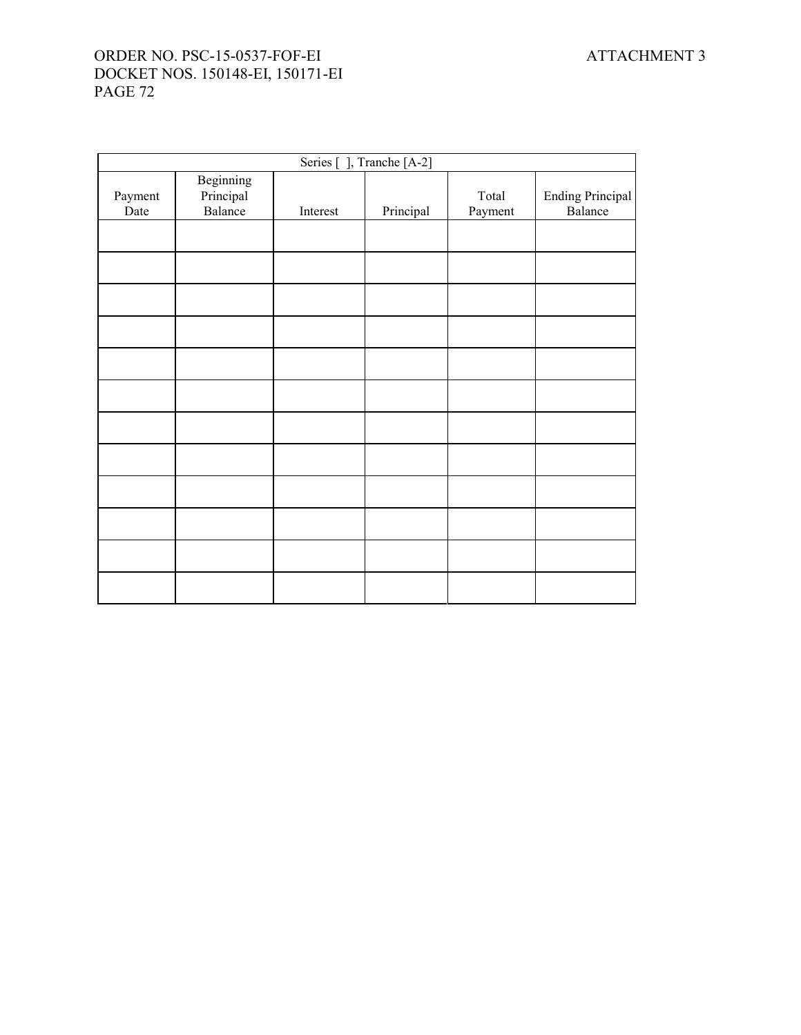| Series [ ], Tranche [A-2] |                                   |          |           |                  |                                    |
|---------------------------|-----------------------------------|----------|-----------|------------------|------------------------------------|
| Payment<br>Date           | Beginning<br>Principal<br>Balance | Interest | Principal | Total<br>Payment | <b>Ending Principal</b><br>Balance |
|                           |                                   |          |           |                  |                                    |
|                           |                                   |          |           |                  |                                    |
|                           |                                   |          |           |                  |                                    |
|                           |                                   |          |           |                  |                                    |
|                           |                                   |          |           |                  |                                    |
|                           |                                   |          |           |                  |                                    |
|                           |                                   |          |           |                  |                                    |
|                           |                                   |          |           |                  |                                    |
|                           |                                   |          |           |                  |                                    |
|                           |                                   |          |           |                  |                                    |
|                           |                                   |          |           |                  |                                    |
|                           |                                   |          |           |                  |                                    |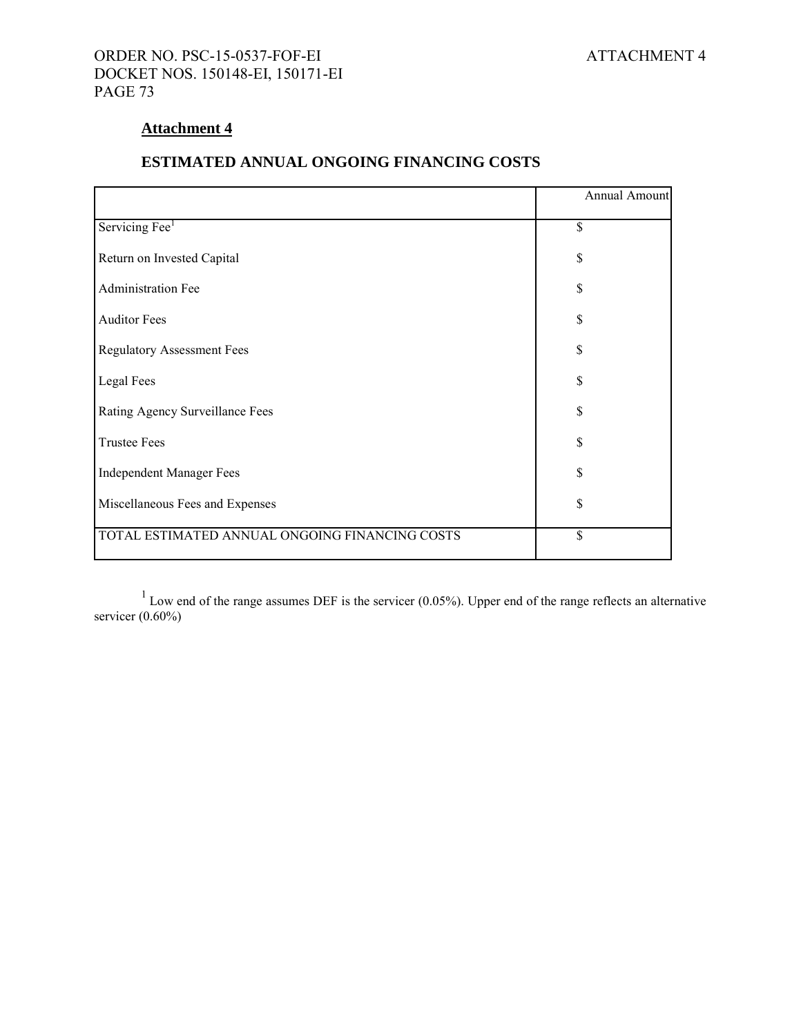## ORDER NO. PSC-15-0537-FOF-EI ATTACHMENT 4 DOCKET NOS. 150148-EI, 150171-EI PAGE 73

# **Attachment 4**

# **ESTIMATED ANNUAL ONGOING FINANCING COSTS**

|                                                | Annual Amount |  |  |
|------------------------------------------------|---------------|--|--|
| Servicing Fee <sup>1</sup>                     | \$            |  |  |
| Return on Invested Capital                     | \$            |  |  |
| Administration Fee                             | \$            |  |  |
| <b>Auditor Fees</b>                            | \$            |  |  |
| <b>Regulatory Assessment Fees</b>              | \$            |  |  |
| Legal Fees                                     | \$            |  |  |
| Rating Agency Surveillance Fees                | \$            |  |  |
| <b>Trustee Fees</b>                            | \$            |  |  |
| <b>Independent Manager Fees</b>                | \$            |  |  |
| Miscellaneous Fees and Expenses                | \$            |  |  |
| TOTAL ESTIMATED ANNUAL ONGOING FINANCING COSTS | \$            |  |  |

 $1$  Low end of the range assumes DEF is the servicer (0.05%). Upper end of the range reflects an alternative servicer  $(0.60\%)$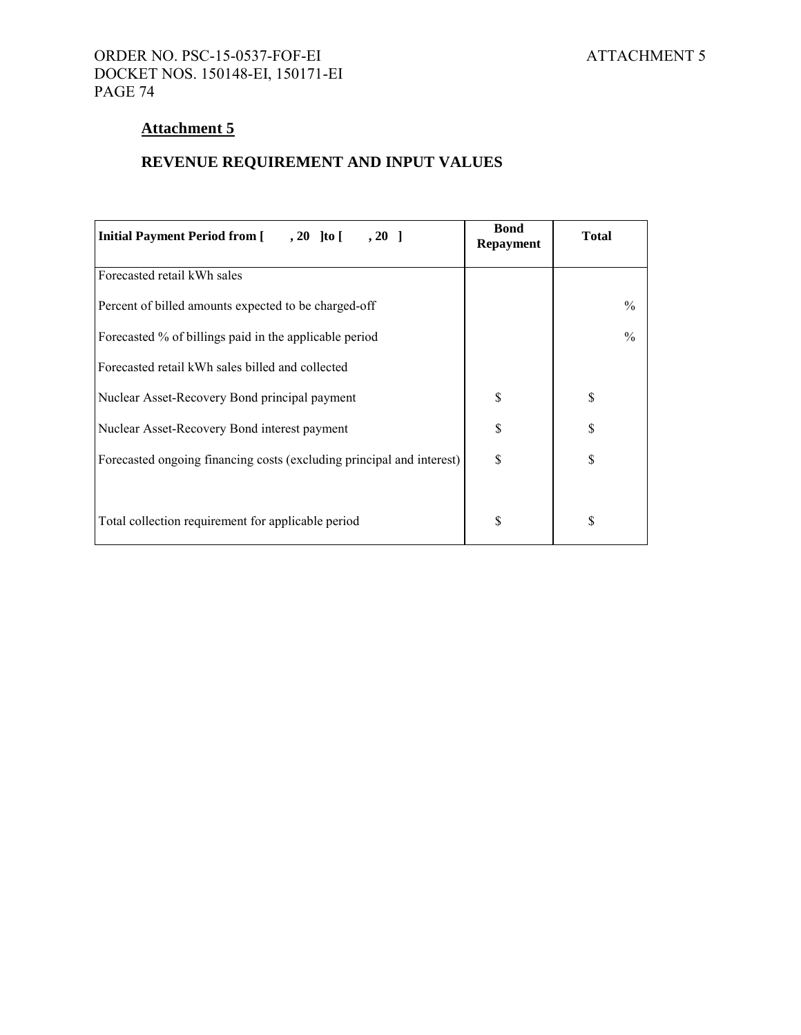# **Attachment 5**

# **REVENUE REQUIREMENT AND INPUT VALUES**

| Initial Payment Period from [ , 20 ] to [ , 20 ]                      | <b>Bond</b><br><b>Repayment</b> | <b>Total</b> |
|-----------------------------------------------------------------------|---------------------------------|--------------|
| Forecasted retail kWh sales                                           |                                 |              |
| Percent of billed amounts expected to be charged-off                  |                                 | $\%$         |
| Forecasted % of billings paid in the applicable period                |                                 | $\%$         |
| Forecasted retail kWh sales billed and collected                      |                                 |              |
| Nuclear Asset-Recovery Bond principal payment                         | \$                              | \$           |
| Nuclear Asset-Recovery Bond interest payment                          | \$                              | \$           |
| Forecasted ongoing financing costs (excluding principal and interest) | S                               | \$           |
| Total collection requirement for applicable period                    | \$                              | \$           |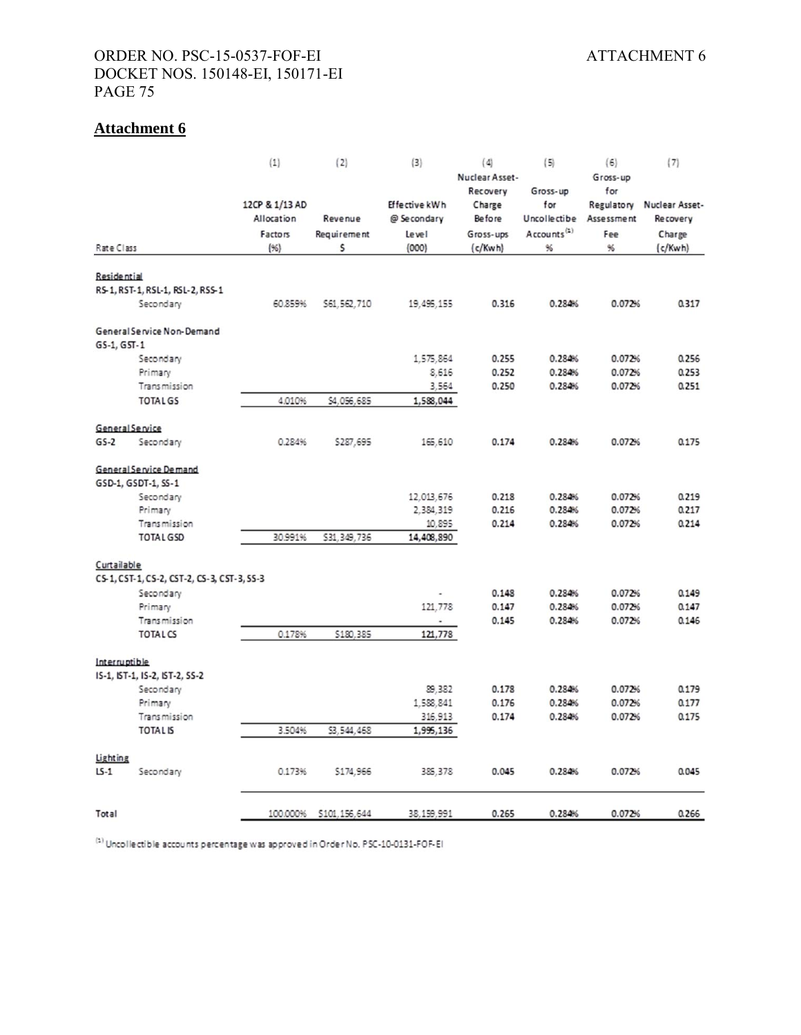# ORDER NO. PSC-15-0537-FOF-EI ATTACHMENT 6 DOCKET NOS. 150148-EI, 150171-EI PAGE 75

# **Attachment 6**

|                    |                                             | (1)              | (2)            | (3)           | (4)                     | (5)                 | (6)               | (7)             |
|--------------------|---------------------------------------------|------------------|----------------|---------------|-------------------------|---------------------|-------------------|-----------------|
|                    |                                             |                  |                |               | Nuclear Asset-          |                     | Gross-up          |                 |
|                    |                                             |                  |                |               | Recovery                | Gross-up            | for               |                 |
|                    |                                             | 12CP & 1/13 AD   |                | Effective kWh | Charge                  | for                 | Regulatory        | Nuclear Asset-  |
|                    |                                             | Allocation       | Revenue        | @ Secondary   | <b>Before</b>           | <b>Uncollectibe</b> | Assessment        | <b>Recovery</b> |
|                    | Factors                                     | Requirement<br>s | Level<br>(000) | Gross-ups     | Accounts <sup>(1)</sup> | Fee<br>96           | Charge<br>(c/Kwh) |                 |
| Rate Class         |                                             |                  |                | $(*)$         | (c/Kwh)                 |                     |                   | 96              |
|                    |                                             |                  |                |               |                         |                     |                   |                 |
| <b>Residential</b> |                                             |                  |                |               |                         |                     |                   |                 |
|                    | RS-1, RST-1, RSL-1, RSL-2, RSS-1            |                  |                |               |                         |                     |                   |                 |
|                    | Secondary                                   | 60.859%          | \$61,562,710   | 19, 495, 155  | 0.316                   | 0.284%              | 0.072%            | 0.317           |
|                    | General Service Non-Demand                  |                  |                |               |                         |                     |                   |                 |
| GS-1, GST-1        |                                             |                  |                |               |                         |                     |                   |                 |
|                    | Secondary                                   |                  |                | 1,575,864     | 0.255                   | 0.284%              | 0.072%            | 0.256           |
|                    | Primary                                     |                  |                | 8,616         | 0.252                   | 0.284%              | 0.072%            | 0.253           |
|                    | Transmission                                |                  |                | 3,564         | 0.250                   | 0.284%              | 0.072%            | 0.251           |
|                    | <b>TOTAL GS</b>                             | 4.010%           | \$4,056,685    | 1,588,044     |                         |                     |                   |                 |
|                    | General Service                             |                  |                |               |                         |                     |                   |                 |
| $GS-2$             | Secondary                                   | 0.284%           | \$287,695      | 165,610       | 0.174                   | 0.284%              | 0.072%            | 0.175           |
|                    |                                             |                  |                |               |                         |                     |                   |                 |
|                    | General Service Demand                      |                  |                |               |                         |                     |                   |                 |
|                    | GSD-1, GSDT-1, SS-1                         |                  |                |               |                         |                     |                   |                 |
|                    | Secondary                                   |                  |                | 12,013,676    | 0.218                   | 0.284%              | 0.072%            | 0.219           |
|                    | Primary                                     |                  |                | 2,384,319     | 0.216                   | 0.284%              | 0.072%            | 0.217           |
|                    | Transmission                                |                  |                | 10,895        | 0.214                   | 0.284%              | 0.072%            | 0.214           |
|                    | <b>TOTAL GSD</b>                            | 30.991%          | \$31,349,736   | 14,408,890    |                         |                     |                   |                 |
| Curtailable        |                                             |                  |                |               |                         |                     |                   |                 |
|                    | CS-1, CST-1, CS-2, CST-2, CS-3, CST-3, SS-3 |                  |                |               |                         |                     |                   |                 |
|                    | Secondary                                   |                  |                |               | 0.148                   | 0.284%              | 0.072%            | 0.149           |
|                    | Primary                                     |                  |                | 121,778       | 0.147                   | 0.284%              | 0.072%            | 0.147           |
|                    | Transmission                                |                  |                | ä,            | 0.145                   | 0.284%              | 0.072%            | 0.146           |
|                    | <b>TOTAL CS</b>                             | 0.178%           | \$180,385      | 121,778       |                         |                     |                   |                 |
| Interruptible      |                                             |                  |                |               |                         |                     |                   |                 |
|                    | IS-1, IST-1, IS-2, IST-2, SS-2              |                  |                |               |                         |                     |                   |                 |
|                    | Secondary                                   |                  |                | 89.382        | 0.178                   | 0.284%              | 0.072%            | 0.179           |
|                    | Primary                                     |                  |                | 1,588,841     | 0.176                   | 0.284%              | 0.072%            | 0.177           |
|                    | Transmission                                |                  |                | 316,913       | 0.174                   | 0.284%              | 0.072%            | 0.175           |
|                    | <b>TOTAL IS</b>                             | 3.504%           | \$3,544,468    | 1,995,136     |                         |                     |                   |                 |
|                    |                                             |                  |                |               |                         |                     |                   |                 |
| Lighting           |                                             |                  |                |               |                         |                     |                   |                 |
| $LS-1$             | Secondary                                   | 0.173%           | \$174,966      | 385, 378      | 0.045                   | 0.284%              | 0.072%            | 0.045           |
|                    |                                             |                  |                |               |                         |                     |                   |                 |
| Total              |                                             | 100.000%         | \$101.156.644  | 38, 159, 991  | 0.265                   | 0.284%              | 0.072%            | 0.266           |

<sup>1)</sup> Uncollectible accounts percentage was approved in Order No. PSC-10-0131-FOF-El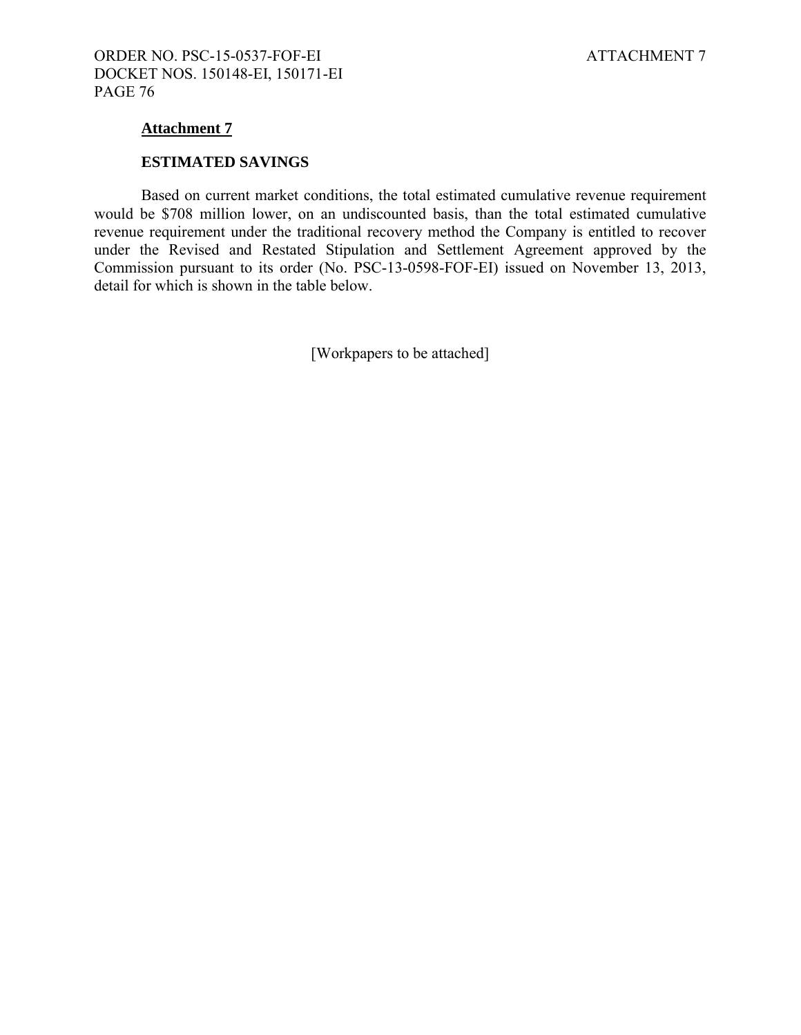## **Attachment 7**

#### **ESTIMATED SAVINGS**

Based on current market conditions, the total estimated cumulative revenue requirement would be \$708 million lower, on an undiscounted basis, than the total estimated cumulative revenue requirement under the traditional recovery method the Company is entitled to recover under the Revised and Restated Stipulation and Settlement Agreement approved by the Commission pursuant to its order (No. PSC-13-0598-FOF-EI) issued on November 13, 2013, detail for which is shown in the table below.

[Workpapers to be attached]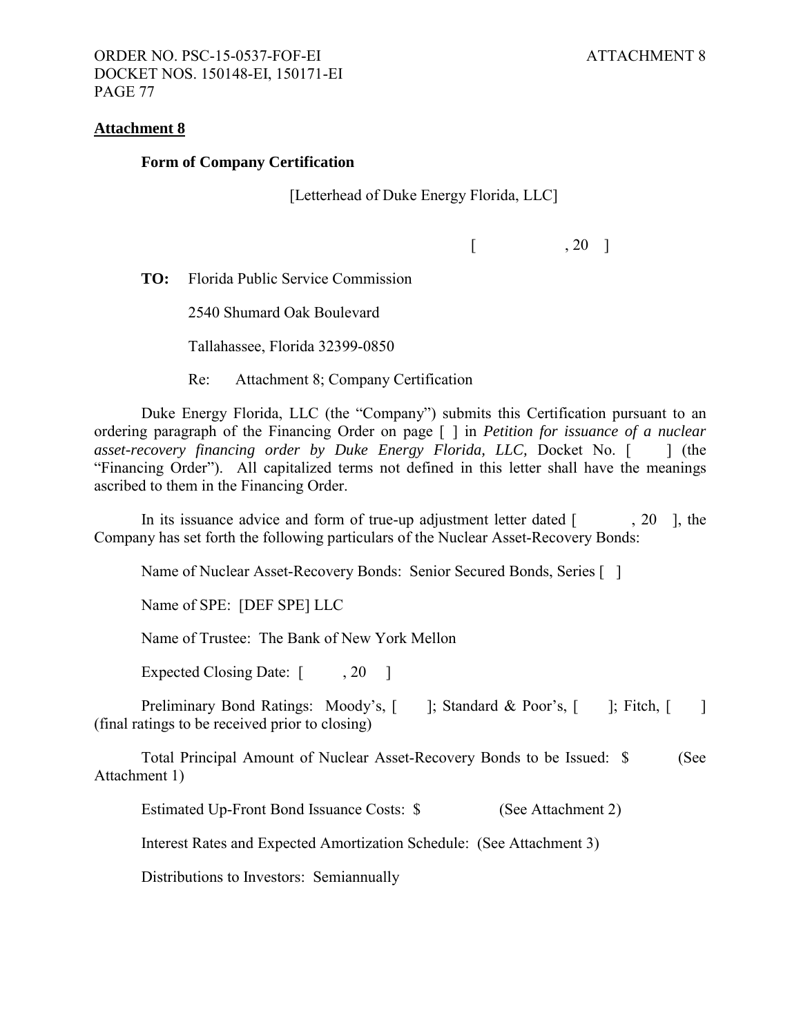#### **Attachment 8**

#### **Form of Company Certification**

[Letterhead of Duke Energy Florida, LLC]

 $\begin{bmatrix} 20 \end{bmatrix}$ 

**TO:** Florida Public Service Commission

2540 Shumard Oak Boulevard

Tallahassee, Florida 32399-0850

Re: Attachment 8; Company Certification

Duke Energy Florida, LLC (the "Company") submits this Certification pursuant to an ordering paragraph of the Financing Order on page [ ] in *Petition for issuance of a nuclear asset-recovery financing order by Duke Energy Florida, LLC, Docket No.* [ ] (the "Financing Order"). All capitalized terms not defined in this letter shall have the meanings ascribed to them in the Financing Order.

In its issuance advice and form of true-up adjustment letter dated  $\lceil$ , 20  $\rceil$ , the Company has set forth the following particulars of the Nuclear Asset-Recovery Bonds:

Name of Nuclear Asset-Recovery Bonds: Senior Secured Bonds, Series [ ]

Name of SPE: [DEF SPE] LLC

Name of Trustee: The Bank of New York Mellon

Expected Closing Date: [ , 20 ]

Preliminary Bond Ratings: Moody's, [ ]; Standard & Poor's, [ ]; Fitch, [ ] (final ratings to be received prior to closing)

Total Principal Amount of Nuclear Asset-Recovery Bonds to be Issued: \$ (See Attachment 1)

Estimated Up-Front Bond Issuance Costs: \$ (See Attachment 2)

Interest Rates and Expected Amortization Schedule: (See Attachment 3)

Distributions to Investors: Semiannually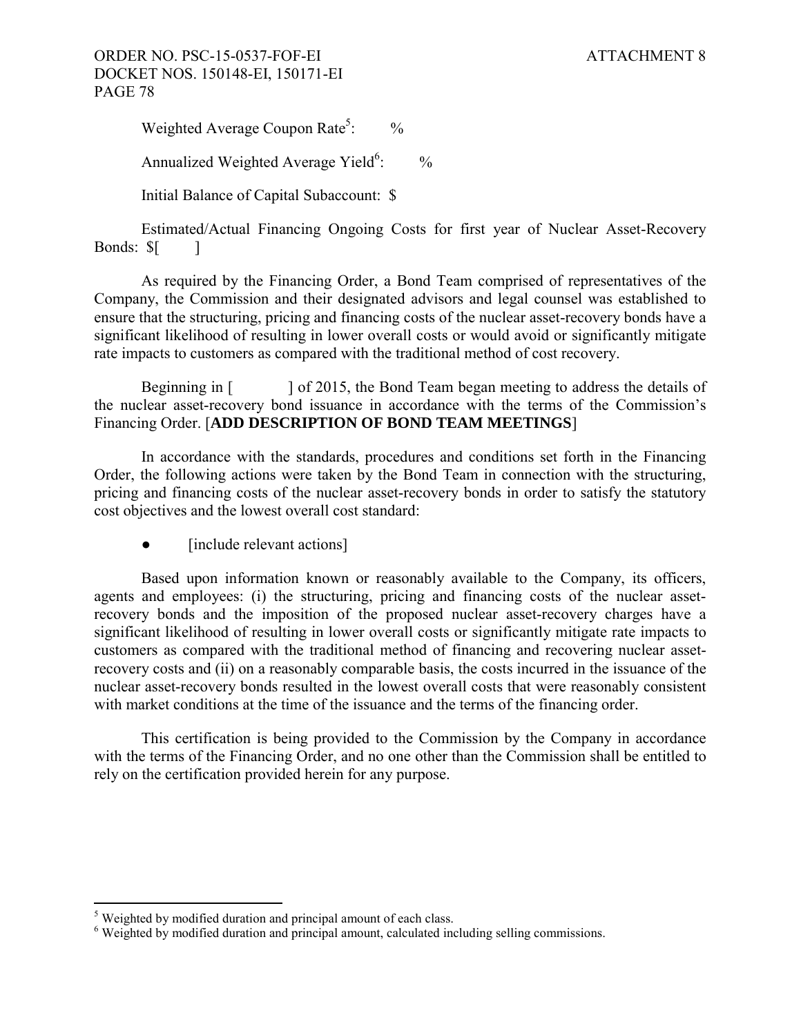## ORDER NO. PSC-15-0537-FOF-EI ATTACHMENT 8 DOCKET NOS. 150148-EI, 150171-EI PAGE 78

Weighted Average Coupon Rate<sup>5</sup>:  $\frac{0}{0}$ 

Annualized Weighted Average Yield $6$ :  $\frac{0}{0}$ 

Initial Balance of Capital Subaccount: \$

Estimated/Actual Financing Ongoing Costs for first year of Nuclear Asset-Recovery Bonds:  $\[\$\]$ 

As required by the Financing Order, a Bond Team comprised of representatives of the Company, the Commission and their designated advisors and legal counsel was established to ensure that the structuring, pricing and financing costs of the nuclear asset-recovery bonds have a significant likelihood of resulting in lower overall costs or would avoid or significantly mitigate rate impacts to customers as compared with the traditional method of cost recovery.

Beginning in  $\lceil \cdot \cdot \cdot \rceil$  of 2015, the Bond Team began meeting to address the details of the nuclear asset-recovery bond issuance in accordance with the terms of the Commission's Financing Order. [**ADD DESCRIPTION OF BOND TEAM MEETINGS**]

In accordance with the standards, procedures and conditions set forth in the Financing Order, the following actions were taken by the Bond Team in connection with the structuring, pricing and financing costs of the nuclear asset-recovery bonds in order to satisfy the statutory cost objectives and the lowest overall cost standard:

• [include relevant actions]

Based upon information known or reasonably available to the Company, its officers, agents and employees: (i) the structuring, pricing and financing costs of the nuclear assetrecovery bonds and the imposition of the proposed nuclear asset-recovery charges have a significant likelihood of resulting in lower overall costs or significantly mitigate rate impacts to customers as compared with the traditional method of financing and recovering nuclear assetrecovery costs and (ii) on a reasonably comparable basis, the costs incurred in the issuance of the nuclear asset-recovery bonds resulted in the lowest overall costs that were reasonably consistent with market conditions at the time of the issuance and the terms of the financing order.

This certification is being provided to the Commission by the Company in accordance with the terms of the Financing Order, and no one other than the Commission shall be entitled to rely on the certification provided herein for any purpose.

 $\overline{a}$  $<sup>5</sup>$  Weighted by modified duration and principal amount of each class.</sup>

<sup>&</sup>lt;sup>6</sup> Weighted by modified duration and principal amount, calculated including selling commissions.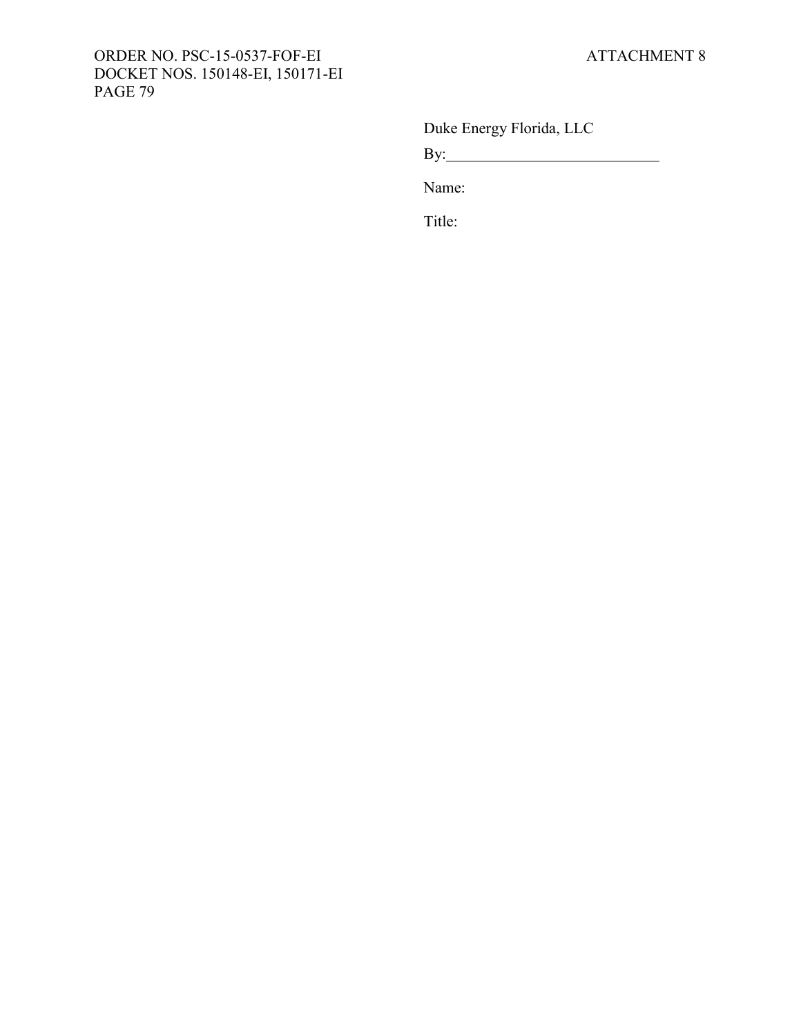# ORDER NO. PSC-15-0537-FOF-EI ATTACHMENT 8 DOCKET NOS. 150148-EI, 150171-EI PAGE 79

Duke Energy Florida, LLC

By:

Name:

Title: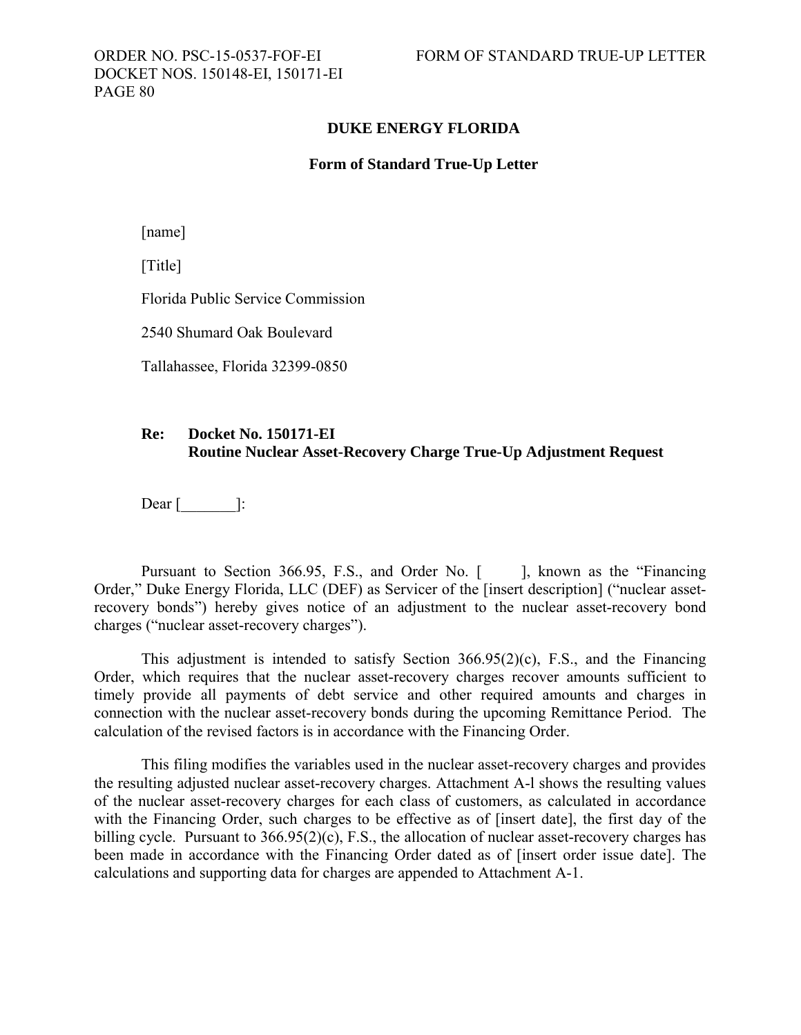DOCKET NOS. 150148-EI, 150171-EI PAGE 80

### **DUKE ENERGY FLORIDA**

#### **Form of Standard True-Up Letter**

[name]

[Title]

Florida Public Service Commission

2540 Shumard Oak Boulevard

Tallahassee, Florida 32399-0850

## **Re: Docket No. 150171-EI Routine Nuclear Asset-Recovery Charge True-Up Adjustment Request**

Dear  $\lceil$   $\rceil$ :

Pursuant to Section 366.95, F.S., and Order No. [ ], known as the "Financing" Order," Duke Energy Florida, LLC (DEF) as Servicer of the [insert description] ("nuclear assetrecovery bonds") hereby gives notice of an adjustment to the nuclear asset-recovery bond charges ("nuclear asset-recovery charges").

This adjustment is intended to satisfy Section 366.95(2)(c), F.S., and the Financing Order, which requires that the nuclear asset-recovery charges recover amounts sufficient to timely provide all payments of debt service and other required amounts and charges in connection with the nuclear asset-recovery bonds during the upcoming Remittance Period. The calculation of the revised factors is in accordance with the Financing Order.

This filing modifies the variables used in the nuclear asset-recovery charges and provides the resulting adjusted nuclear asset-recovery charges. Attachment A-l shows the resulting values of the nuclear asset-recovery charges for each class of customers, as calculated in accordance with the Financing Order, such charges to be effective as of [insert date], the first day of the billing cycle. Pursuant to 366.95(2)(c), F.S., the allocation of nuclear asset-recovery charges has been made in accordance with the Financing Order dated as of [insert order issue date]. The calculations and supporting data for charges are appended to Attachment A-1.